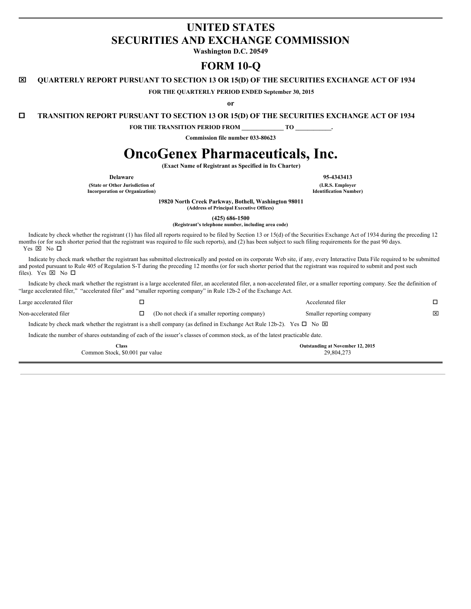# **UNITED STATES SECURITIES AND EXCHANGE COMMISSION**

**Washington D.C. 20549**

# **FORM 10-Q**

## x **QUARTERLY REPORT PURSUANT TO SECTION 13 OR 15(D) OF THE SECURITIES EXCHANGE ACT OF 1934**

**FOR THE QUARTERLY PERIOD ENDED September 30, 2015**

**or**

o **TRANSITION REPORT PURSUANT TO SECTION 13 OR 15(D) OF THE SECURITIES EXCHANGE ACT OF 1934**

**FOR THE TRANSITION PERIOD FROM \_\_\_\_\_\_\_\_\_\_\_\_\_\_ TO \_\_\_\_\_\_\_\_\_\_\_\_.**

**Commission file number 033-80623**

# **OncoGenex Pharmaceuticals, Inc.**

**(Exact Name of Registrant as Specified in Its Charter)**

**(State or Other Jurisdiction of (I.R.S. Employer Incorporation** or **Organization**)

**Delaware 95-4343413**

**19820 North Creek Parkway, Bothell, Washington 98011**

**(Address of Principal Executive Offices)**

**(425) 686-1500**

**(Registrant's telephone number, including area code)**

Indicate by check whether the registrant (1) has filed all reports required to be filed by Section 13 or 15(d) of the Securities Exchange Act of 1934 during the preceding 12 months (or for such shorter period that the registrant was required to file such reports), and (2) has been subject to such filing requirements for the past 90 days. Yes  $\boxtimes$  No  $\square$ 

Indicate by check mark whether the registrant has submitted electronically and posted on its corporate Web site, if any, every Interactive Data File required to be submitted and posted pursuant to Rule 405 of Regulation S-T during the preceding 12 months (or for such shorter period that the registrant was required to submit and post such files). Yes  $\boxtimes$  No  $\square$ 

Indicate by check mark whether the registrant is a large accelerated filer, an accelerated filer, a non-accelerated filer, or a smaller reporting company. See the definition of "large accelerated filer," "accelerated filer" and "smaller reporting company" in Rule 12b-2 of the Exchange Act.

|                         | <b>Class</b><br>Common Stock, \$0.001 par value |                                                                                                                                      | Outstanding at November 12, 2015<br>29,804,273 |   |
|-------------------------|-------------------------------------------------|--------------------------------------------------------------------------------------------------------------------------------------|------------------------------------------------|---|
|                         |                                                 | Indicate the number of shares outstanding of each of the issuer's classes of common stock, as of the latest practicable date.        |                                                |   |
|                         |                                                 | Indicate by check mark whether the registrant is a shell company (as defined in Exchange Act Rule 12b-2). Yes $\square$ No $\square$ |                                                |   |
| Non-accelerated filer   | ப                                               | (Do not check if a smaller reporting company)                                                                                        | Smaller reporting company                      | ⊠ |
| Large accelerated filer |                                                 |                                                                                                                                      | Accelerated filer                              |   |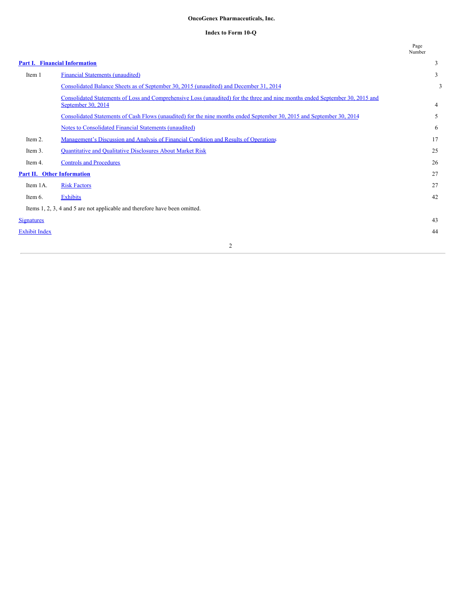## **OncoGenex Pharmaceuticals, Inc.**

## **Index to Form 10-Q**

|                            |                                                                                                                                                     | Page<br>Number |
|----------------------------|-----------------------------------------------------------------------------------------------------------------------------------------------------|----------------|
|                            | Part I. Financial Information                                                                                                                       | 3              |
| Item 1                     | <b>Financial Statements (unaudited)</b>                                                                                                             | 3              |
|                            | Consolidated Balance Sheets as of September 30, 2015 (unaudited) and December 31, 2014                                                              | 3              |
|                            | Consolidated Statements of Loss and Comprehensive Loss (unaudited) for the three and nine months ended September 30, 2015 and<br>September 30, 2014 | 4              |
|                            | Consolidated Statements of Cash Flows (unaudited) for the nine months ended September 30, 2015 and September 30, 2014                               | 5              |
|                            | Notes to Consolidated Financial Statements (unaudited)                                                                                              | 6              |
| Item 2.                    | Management's Discussion and Analysis of Financial Condition and Results of Operations                                                               | 17             |
| Item 3.                    | Quantitative and Qualitative Disclosures About Market Risk                                                                                          | 25             |
| Item 4.                    | <b>Controls and Procedures</b>                                                                                                                      | 26             |
| Part II. Other Information |                                                                                                                                                     | 27             |
| Item 1A.                   | <b>Risk Factors</b>                                                                                                                                 | 27             |
| Item 6.                    | <b>Exhibits</b>                                                                                                                                     | 42             |
|                            | Items 1, 2, 3, 4 and 5 are not applicable and therefore have been omitted.                                                                          |                |
| <b>Signatures</b>          |                                                                                                                                                     | 43             |
| <b>Exhibit Index</b>       |                                                                                                                                                     | 44             |
|                            |                                                                                                                                                     |                |

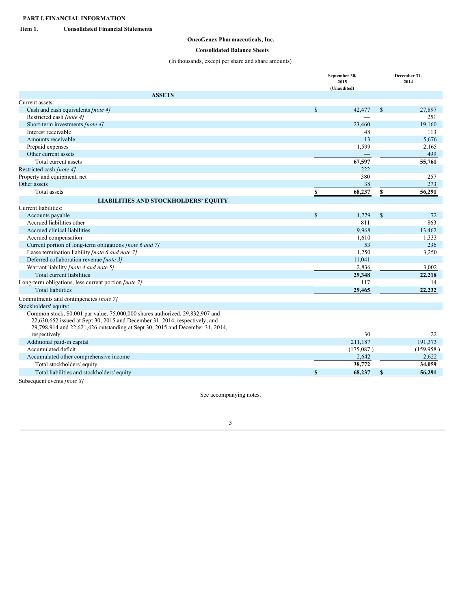## <span id="page-2-1"></span><span id="page-2-0"></span>**Item 1. Consolidated Financial Statements**

## **OncoGenex Pharmaceuticals, Inc.**

## <span id="page-2-2"></span>**Consolidated Balance Sheets**

(In thousands, except per share and share amounts)

|                                                                                                                                                                                                                                                 |               | September 30,<br>2015 |              | December 31,<br>2014 |
|-------------------------------------------------------------------------------------------------------------------------------------------------------------------------------------------------------------------------------------------------|---------------|-----------------------|--------------|----------------------|
|                                                                                                                                                                                                                                                 |               | (Unaudited)           |              |                      |
| <b>ASSETS</b>                                                                                                                                                                                                                                   |               |                       |              |                      |
| Current assets:                                                                                                                                                                                                                                 |               |                       |              |                      |
| Cash and cash equivalents [note 4]                                                                                                                                                                                                              | <sup>\$</sup> | 42,477                | \$           | 27,897               |
| Restricted cash [note 4]                                                                                                                                                                                                                        |               |                       |              | 251                  |
| Short-term investments [note 4]                                                                                                                                                                                                                 |               | 23,460                |              | 19,160               |
| Interest receivable                                                                                                                                                                                                                             |               | 48                    |              | 113                  |
| Amounts receivable                                                                                                                                                                                                                              |               | 13                    |              | 5,676                |
| Prepaid expenses                                                                                                                                                                                                                                |               | 1,599                 |              | 2,165                |
| Other current assets                                                                                                                                                                                                                            |               |                       |              | 499                  |
| Total current assets                                                                                                                                                                                                                            |               | 67,597                |              | 55,761               |
| Restricted cash [note 4]                                                                                                                                                                                                                        |               | 222                   |              |                      |
| Property and equipment, net                                                                                                                                                                                                                     |               | 380                   |              | 257                  |
| Other assets                                                                                                                                                                                                                                    |               | 38                    |              | 273                  |
| Total assets                                                                                                                                                                                                                                    | \$            | 68,237                | \$           | 56,291               |
| <b>LIABILITIES AND STOCKHOLDERS' EQUITY</b>                                                                                                                                                                                                     |               |                       |              |                      |
| Current liabilities:                                                                                                                                                                                                                            |               |                       |              |                      |
| Accounts payable                                                                                                                                                                                                                                | $\mathbf S$   | 1,779                 | $\mathbb{S}$ | 72                   |
| Accrued liabilities other                                                                                                                                                                                                                       |               | 811                   |              | 863                  |
| Accrued clinical liabilities                                                                                                                                                                                                                    |               | 9.968                 |              | 13,462               |
| Accrued compensation                                                                                                                                                                                                                            |               | 1,610                 |              | 1,333                |
| Current portion of long-term obligations [note 6 and 7]                                                                                                                                                                                         |               | 53                    |              | 236                  |
| Lease termination liability [note 6 and note 7]                                                                                                                                                                                                 |               | 1,250                 |              | 3,250                |
| Deferred collaboration revenue [note 3]                                                                                                                                                                                                         |               | 11,041                |              |                      |
| Warrant liability [note 4 and note 5]                                                                                                                                                                                                           |               | 2,836                 |              | 3,002                |
| Total current liabilities                                                                                                                                                                                                                       |               | 29,348                |              | 22,218               |
| Long-term obligations, less current portion [note 7]                                                                                                                                                                                            |               | 117                   |              | 14                   |
| <b>Total liabilities</b>                                                                                                                                                                                                                        |               | 29,465                |              | 22,232               |
| Commitments and contingencies [note 7]                                                                                                                                                                                                          |               |                       |              |                      |
| Stockholders' equity:                                                                                                                                                                                                                           |               |                       |              |                      |
| Common stock, \$0.001 par value, 75,000,000 shares authorized, 29,832,907 and<br>$22,630,652$ issued at Sept 30, 2015 and December 31, 2014, respectively, and<br>29,798,914 and 22,621,426 outstanding at Sept 30, 2015 and December 31, 2014, |               |                       |              |                      |
| respectively                                                                                                                                                                                                                                    |               | 30                    |              | 22                   |
| Additional paid-in capital                                                                                                                                                                                                                      |               | 211,187               |              | 191,373              |
| Accumulated deficit                                                                                                                                                                                                                             |               | (175,087)             |              | (159, 958)           |
| Accumulated other comprehensive income                                                                                                                                                                                                          |               | 2,642                 |              | 2,622                |
| Total stockholders' equity                                                                                                                                                                                                                      |               | 38,772                |              | 34,059               |
| Total liabilities and stockholders' equity                                                                                                                                                                                                      | \$            | 68,237                | \$           | 56,291               |
|                                                                                                                                                                                                                                                 |               |                       |              |                      |

Subsequent events *[note 8]*

See accompanying notes.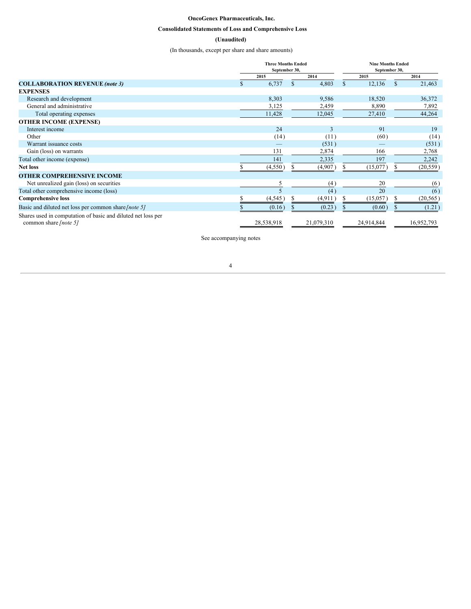## **OncoGenex Pharmaceuticals, Inc.**

## <span id="page-3-0"></span>**Consolidated Statements of Loss and Comprehensive Loss**

## **(Unaudited)**

(In thousands, except per share and share amounts)

|                                                                                       |    | <b>Three Months Ended</b><br>September 30, |                        |   | <b>Nine Months Ended</b><br>September 30, |   |            |  |
|---------------------------------------------------------------------------------------|----|--------------------------------------------|------------------------|---|-------------------------------------------|---|------------|--|
|                                                                                       |    | 2015                                       | 2014                   |   | 2015                                      |   | 2014       |  |
| <b>COLLABORATION REVENUE (note 3)</b>                                                 | S. | 6,737                                      | 4,803<br><sup>\$</sup> | S | 12,136                                    | S | 21,463     |  |
| <b>EXPENSES</b>                                                                       |    |                                            |                        |   |                                           |   |            |  |
| Research and development                                                              |    | 8,303                                      | 9,586                  |   | 18,520                                    |   | 36,372     |  |
| General and administrative                                                            |    | 3,125                                      | 2,459                  |   | 8,890                                     |   | 7,892      |  |
| Total operating expenses                                                              |    | 11,428                                     | 12,045                 |   | 27,410                                    |   | 44,264     |  |
| <b>OTHER INCOME (EXPENSE)</b>                                                         |    |                                            |                        |   |                                           |   |            |  |
| Interest income                                                                       |    | 24                                         | 3                      |   | 91                                        |   | 19         |  |
| Other                                                                                 |    | (14)                                       | (11)                   |   | (60)                                      |   | (14)       |  |
| Warrant issuance costs                                                                |    |                                            | (531)                  |   |                                           |   | (531)      |  |
| Gain (loss) on warrants                                                               |    | 131                                        | 2,874                  |   | 166                                       |   | 2,768      |  |
| Total other income (expense)                                                          |    | 141                                        | 2,335                  |   | 197                                       |   | 2,242      |  |
| <b>Net loss</b>                                                                       |    | (4,550)                                    | (4,907)                |   | (15,077)                                  |   | (20, 559)  |  |
| <b>OTHER COMPREHENSIVE INCOME</b>                                                     |    |                                            |                        |   |                                           |   |            |  |
| Net unrealized gain (loss) on securities                                              |    | 5                                          | (4)                    |   | 20                                        |   | (6)        |  |
| Total other comprehensive income (loss)                                               |    | 5                                          | (4)                    |   | 20                                        |   | (6)        |  |
| <b>Comprehensive loss</b>                                                             |    | (4,545)                                    | (4, 911)               |   | (15,057)                                  |   | (20, 565)  |  |
| Basic and diluted net loss per common share [note 5]                                  |    | (0.16)                                     | (0.23)                 |   | (0.60)                                    |   | (1.21)     |  |
| Shares used in computation of basic and diluted net loss per<br>common share [note 5] |    | 28,538,918                                 | 21,079,310             |   | 24,914,844                                |   | 16,952,793 |  |

See accompanying notes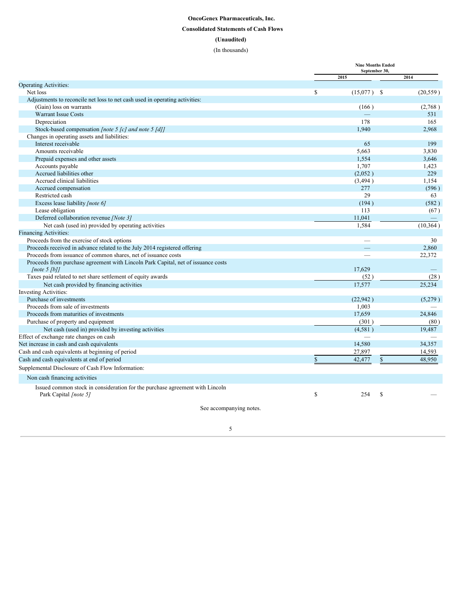## <span id="page-4-0"></span>**OncoGenex Pharmaceuticals, Inc. Consolidated Statements of Cash Flows (Unaudited)** (In thousands)

|                                                                                   |             | <b>Nine Months Ended</b> |               |           |
|-----------------------------------------------------------------------------------|-------------|--------------------------|---------------|-----------|
|                                                                                   |             | September 30,<br>2015    |               | 2014      |
| <b>Operating Activities:</b>                                                      |             |                          |               |           |
| Net loss                                                                          | \$          | $(15,077)$ \$            |               | (20, 559) |
| Adjustments to reconcile net loss to net cash used in operating activities:       |             |                          |               |           |
| (Gain) loss on warrants                                                           |             | (166)                    |               | (2,768)   |
| <b>Warrant Issue Costs</b>                                                        |             |                          |               | 531       |
| Depreciation                                                                      |             | 178                      |               | 165       |
| Stock-based compensation [note 5 [c] and note 5 [d]]                              |             | 1.940                    |               | 2,968     |
| Changes in operating assets and liabilities:                                      |             |                          |               |           |
| Interest receivable                                                               |             | 65                       |               | 199       |
| Amounts receivable                                                                |             | 5,663                    |               | 3,830     |
| Prepaid expenses and other assets                                                 |             | 1.554                    |               | 3,646     |
| Accounts payable                                                                  |             | 1.707                    |               | 1,423     |
| Accrued liabilities other                                                         |             | (2,052)                  |               | 229       |
| Accrued clinical liabilities                                                      |             | (3, 494)                 |               | 1.154     |
| Accrued compensation                                                              |             | 277                      |               | (596)     |
| Restricted cash                                                                   |             | 29                       |               | 63        |
| Excess lease liability [note 6]                                                   |             | (194)                    |               | (582)     |
| Lease obligation                                                                  |             | 113                      |               | (67)      |
| Deferred collaboration revenue [Note 3]                                           |             | 11,041                   |               |           |
| Net cash (used in) provided by operating activities                               |             | 1.584                    |               | (10, 364) |
| <b>Financing Activities:</b>                                                      |             |                          |               |           |
| Proceeds from the exercise of stock options                                       |             |                          |               | 30        |
| Proceeds received in advance related to the July 2014 registered offering         |             |                          |               | 2,860     |
| Proceeds from issuance of common shares, net of issuance costs                    |             |                          |               | 22,372    |
| Proceeds from purchase agreement with Lincoln Park Capital, net of issuance costs |             |                          |               |           |
| [note 5 [b]]                                                                      |             | 17.629                   |               |           |
| Taxes paid related to net share settlement of equity awards                       |             | (52)                     |               | (28)      |
| Net cash provided by financing activities                                         |             | 17,577                   |               | 25,234    |
| Investing Activities:                                                             |             |                          |               |           |
| Purchase of investments                                                           |             | (22, 942)                |               | (5,279)   |
| Proceeds from sale of investments                                                 |             | 1,003                    |               |           |
| Proceeds from maturities of investments                                           |             | 17,659                   |               | 24.846    |
| Purchase of property and equipment                                                |             | (301)                    |               | (80)      |
| Net cash (used in) provided by investing activities                               |             | (4,581)                  |               | 19,487    |
| Effect of exchange rate changes on cash                                           |             |                          |               |           |
| Net increase in cash and cash equivalents                                         |             | 14.580                   |               | 34.357    |
| Cash and cash equivalents at beginning of period                                  |             | 27,897                   |               | 14,593    |
| Cash and cash equivalents at end of period                                        | \$          | 42,477                   | \$            | 48,950    |
| Supplemental Disclosure of Cash Flow Information:                                 |             |                          |               |           |
| Non cash financing activities                                                     |             |                          |               |           |
| Issued common stock in consideration for the purchase agreement with Lincoln      |             |                          |               |           |
| Park Capital [note 5]                                                             | $\mathbf S$ | 254                      | <sup>\$</sup> |           |
| See accompanying notes.                                                           |             |                          |               |           |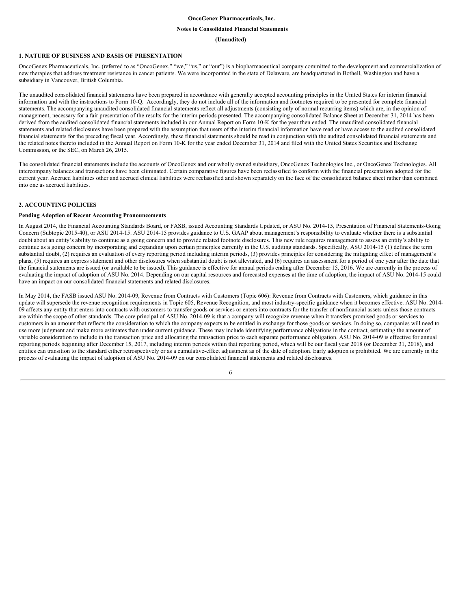#### **OncoGenex Pharmaceuticals, Inc.**

#### <span id="page-5-0"></span>**Notes to Consolidated Financial Statements**

## **(Unaudited)**

## **1. NATURE OF BUSINESS AND BASIS OF PRESENTATION**

OncoGenex Pharmaceuticals, Inc. (referred to as "OncoGenex," "we," "us," or "our") is a biopharmaceutical company committed to the development and commercialization of new therapies that address treatment resistance in cancer patients. We were incorporated in the state of Delaware, are headquartered in Bothell, Washington and have a subsidiary in Vancouver, British Columbia.

The unaudited consolidated financial statements have been prepared in accordance with generally accepted accounting principles in the United States for interim financial information and with the instructions to Form 10-Q. Accordingly, they do not include all of the information and footnotes required to be presented for complete financial statements. The accompanying unaudited consolidated financial statements reflect all adjustments (consisting only of normal recurring items) which are, in the opinion of management, necessary for a fair presentation of the results for the interim periods presented. The accompanying consolidated Balance Sheet at December 31, 2014 has been derived from the audited consolidated financial statements included in our Annual Report on Form 10-K for the year then ended. The unaudited consolidated financial statements and related disclosures have been prepared with the assumption that users of the interim financial information have read or have access to the audited consolidated financial statements for the preceding fiscal year. Accordingly, these financial statements should be read in conjunction with the audited consolidated financial statements and the related notes thereto included in the Annual Report on Form 10-K for the year ended December 31, 2014 and filed with the United States Securities and Exchange Commission, or the SEC, on March 26, 2015.

The consolidated financial statements include the accounts of OncoGenex and our wholly owned subsidiary, OncoGenex Technologies Inc., or OncoGenex Technologies. All intercompany balances and transactions have been eliminated. Certain comparative figures have been reclassified to conform with the financial presentation adopted for the current year. Accrued liabilities other and accrued clinical liabilities were reclassified and shown separately on the face of the consolidated balance sheet rather than combined into one as accrued liabilities.

#### **2. ACCOUNTING POLICIES**

#### **Pending Adoption of Recent Accounting Pronouncements**

In August 2014, the Financial Accounting Standards Board, or FASB, issued Accounting Standards Updated, or ASU No. 2014-15, Presentation of Financial Statements-Going Concern (Subtopic 2015-40), or ASU 2014-15. ASU 2014-15 provides guidance to U.S. GAAP about management's responsibility to evaluate whether there is a substantial doubt about an entity's ability to continue as a going concern and to provide related footnote disclosures. This new rule requires management to assess an entity's ability to continue as a going concern by incorporating and expanding upon certain principles currently in the U.S. auditing standards. Specifically, ASU 2014-15 (1) defines the term substantial doubt, (2) requires an evaluation of every reporting period including interim periods, (3) provides principles for considering the mitigating effect of management's plans, (5) requires an express statement and other disclosures when substantial doubt is not alleviated, and (6) requires an assessment for a period of one year after the date that the financial statements are issued (or available to be issued). This guidance is effective for annual periods ending after December 15, 2016. We are currently in the process of evaluating the impact of adoption of ASU No. 2014. Depending on our capital resources and forecasted expenses at the time of adoption, the impact of ASU No. 2014-15 could have an impact on our consolidated financial statements and related disclosures.

In May 2014, the FASB issued ASU No. 2014-09, Revenue from Contracts with Customers (Topic 606): Revenue from Contracts with Customers, which guidance in this update will supersede the revenue recognition requirements in Topic 605, Revenue Recognition, and most industry-specific guidance when it becomes effective. ASU No. 2014- 09 affects any entity that enters into contracts with customers to transfer goods or services or enters into contracts for the transfer of nonfinancial assets unless those contracts are within the scope of other standards. The core principal of ASU No. 2014-09 is that a company will recognize revenue when it transfers promised goods or services to customers in an amount that reflects the consideration to which the company expects to be entitled in exchange for those goods or services. In doing so, companies will need to use more judgment and make more estimates than under current guidance. These may include identifying performance obligations in the contract, estimating the amount of variable consideration to include in the transaction price and allocating the transaction price to each separate performance obligation. ASU No. 2014-09 is effective for annual reporting periods beginning after December 15, 2017, including interim periods within that reporting period, which will be our fiscal year 2018 (or December 31, 2018), and entities can transition to the standard either retrospectively or as a cumulative-effect adjustment as of the date of adoption. Early adoption is prohibited. We are currently in the process of evaluating the impact of adoption of ASU No. 2014-09 on our consolidated financial statements and related disclosures.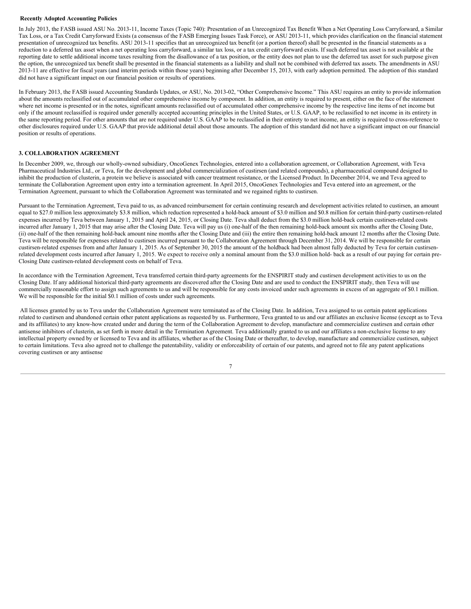#### **Recently Adopted Accounting Policies**

In July 2013, the FASB issued ASU No. 2013-11, Income Taxes (Topic 740): Presentation of an Unrecognized Tax Benefit When a Net Operating Loss Carryforward, a Similar Tax Loss, or a Tax Credit Carryforward Exists (a consensus of the FASB Emerging Issues Task Force), or ASU 2013-11, which provides clarification on the financial statement presentation of unrecognized tax benefits. ASU 2013-11 specifies that an unrecognized tax benefit (or a portion thereof) shall be presented in the financial statements as a reduction to a deferred tax asset when a net operating loss carryforward, a similar tax loss, or a tax credit carryforward exists. If such deferred tax asset is not available at the reporting date to settle additional income taxes resulting from the disallowance of a tax position, or the entity does not plan to use the deferred tax asset for such purpose given the option, the unrecognized tax benefit shall be presented in the financial statements as a liability and shall not be combined with deferred tax assets. The amendments in ASU 2013-11 are effective for fiscal years (and interim periods within those years) beginning after December 15, 2013, with early adoption permitted. The adoption of this standard did not have a significant impact on our financial position or results of operations.

In February 2013, the FASB issued Accounting Standards Updates, or ASU, No. 2013-02, "Other Comprehensive Income." This ASU requires an entity to provide information about the amounts reclassified out of accumulated other comprehensive income by component. In addition, an entity is required to present, either on the face of the statement where net income is presented or in the notes, significant amounts reclassified out of accumulated other comprehensive income by the respective line items of net income but only if the amount reclassified is required under generally accepted accounting principles in the United States, or U.S. GAAP, to be reclassified to net income in its entirety in the same reporting period. For other amounts that are not required under U.S. GAAP to be reclassified in their entirety to net income, an entity is required to cross-reference to other disclosures required under U.S. GAAP that provide additional detail about those amounts. The adoption of this standard did not have a significant impact on our financial position or results of operations.

## **3. COLLABORATION AGREEMENT**

In December 2009, we, through our wholly-owned subsidiary, OncoGenex Technologies, entered into a collaboration agreement, or Collaboration Agreement, with Teva Pharmaceutical Industries Ltd., or Teva, for the development and global commercialization of custirsen (and related compounds), a pharmaceutical compound designed to inhibit the production of clusterin, a protein we believe is associated with cancer treatment resistance, or the Licensed Product. In December 2014, we and Teva agreed to terminate the Collaboration Agreement upon entry into a termination agreement. In April 2015, OncoGenex Technologies and Teva entered into an agreement, or the Termination Agreement, pursuant to which the Collaboration Agreement was terminated and we regained rights to custirsen.

Pursuant to the Termination Agreement, Teva paid to us, as advanced reimbursement for certain continuing research and development activities related to custirsen, an amount equal to \$27.0 million less approximately \$3.8 million, which reduction represented a hold-back amount of \$3.0 million and \$0.8 million for certain third-party custirsen-related expenses incurred by Teva between January 1, 2015 and April 24, 2015, or Closing Date. Teva shall deduct from the \$3.0 million hold-back certain custirsen-related costs incurred after January 1, 2015 that may arise after the Closing Date. Teva will pay us (i) one-half of the then remaining hold-back amount six months after the Closing Date, (ii) one-half of the then remaining hold-back amount nine months after the Closing Date and (iii) the entire then remaining hold-back amount 12 months after the Closing Date. Teva will be responsible for expenses related to custirsen incurred pursuant to the Collaboration Agreement through December 31, 2014. We will be responsible for certain custirsen-related expenses from and after January 1, 2015. As of September 30, 2015 the amount of the holdback had been almost fully deducted by Teva for certain custirsenrelated development costs incurred after January 1, 2015. We expect to receive only a nominal amount from the \$3.0 million hold- back as a result of our paying for certain pre-Closing Date custirsen-related development costs on behalf of Teva.

In accordance with the Termination Agreement, Teva transferred certain third-party agreements for the ENSPIRIT study and custirsen development activities to us on the Closing Date. If any additional historical third-party agreements are discovered after the Closing Date and are used to conduct the ENSPIRIT study, then Teva will use commercially reasonable effort to assign such agreements to us and will be responsible for any costs invoiced under such agreements in excess of an aggregate of \$0.1 million. We will be responsible for the initial \$0.1 million of costs under such agreements.

All licenses granted by us to Teva under the Collaboration Agreement were terminated as of the Closing Date. In addition, Teva assigned to us certain patent applications related to custirsen and abandoned certain other patent applications as requested by us. Furthermore, Teva granted to us and our affiliates an exclusive license (except as to Teva and its affiliates) to any know-how created under and during the term of the Collaboration Agreement to develop, manufacture and commercialize custirsen and certain other antisense inhibitors of clusterin, as set forth in more detail in the Termination Agreement. Teva additionally granted to us and our affiliates a non-exclusive license to any intellectual property owned by or licensed to Teva and its affiliates, whether as of the Closing Date or thereafter, to develop, manufacture and commercialize custirsen, subject to certain limitations. Teva also agreed not to challenge the patentability, validity or enforceability of certain of our patents, and agreed not to file any patent applications covering custirsen or any antisense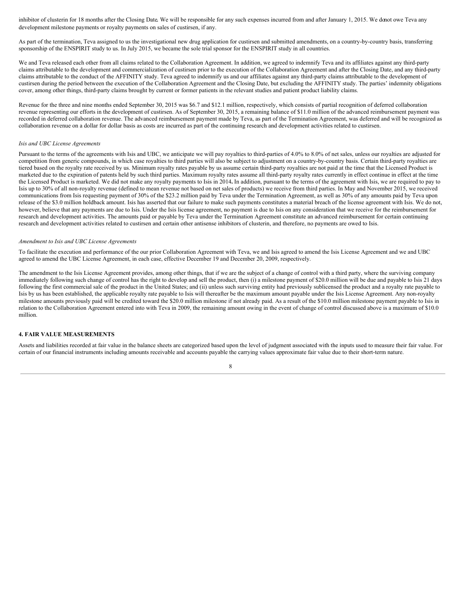inhibitor of clusterin for 18 months after the Closing Date. We will be responsible for any such expenses incurred from and after January 1, 2015. We donot owe Teva any development milestone payments or royalty payments on sales of custirsen, if any.

As part of the termination, Teva assigned to us the investigational new drug application for custirsen and submitted amendments, on a country-by-country basis, transferring sponsorship of the ENSPIRIT study to us. In July 2015, we became the sole trial sponsor for the ENSPIRIT study in all countries.

We and Teva released each other from all claims related to the Collaboration Agreement. In addition, we agreed to indemnify Teva and its affiliates against any third-party claims attributable to the development and commercialization of custirsen prior to the execution of the Collaboration Agreement and after the Closing Date, and any third-party claims attributable to the conduct of the AFFINITY study. Teva agreed to indemnify us and our affiliates against any third-party claims attributable to the development of custirsen during the period between the execution of the Collaboration Agreement and the Closing Date, but excluding the AFFINITY study. The parties' indemnity obligations cover, among other things, third-party claims brought by current or former patients in the relevant studies and patient product liability claims.

Revenue for the three and nine months ended September 30, 2015 was \$6.7 and \$12.1 million, respectively, which consists of partial recognition of deferred collaboration revenue representing our efforts in the development of custirsen. As of September 30, 2015, a remaining balance of \$11.0 million of the advanced reimbursement payment was recorded in deferred collaboration revenue. The advanced reimbursement payment made by Teva, as part of the Termination Agreement, was deferred and will be recognized as collaboration revenue on a dollar for dollar basis as costs are incurred as part of the continuing research and development activities related to custirsen.

## *Isis and UBC License Agreements*

Pursuant to the terms of the agreements with Isis and UBC, we anticipate we will pay royalties to third-parties of 4.0% to 8.0% of net sales, unless our royalties are adjusted for competition from generic compounds, in which case royalties to third parties will also be subject to adjustment on a country-by-country basis. Certain third-party royalties are tiered based on the royalty rate received by us. Minimum royalty rates payable by us assume certain third-party royalties are not paid at the time that the Licensed Product is marketed due to the expiration of patents held by such third parties. Maximum royalty rates assume all third-party royalty rates currently in effect continue in effect at the time the Licensed Product is marketed. We did not make any royalty payments to Isis in 2014**.** In addition, pursuant to the terms of the agreement with Isis, we are required to pay to Isis up to 30% of all non-royalty revenue (defined to mean revenue not based on net sales of products) we receive from third parties. In May and November 2015, we received communications from Isis requesting payment of 30% of the \$23.2 million paid by Teva under the Termination Agreement, as well as 30% of any amounts paid by Teva upon release of the \$3.0 million holdback amount. Isis has asserted that our failure to make such payments constitutes a material breach of the license agreement with Isis. We do not, however, believe that any payments are due to Isis. Under the Isis license agreement, no payment is due to Isis on any consideration that we receive for the reimbursement for research and development activities. The amounts paid or payable by Teva under the Termination Agreement constitute an advanced reimbursement for certain continuing research and development activities related to custirsen and certain other antisense inhibitors of clusterin, and therefore, no payments are owed to Isis.

#### *Amendment to Isis and UBC License Agreements*

To facilitate the execution and performance of the our prior Collaboration Agreement with Teva, we and Isis agreed to amend the Isis License Agreement and we and UBC agreed to amend the UBC License Agreement, in each case, effective December 19 and December 20, 2009, respectively.

The amendment to the Isis License Agreement provides, among other things, that if we are the subject of a change of control with a third party, where the surviving company immediately following such change of control has the right to develop and sell the product, then (i) a milestone payment of \$20.0 million will be due and payable to Isis 21 days following the first commercial sale of the product in the United States; and (ii) unless such surviving entity had previously sublicensed the product and a royalty rate payable to Isis by us has been established, the applicable royalty rate payable to Isis will thereafter be the maximum amount payable under the Isis License Agreement. Any non-royalty milestone amounts previously paid will be credited toward the \$20.0 million milestone if not already paid. As a result of the \$10.0 million milestone payment payable to Isis in relation to the Collaboration Agreement entered into with Teva in 2009, the remaining amount owing in the event of change of control discussed above is a maximum of \$10.0 million.

#### **4. FAIR VALUE MEASUREMENTS**

Assets and liabilities recorded at fair value in the balance sheets are categorized based upon the level of judgment associated with the inputs used to measure their fair value. For certain of our financial instruments including amounts receivable and accounts payable the carrying values approximate fair value due to their short-term nature.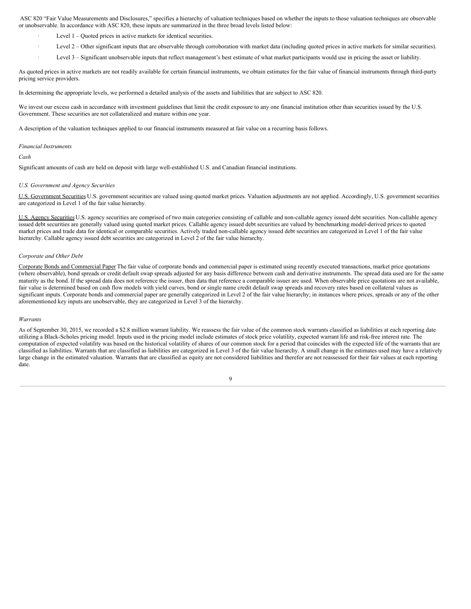ASC 820 "Fair Value Measurements and Disclosures," specifies a hierarchy of valuation techniques based on whether the inputs to those valuation techniques are observable or unobservable. In accordance with ASC 820, these inputs are summarized in the three broad levels listed below:

- Level  $1 -$ Quoted prices in active markets for identical securities.
- · Level 2 Other significant inputs that are observable through corroboration with market data (including quoted prices in active markets for similar securities).
	- Level 3 Significant unobservable inputs that reflect management's best estimate of what market participants would use in pricing the asset or liability.

As quoted prices in active markets are not readily available for certain financial instruments, we obtain estimates for the fair value of financial instruments through third-party pricing service providers.

In determining the appropriate levels, we performed a detailed analysis of the assets and liabilities that are subject to ASC 820.

We invest our excess cash in accordance with investment guidelines that limit the credit exposure to any one financial institution other than securities issued by the U.S. Government. These securities are not collateralized and mature within one year.

A description of the valuation techniques applied to our financial instruments measured at fair value on a recurring basis follows.

#### *Financial Instruments*

#### *Cash*

Significant amounts of cash are held on deposit with large well-established U.S. and Canadian financial institutions.

## *U.S. Government and Agency Securities*

U.S. Government Securities U.S. government securities are valued using quoted market prices. Valuation adjustments are not applied. Accordingly, U.S. government securities are categorized in Level 1 of the fair value hierarchy.

U.S. Agency Securities U.S. agency securities are comprised of two main categories consisting of callable and non-callable agency issued debt securities. Non-callable agency issued debt securities are generally valued using quoted market prices. Callable agency issued debt securities are valued by benchmarking model-derived prices to quoted market prices and trade data for identical or comparable securities. Actively traded non-callable agency issued debt securities are categorized in Level 1 of the fair value hierarchy. Callable agency issued debt securities are categorized in Level 2 of the fair value hierarchy.

#### *Corporate and Other Debt*

Corporate Bonds and Commercial Paper The fair value of corporate bonds and commercial paper is estimated using recently executed transactions, market price quotations (where observable), bond spreads or credit default swap spreads adjusted for any basis difference between cash and derivative instruments. The spread data used are for the same maturity as the bond. If the spread data does not reference the issuer, then data that reference a comparable issuer are used. When observable price quotations are not available, fair value is determined based on cash flow models with yield curves, bond or single name credit default swap spreads and recovery rates based on collateral values as significant inputs. Corporate bonds and commercial paper are generally categorized in Level 2 of the fair value hierarchy; in instances where prices, spreads or any of the other aforementioned key inputs are unobservable, they are categorized in Level 3 of the hierarchy.

#### *Warrants*

As of September 30, 2015, we recorded a \$2.8 million warrant liability. We reassess the fair value of the common stock warrants classified as liabilities at each reporting date utilizing a Black-Scholes pricing model. Inputs used in the pricing model include estimates of stock price volatility, expected warrant life and risk-free interest rate. The computation of expected volatility was based on the historical volatility of shares of our common stock for a period that coincides with the expected life of the warrants that are classified as liabilities. Warrants that are classified as liabilities are categorized in Level 3 of the fair value hierarchy. A small change in the estimates used may have a relatively large change in the estimated valuation. Warrants that are classified as equity are not considered liabilities and therefor are not reassessed for their fair values at each reporting date.

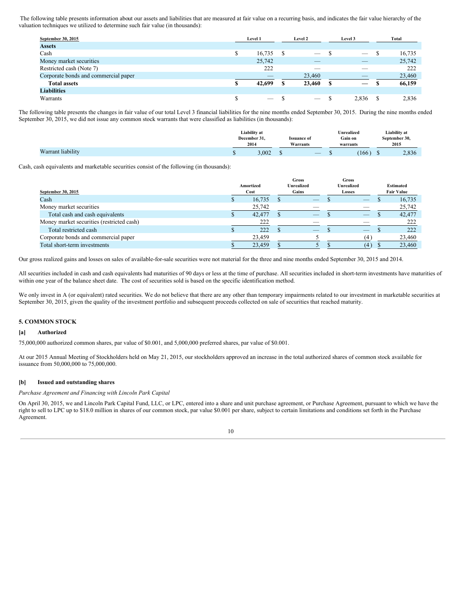The following table presents information about our assets and liabilities that are measured at fair value on a recurring basis, and indicates the fair value hierarchy of the valuation techniques we utilized to determine such fair value (in thousands):

| September 30, 2015                   | Level 1 |   | Level 2                         | Level 3                         |   | Total  |
|--------------------------------------|---------|---|---------------------------------|---------------------------------|---|--------|
| <b>Assets</b>                        |         |   |                                 |                                 |   |        |
| Cash                                 | 16,735  | S | $\overbrace{\hspace{25mm}}^{}$  | $\hspace{0.1mm}-\hspace{0.1mm}$ |   | 16,735 |
| Money market securities              | 25,742  |   | _                               | $\overline{\phantom{a}}$        |   | 25,742 |
| Restricted cash (Note 7)             | 222     |   | __                              | __                              |   | 222    |
| Corporate bonds and commercial paper |         |   | 23,460                          | $-$                             |   | 23,460 |
| <b>Total assets</b>                  | 42,699  |   | 23,460                          | $\hspace{0.1mm}-\hspace{0.1mm}$ | Ф | 66,159 |
| <b>Liabilities</b>                   |         |   |                                 |                                 |   |        |
| Warrants                             |         |   | $\hspace{0.1mm}-\hspace{0.1mm}$ | 2.836                           |   | 2,836  |

The following table presents the changes in fair value of our total Level 3 financial liabilities for the nine months ended September 30, 2015. During the nine months ended September 30, 2015, we did not issue any common stock warrants that were classified as liabilities (in thousands):

|                   | Liability at<br>December 31.<br>2014 |       | <b>Issuance of</b><br>Warrants |  | Unrealized<br>Gain on<br>warrants | Liability at<br>September 30,<br>2015 |
|-------------------|--------------------------------------|-------|--------------------------------|--|-----------------------------------|---------------------------------------|
| Warrant liability |                                      | 3,002 |                                |  | (166)                             | 2,836                                 |

Cash, cash equivalents and marketable securities consist of the following (in thousands):

|                                           |           | Gross                    | Gross             |                   |
|-------------------------------------------|-----------|--------------------------|-------------------|-------------------|
|                                           | Amortized | <b>Unrealized</b>        | <b>Unrealized</b> | <b>Estimated</b>  |
| September 30, 2015                        | Cost      | Gains                    | <b>Losses</b>     | <b>Fair Value</b> |
| Cash                                      | 16,735    | $\overline{\phantom{a}}$ | _                 | 16,735            |
| Money market securities                   | 25,742    | __                       |                   | 25,742            |
| Total cash and cash equivalents           | 42,477    | $\overline{\phantom{a}}$ |                   | 42,477            |
| Money market securities (restricted cash) | 222       | $\overline{\phantom{a}}$ | __                | 222               |
| Total restricted cash                     | 222       | $\overline{\phantom{a}}$ |                   | 222               |
| Corporate bonds and commercial paper      | 23,459    |                          | (4                | 23,460            |
| Total short-term investments              | 23,459    |                          | (4)               | 23,460            |

Our gross realized gains and losses on sales of available-for-sale securities were not material for the three and nine months ended September 30, 2015 and 2014.

All securities included in cash and cash equivalents had maturities of 90 days or less at the time of purchase. All securities included in short-term investments have maturities of within one year of the balance sheet date. The cost of securities sold is based on the specific identification method.

We only invest in A (or equivalent) rated securities. We do not believe that there are any other than temporary impairments related to our investment in marketable securities at September 30, 2015, given the quality of the investment portfolio and subsequent proceeds collected on sale of securities that reached maturity.

## **5. COMMON STOCK**

#### **[a] Authorized**

75,000,000 authorized common shares, par value of \$0.001, and 5,000,000 preferred shares, par value of \$0.001.

At our 2015 Annual Meeting of Stockholders held on May 21, 2015, our stockholders approved an increase in the total authorized shares of common stock available for issuance from 50,000,000 to 75,000,000.

## **[b] Issued and outstanding shares**

*Purchase Agreement and Financing with Lincoln Park Capital*

On April 30, 2015, we and Lincoln Park Capital Fund, LLC, or LPC, entered into a share and unit purchase agreement, or Purchase Agreement, pursuant to which we have the right to sell to LPC up to \$18.0 million in shares of our common stock, par value \$0.001 per share, subject to certain limitations and conditions set forth in the Purchase Agreement.

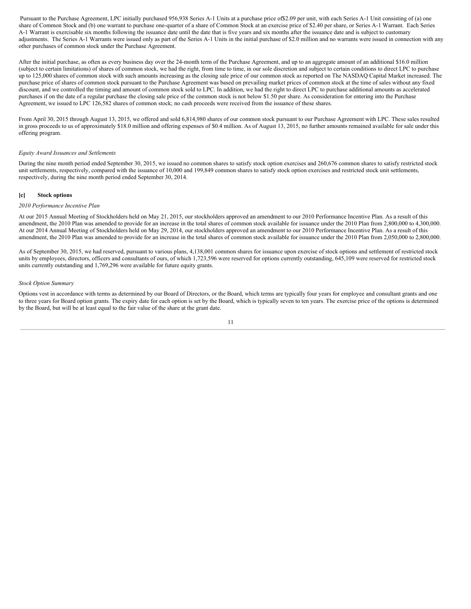Pursuant to the Purchase Agreement, LPC initially purchased 956,938 Series A-1 Units at a purchase price of\$2.09 per unit, with each Series A-1 Unit consisting of (a) one share of Common Stock and (b) one warrant to purchase one-quarter of a share of Common Stock at an exercise price of \$2.40 per share, or Series A-1 Warrant. Each Series A-1 Warrant is exercisable six months following the issuance date until the date that is five years and six months after the issuance date and is subject to customary adjustments. The Series A-1 Warrants were issued only as part of the Series A-1 Units in the initial purchase of \$2.0 million and no warrants were issued in connection with any other purchases of common stock under the Purchase Agreement.

After the initial purchase, as often as every business day over the 24-month term of the Purchase Agreement, and up to an aggregate amount of an additional \$16.0 million (subject to certain limitations) of shares of common stock, we had the right, from time to time, in our sole discretion and subject to certain conditions to direct LPC to purchase up to 125,000 shares of common stock with such amounts increasing as the closing sale price of our common stock as reported on The NASDAQ Capital Market increased. The purchase price of shares of common stock pursuant to the Purchase Agreement was based on prevailing market prices of common stock at the time of sales without any fixed discount, and we controlled the timing and amount of common stock sold to LPC. In addition, we had the right to direct LPC to purchase additional amounts as accelerated purchases if on the date of a regular purchase the closing sale price of the common stock is not below \$1.50 per share. As consideration for entering into the Purchase Agreement, we issued to LPC 126,582 shares of common stock; no cash proceeds were received from the issuance of these shares.

From April 30, 2015 through August 13, 2015, we offered and sold 6,814,980 shares of our common stock pursuant to our Purchase Agreement with LPC. These sales resulted in gross proceeds to us of approximately \$18.0 million and offering expenses of \$0.4 million. As of August 13, 2015, no further amounts remained available for sale under this offering program.

#### *Equity Award Issuances and Settlements*

During the nine month period ended September 30, 2015, we issued no common shares to satisfy stock option exercises and 260,676 common shares to satisfy restricted stock unit settlements, respectively, compared with the issuance of 10,000 and 199,849 common shares to satisfy stock option exercises and restricted stock unit settlements, respectively, during the nine month period ended September 30, 2014.

## **[c] Stock options**

#### *2010 Performance Incentive Plan*

At our 2015 Annual Meeting of Stockholders held on May 21, 2015, our stockholders approved an amendment to our 2010 Performance Incentive Plan. As a result of this amendment, the 2010 Plan was amended to provide for an increase in the total shares of common stock available for issuance under the 2010 Plan from 2,800,000 to 4,300,000. At our 2014 Annual Meeting of Stockholders held on May 29, 2014, our stockholders approved an amendment to our 2010 Performance Incentive Plan. As a result of this amendment, the 2010 Plan was amended to provide for an increase in the total shares of common stock available for issuance under the 2010 Plan from 2,050,000 to 2,800,000.

As of September 30, 2015, we had reserved, pursuant to various plans, 4,138,001 common shares for issuance upon exercise of stock options and settlement of restricted stock units by employees, directors, officers and consultants of ours, of which 1,723,596 were reserved for options currently outstanding, 645,109 were reserved for restricted stock units currently outstanding and 1,769,296 were available for future equity grants.

#### *Stock Option Summary*

Options vest in accordance with terms as determined by our Board of Directors, or the Board, which terms are typically four years for employee and consultant grants and one to three years for Board option grants. The expiry date for each option is set by the Board, which is typically seven to ten years. The exercise price of the options is determined by the Board, but will be at least equal to the fair value of the share at the grant date.

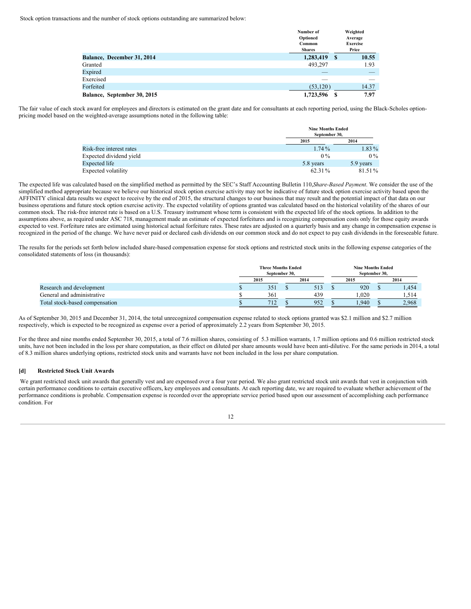Stock option transactions and the number of stock options outstanding are summarized below:

|                             | Number of     |      | Weighted        |
|-----------------------------|---------------|------|-----------------|
|                             | Optioned      |      | Average         |
|                             | Common        |      | <b>Exercise</b> |
|                             | <b>Shares</b> |      | Price           |
| Balance, December 31, 2014  | 1,283,419     | - \$ | 10.55           |
| Granted                     | 493.297       |      | 1.93            |
| Expired                     | __            |      |                 |
| Exercised                   | __            |      |                 |
| Forfeited                   | (53, 120)     |      | 14.37           |
| Balance, September 30, 2015 | 1,723,596     | S    | 7.97            |

The fair value of each stock award for employees and directors is estimated on the grant date and for consultants at each reporting period, using the Black-Scholes optionpricing model based on the weighted-average assumptions noted in the following table:

|                          |           | <b>Nine Months Ended</b><br>September 30. |  |  |  |  |
|--------------------------|-----------|-------------------------------------------|--|--|--|--|
|                          | 2015      | 2014                                      |  |  |  |  |
| Risk-free interest rates | $1.74\%$  | $1.83\%$                                  |  |  |  |  |
| Expected dividend yield  | $0\%$     | $0\%$                                     |  |  |  |  |
| Expected life            | 5.8 years | 5.9 years                                 |  |  |  |  |
| Expected volatility      | 62.31%    | 81.51%                                    |  |  |  |  |

The expected life was calculated based on the simplified method as permitted by the SEC's Staff Accounting Bulletin 110,*Share-Based Payment*. We consider the use of the simplified method appropriate because we believe our historical stock option exercise activity may not be indicative of future stock option exercise activity based upon the AFFINITY clinical data results we expect to receive by the end of 2015, the structural changes to our business that may result and the potential impact of that data on our business operations and future stock option exercise activity. The expected volatility of options granted was calculated based on the historical volatility of the shares of our common stock. The risk-free interest rate is based on a U.S. Treasury instrument whose term is consistent with the expected life of the stock options. In addition to the assumptions above, as required under ASC 718, management made an estimate of expected forfeitures and is recognizing compensation costs only for those equity awards expected to vest. Forfeiture rates are estimated using historical actual forfeiture rates. These rates are adjusted on a quarterly basis and any change in compensation expense is recognized in the period of the change. We have never paid or declared cash dividends on our common stock and do not expect to pay cash dividends in the foreseeable future.

The results for the periods set forth below included share-based compensation expense for stock options and restricted stock units in the following expense categories of the consolidated statements of loss (in thousands):

|                                | <b>Three Months Ended</b><br>September 30. |      |  |      | <b>Nine Months Ended</b><br>September 30. |  |       |
|--------------------------------|--------------------------------------------|------|--|------|-------------------------------------------|--|-------|
|                                |                                            | 2015 |  | 2014 | 2015                                      |  | 2014  |
| Research and development       |                                            | 351  |  | 513  | 920                                       |  | 1,454 |
| General and administrative     |                                            | 361  |  | 439  | .020                                      |  | 1.514 |
| Total stock-based compensation |                                            | 712  |  | 952  | .940                                      |  | 2.968 |

As of September 30, 2015 and December 31, 2014, the total unrecognized compensation expense related to stock options granted was \$2.1 million and \$2.7 million respectively, which is expected to be recognized as expense over a period of approximately 2.2 years from September 30, 2015.

For the three and nine months ended September 30, 2015, a total of 7.6 million shares, consisting of 5.3 million warrants, 1.7 million options and 0.6 million restricted stock units, have not been included in the loss per share computation, as their effect on diluted per share amounts would have been anti-dilutive. For the same periods in 2014, a total of 8.3 million shares underlying options, restricted stock units and warrants have not been included in the loss per share computation.

## **[d] Restricted Stock Unit Awards**

We grant restricted stock unit awards that generally vest and are expensed over a four year period. We also grant restricted stock unit awards that vest in conjunction with certain performance conditions to certain executive officers, key employees and consultants. At each reporting date, we are required to evaluate whether achievement of the performance conditions is probable. Compensation expense is recorded over the appropriate service period based upon our assessment of accomplishing each performance condition. For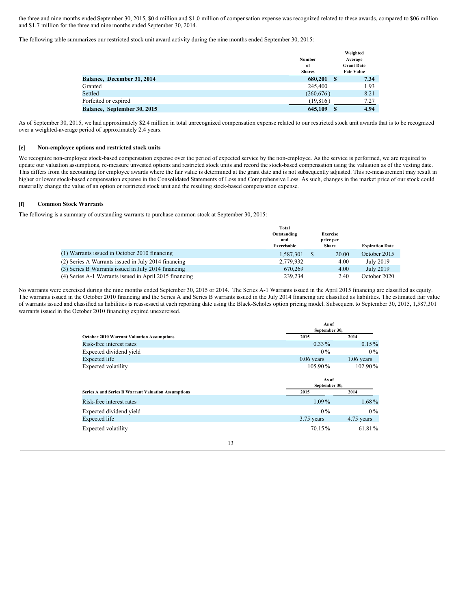the three and nine months ended September 30, 2015, \$0.4 million and \$1.0 million of compensation expense was recognized related to these awards, compared to \$06 million and \$1.7 million for the three and nine months ended September 30, 2014.

The following table summarizes our restricted stock unit award activity during the nine months ended September 30, 2015:

|                             |               |    | Weighted          |
|-----------------------------|---------------|----|-------------------|
|                             | <b>Number</b> |    | Average           |
|                             | of            |    | <b>Grant Date</b> |
|                             | <b>Shares</b> |    | <b>Fair Value</b> |
| Balance, December 31, 2014  | 680,201       | -S | 7.34              |
| Granted                     | 245,400       |    | 1.93              |
| Settled                     | (260,676)     |    | 8.21              |
| Forfeited or expired        | (19, 816)     |    | 7.27              |
| Balance, September 30, 2015 | 645,109       | S  | 4.94              |

As of September 30, 2015, we had approximately \$2.4 million in total unrecognized compensation expense related to our restricted stock unit awards that is to be recognized over a weighted-average period of approximately 2.4 years.

#### **[e] Non-employee options and restricted stock units**

We recognize non-employee stock-based compensation expense over the period of expected service by the non-employee. As the service is performed, we are required to update our valuation assumptions, re-measure unvested options and restricted stock units and record the stock-based compensation using the valuation as of the vesting date. This differs from the accounting for employee awards where the fair value is determined at the grant date and is not subsequently adjusted. This re-measurement may result in higher or lower stock-based compensation expense in the Consolidated Statements of Loss and Comprehensive Loss. As such, changes in the market price of our stock could materially change the value of an option or restricted stock unit and the resulting stock-based compensation expense.

## **[f] Common Stock Warrants**

The following is a summary of outstanding warrants to purchase common stock at September 30, 2015:

|                                                        | Total       |                 |                        |
|--------------------------------------------------------|-------------|-----------------|------------------------|
|                                                        | Outstanding | <b>Exercise</b> |                        |
|                                                        | and         | price per       |                        |
|                                                        | Exercisable | Share           | <b>Expiration Date</b> |
| (1) Warrants issued in October 2010 financing          | 1,587,301   | 20.00           | October 2015           |
| (2) Series A Warrants issued in July 2014 financing    | 2.779.932   | 4.00            | July 2019              |
| (3) Series B Warrants issued in July 2014 financing    | 670.269     | 4.00            | July 2019              |
| (4) Series A-1 Warrants issued in April 2015 financing | 239,234     | 2.40            | October 2020           |

**Total**

No warrants were exercised during the nine months ended September 30, 2015 or 2014. The Series A-1 Warrants issued in the April 2015 financing are classified as equity. The warrants issued in the October 2010 financing and the Series A and Series B warrants issued in the July 2014 financing are classified as liabilities. The estimated fair value of warrants issued and classified as liabilities is reassessed at each reporting date using the Black-Scholes option pricing model. Subsequent to September 30, 2015, 1,587,301 warrants issued in the October 2010 financing expired unexercised.

|                                                            | As of<br>September 30, |              |  |
|------------------------------------------------------------|------------------------|--------------|--|
| <b>October 2010 Warrant Valuation Assumptions</b>          | 2015                   | 2014         |  |
| Risk-free interest rates                                   | $0.33\%$               | $0.15\%$     |  |
| Expected dividend yield                                    | $0\%$                  | $0\%$        |  |
| Expected life                                              | $0.06$ years           | $1.06$ years |  |
| Expected volatility                                        | 105.90%                | 102.90%      |  |
|                                                            | As of<br>September 30, |              |  |
| <b>Series A and Series B Warrant Valuation Assumptions</b> | 2015                   | 2014         |  |
| Risk-free interest rates                                   | $1.09\%$               | $1.68\%$     |  |
| Expected dividend yield                                    | $0\%$                  | $0\%$        |  |
| <b>Expected</b> life                                       | 3.75 years             | 4.75 years   |  |
| Expected volatility                                        | 70.15%                 | 61.81%       |  |
| 13                                                         |                        |              |  |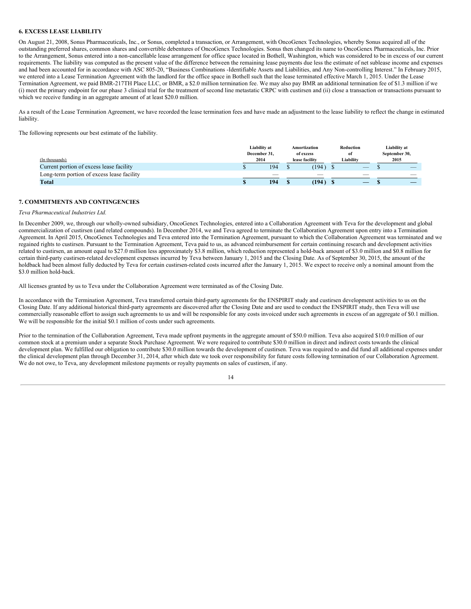### **6. EXCESS LEASE LIABILITY**

On August 21, 2008, Sonus Pharmaceuticals, Inc., or Sonus, completed a transaction, or Arrangement, with OncoGenex Technologies, whereby Sonus acquired all of the outstanding preferred shares, common shares and convertible debentures of OncoGenex Technologies. Sonus then changed its name to OncoGenex Pharmaceuticals, Inc. Prior to the Arrangement, Sonus entered into a non-cancellable lease arrangement for office space located in Bothell, Washington, which was considered to be in excess of our current requirements. The liability was computed as the present value of the difference between the remaining lease payments due less the estimate of net sublease income and expenses and had been accounted for in accordance with ASC 805-20, "Business Combinations -Identifiable Assets and Liabilities, and Any Non-controlling Interest." In February 2015, we entered into a Lease Termination Agreement with the landlord for the office space in Bothell such that the lease terminated effective March 1, 2015. Under the Lease Termination Agreement, we paid BMR-217TH Place LLC, or BMR, a \$2.0 million termination fee. We may also pay BMR an additional termination fee of \$1.3 million if we (i) meet the primary endpoint for our phase 3 clinical trial for the treatment of second line metastatic CRPC with custirsen and (ii) close a transaction or transactions pursuant to which we receive funding in an aggregate amount of at least \$20.0 million.

As a result of the Lease Termination Agreement, we have recorded the lease termination fees and have made an adjustment to the lease liability to reflect the change in estimated liability.

The following represents our best estimate of the liability.

| (In thousands)                             | Liability at<br>December 31.<br>2014 |                          | Amortization<br>of excess<br>lease facility |                          | Reduction<br>оf<br>Liability |                          | Liability at<br>September 30,<br>2015 |                          |
|--------------------------------------------|--------------------------------------|--------------------------|---------------------------------------------|--------------------------|------------------------------|--------------------------|---------------------------------------|--------------------------|
| Current portion of excess lease facility   |                                      | 194                      |                                             | (194)                    |                              | $-$                      |                                       |                          |
| Long-term portion of excess lease facility |                                      | $\overline{\phantom{a}}$ |                                             | $\overline{\phantom{a}}$ |                              | $\overline{\phantom{a}}$ |                                       | $\overline{\phantom{a}}$ |
| <b>Total</b>                               |                                      | 194                      |                                             | (194)                    |                              |                          |                                       |                          |

## **7. COMMITMENTS AND CONTINGENCIES**

#### *Teva Pharmaceutical Industries Ltd.*

In December 2009, we, through our wholly-owned subsidiary, OncoGenex Technologies, entered into a Collaboration Agreement with Teva for the development and global commercialization of custirsen (and related compounds). In December 2014, we and Teva agreed to terminate the Collaboration Agreement upon entry into a Termination Agreement. In April 2015, OncoGenex Technologies and Teva entered into the Termination Agreement, pursuant to which the Collaboration Agreement was terminated and we regained rights to custirsen. Pursuant to the Termination Agreement, Teva paid to us, as advanced reimbursement for certain continuing research and development activities related to custirsen, an amount equal to \$27.0 million less approximately \$3.8 million, which reduction represented a hold-back amount of \$3.0 million and \$0.8 million for certain third-party custirsen-related development expenses incurred by Teva between January 1, 2015 and the Closing Date. As of September 30, 2015, the amount of the holdback had been almost fully deducted by Teva for certain custirsen-related costs incurred after the January 1, 2015. We expect to receive only a nominal amount from the \$3.0 million hold-back.

All licenses granted by us to Teva under the Collaboration Agreement were terminated as of the Closing Date.

In accordance with the Termination Agreement, Teva transferred certain third-party agreements for the ENSPIRIT study and custirsen development activities to us on the Closing Date. If any additional historical third-party agreements are discovered after the Closing Date and are used to conduct the ENSPIRIT study, then Teva will use commercially reasonable effort to assign such agreements to us and will be responsible for any costs invoiced under such agreements in excess of an aggregate of \$0.1 million. We will be responsible for the initial  $\overline{\text{80}}$ .1 million of costs under such agreements.

Prior to the termination of the Collaboration Agreement, Teva made upfront payments in the aggregate amount of \$50.0 million. Teva also acquired \$10.0 million of our common stock at a premium under a separate Stock Purchase Agreement. We were required to contribute \$30.0 million in direct and indirect costs towards the clinical development plan. We fulfilled our obligation to contribute \$30.0 million towards the development of custirsen. Teva was required to and did fund all additional expenses under the clinical development plan through December 31, 2014, after which date we took over responsibility for future costs following termination of our Collaboration Agreement. We do not owe, to Teva, any development milestone payments or royalty payments on sales of custirsen, if any.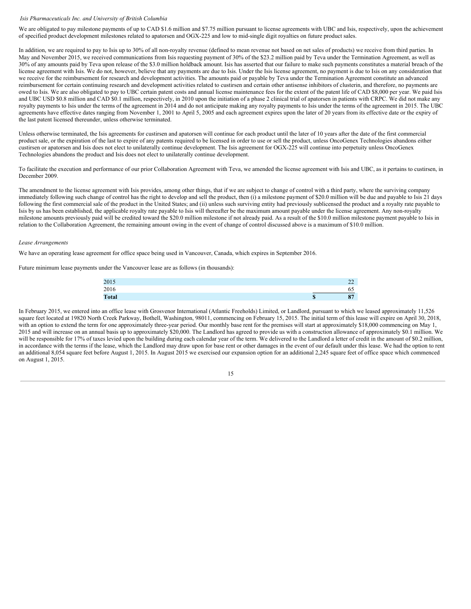#### *Isis Pharmaceuticals Inc. and University of British Columbia*

We are obligated to pay milestone payments of up to CAD \$1.6 million and \$7.75 million pursuant to license agreements with UBC and Isis, respectively, upon the achievement of specified product development milestones related to apatorsen and OGX-225 and low to mid-single digit royalties on future product sales.

In addition, we are required to pay to Isis up to 30% of all non-royalty revenue (defined to mean revenue not based on net sales of products) we receive from third parties. In May and November 2015, we received communications from Isis requesting payment of 30% of the \$23.2 million paid by Teva under the Termination Agreement, as well as 30% of any amounts paid by Teva upon release of the \$3.0 million holdback amount. Isis has asserted that our failure to make such payments constitutes a material breach of the license agreement with Isis. We do not, however, believe that any payments are due to Isis. Under the Isis license agreement, no payment is due to Isis on any consideration that we receive for the reimbursement for research and development activities. The amounts paid or payable by Teva under the Termination Agreement constitute an advanced reimbursement for certain continuing research and development activities related to custirsen and certain other antisense inhibitors of clusterin, and therefore, no payments are owed to Isis. We are also obligated to pay to UBC certain patent costs and annual license maintenance fees for the extent of the patent life of CAD \$8,000 per year. We paid Isis and UBC USD \$0.8 million and CAD \$0.1 million, respectively, in 2010 upon the initiation of a phase 2 clinical trial of apatorsen in patients with CRPC. We did not make any royalty payments to Isis under the terms of the agreement in 2014 and do not anticipate making any royalty payments to Isis under the terms of the agreement in 2015. The UBC agreements have effective dates ranging from November 1, 2001 to April 5, 2005 and each agreement expires upon the later of 20 years from its effective date or the expiry of the last patent licensed thereunder, unless otherwise terminated.

Unless otherwise terminated, the Isis agreements for custirsen and apatorsen will continue for each product until the later of 10 years after the date of the first commercial product sale, or the expiration of the last to expire of any patents required to be licensed in order to use or sell the product, unless OncoGenex Technologies abandons either custirsen or apatorsen and Isis does not elect to unilaterally continue development. The Isis agreement for OGX-225 will continue into perpetuity unless OncoGenex Technologies abandons the product and Isis does not elect to unilaterally continue development.

To facilitate the execution and performance of our prior Collaboration Agreement with Teva, we amended the license agreement with Isis and UBC, as it pertains to custirsen, in December 2009.

The amendment to the license agreement with Isis provides, among other things, that if we are subject to change of control with a third party, where the surviving company immediately following such change of control has the right to develop and sell the product, then (i) a milestone payment of \$20.0 million will be due and payable to Isis 21 days following the first commercial sale of the product in the United States; and (ii) unless such surviving entity had previously sublicensed the product and a royalty rate payable to Isis by us has been established, the applicable royalty rate payable to Isis will thereafter be the maximum amount payable under the license agreement. Any non-royalty milestone amounts previously paid will be credited toward the \$20.0 million milestone if not already paid. As a result of the \$10.0 million milestone payment payable to Isis in relation to the Collaboration Agreement, the remaining amount owing in the event of change of control discussed above is a maximum of \$10.0 million.

#### *Lease Arrangements*

We have an operating lease agreement for office space being used in Vancouver, Canada, which expires in September 2016.

Future minimum lease payments under the Vancouver lease are as follows (in thousands):

| 2015         |    | ے ک                            |
|--------------|----|--------------------------------|
| 2016         |    | $O_{\sim}$                     |
| <b>Total</b> | ۰D | O <sub>7</sub><br>$\mathbf{o}$ |

In February 2015, we entered into an office lease with Grosvenor International (Atlantic Freeholds) Limited, or Landlord, pursuant to which we leased approximately 11,526 square feet located at 19820 North Creek Parkway, Bothell, Washington, 98011, commencing on February 15, 2015. The initial term of this lease will expire on April 30, 2018, with an option to extend the term for one approximately three-year period. Our monthly base rent for the premises will start at approximately \$18,000 commencing on May 1, 2015 and will increase on an annual basis up to approximately \$20,000. The Landlord has agreed to provide us with a construction allowance of approximately \$0.1 million. We will be responsible for 17% of taxes levied upon the building during each calendar year of the term. We delivered to the Landlord a letter of credit in the amount of \$0.2 million, in accordance with the terms if the lease, which the Landlord may draw upon for base rent or other damages in the event of our default under this lease. We had the option to rent an additional 8,054 square feet before August 1, 2015. In August 2015 we exercised our expansion option for an additional 2,245 square feet of office space which commenced on August 1, 2015.

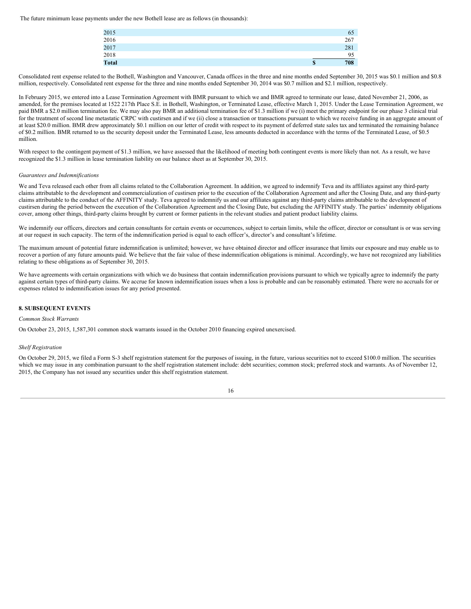The future minimum lease payments under the new Bothell lease are as follows (in thousands):

| 2015         | 65        |
|--------------|-----------|
| 2016         | 267       |
| 2017         | 281       |
| 2018         | 95        |
| <b>Total</b> | \$<br>708 |

Consolidated rent expense related to the Bothell, Washington and Vancouver, Canada offices in the three and nine months ended September 30, 2015 was \$0.1 million and \$0.8 million, respectively. Consolidated rent expense for the three and nine months ended September 30, 2014 was \$0.7 million and \$2.1 million, respectively.

In February 2015, we entered into a Lease Termination Agreement with BMR pursuant to which we and BMR agreed to terminate our lease, dated November 21, 2006, as amended, for the premises located at 1522 217th Place S.E. in Bothell, Washington, or Terminated Lease, effective March 1, 2015. Under the Lease Termination Agreement, we paid BMR a \$2.0 million termination fee. We may also pay BMR an additional termination fee of \$1.3 million if we (i) meet the primary endpoint for our phase 3 clinical trial for the treatment of second line metastatic CRPC with custirsen and if we (ii) close a transaction or transactions pursuant to which we receive funding in an aggregate amount of at least \$20.0 million. BMR drew approximately \$0.1 million on our letter of credit with respect to its payment of deferred state sales tax and terminated the remaining balance of \$0.2 million. BMR returned to us the security deposit under the Terminated Lease, less amounts deducted in accordance with the terms of the Terminated Lease, of \$0.5 million.

With respect to the contingent payment of \$1.3 million, we have assessed that the likelihood of meeting both contingent events is more likely than not. As a result, we have recognized the \$1.3 million in lease termination liability on our balance sheet as at September 30, 2015.

#### *Guarantees and Indemnifications*

We and Teva released each other from all claims related to the Collaboration Agreement. In addition, we agreed to indemnify Teva and its affiliates against any third-party claims attributable to the development and commercialization of custirsen prior to the execution of the Collaboration Agreement and after the Closing Date, and any third-party claims attributable to the conduct of the AFFINITY study. Teva agreed to indemnify us and our affiliates against any third-party claims attributable to the development of custirsen during the period between the execution of the Collaboration Agreement and the Closing Date, but excluding the AFFINITY study. The parties' indemnity obligations cover, among other things, third-party claims brought by current or former patients in the relevant studies and patient product liability claims.

We indemnify our officers, directors and certain consultants for certain events or occurrences, subject to certain limits, while the officer, director or consultant is or was serving at our request in such capacity. The term of the indemnification period is equal to each officer's, director's and consultant's lifetime.

The maximum amount of potential future indemnification is unlimited; however, we have obtained director and officer insurance that limits our exposure and may enable us to recover a portion of any future amounts paid. We believe that the fair value of these indemnification obligations is minimal. Accordingly, we have not recognized any liabilities relating to these obligations as of September 30, 2015.

We have agreements with certain organizations with which we do business that contain indemnification provisions pursuant to which we typically agree to indemnify the party against certain types of third-party claims. We accrue for known indemnification issues when a loss is probable and can be reasonably estimated. There were no accruals for or expenses related to indemnification issues for any period presented.

## **8. SUBSEQUENT EVENTS**

#### *Common Stock Warrants*

On October 23, 2015, 1,587,301 common stock warrants issued in the October 2010 financing expired unexercised.

## *Shelf Registration*

On October 29, 2015, we filed a Form S-3 shelf registration statement for the purposes of issuing, in the future, various securities not to exceed \$100.0 million. The securities which we may issue in any combination pursuant to the shelf registration statement include: debt securities; common stock; preferred stock and warrants. As of November 12, 2015, the Company has not issued any securities under this shelf registration statement.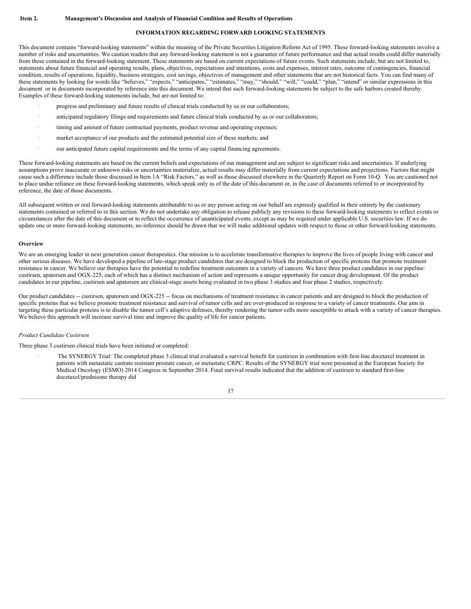#### **INFORMATION REGARDING FORWARD LOOKING STATEMENTS**

<span id="page-16-0"></span>This document contains "forward-looking statements" within the meaning of the Private Securities Litigation Reform Act of 1995. These forward-looking statements involve a number of risks and uncertainties. We caution readers that any forward-looking statement is not a guarantee of future performance and that actual results could differ materially from those contained in the forward-looking statement. These statements are based on current expectations of future events. Such statements include, but are not limited to, statements about future financial and operating results, plans, objectives, expectations and intentions, costs and expenses, interest rates, outcome of contingencies, financial condition, results of operations, liquidity, business strategies, cost savings, objectives of management and other statements that are not historical facts. You can find many of these statements by looking for words like "believes," "expects," "anticipates," "estimates," "may," "should," "will," "could," "plan," "intend" or similar expressions in this document or in documents incorporated by reference into this document. We intend that such forward-looking statements be subject to the safe harbors created thereby. Examples of these forward-looking statements include, but are not limited to:

- progress and preliminary and future results of clinical trials conducted by us or our collaborators;
- anticipated regulatory filings and requirements and future clinical trials conducted by us or our collaborators;
- timing and amount of future contractual payments, product revenue and operating expenses;
- market acceptance of our products and the estimated potential size of these markets; and
- our anticipated future capital requirements and the terms of any capital financing agreements.

These forward-looking statements are based on the current beliefs and expectations of our management and are subject to significant risks and uncertainties. If underlying assumptions prove inaccurate or unknown risks or uncertainties materialize, actual results may differ materially from current expectations and projections. Factors that might cause such a difference include those discussed in Item 1A "Risk Factors," as well as those discussed elsewhere in the Quarterly Report on Form 10-Q. You are cautioned not to place undue reliance on these forward-looking statements, which speak only as of the date of this document or, in the case of documents referred to or incorporated by reference, the date of those documents.

All subsequent written or oral forward-looking statements attributable to us or any person acting on our behalf are expressly qualified in their entirety by the cautionary statements contained or referred to in this section. We do not undertake any obligation to release publicly any revisions to these forward-looking statements to reflect events or circumstances after the date of this document or to reflect the occurrence of unanticipated events, except as may be required under applicable U.S. securities law. If we do update one or more forward-looking statements, no inference should be drawn that we will make additional updates with respect to those or other forward-looking statements.

#### **Overview**

We are an emerging leader in next generation cancer therapeutics. Our mission is to accelerate transformative therapies to improve the lives of people living with cancer and other serious diseases. We have developed a pipeline of late-stage product candidates that are designed to block the production of specific proteins that promote treatment resistance in cancer. We believe our therapies have the potential to redefine treatment outcomes in a variety of cancers. We have three product candidates in our pipeline: custirsen, apatorsen and OGX-225, each of which has a distinct mechanism of action and represents a unique opportunity for cancer drug development. Of the product candidates in our pipeline, custirsen and apatorsen are clinical-stage assets being evaluated in two phase 3 studies and four phase 2 studies, respectively.

Our product candidates -- custirsen, apatorsen and OGX-225 -- focus on mechanisms of treatment resistance in cancer patients and are designed to block the production of specific proteins that we believe promote treatment resistance and survival of tumor cells and are over-produced in response to a variety of cancer treatments. Our aim in targeting these particular proteins is to disable the tumor cell's adaptive defenses, thereby rendering the tumor cells more susceptible to attack with a variety of cancer therapies. We believe this approach will increase survival time and improve the quality of life for cancer patients.

#### *Product Candidate Custirsen*

Three phase 3 custirsen clinical trials have been initiated or completed:

The SYNERGY Trial: The completed phase 3 clinical trial evaluated a survival benefit for custirsen in combination with first-line docetaxel treatment in patients with metastatic castrate resistant prostate cancer, or metastatic CRPC. Results of the SYNERGY trial were presented at the European Society for Medical Oncology (ESMO) 2014 Congress in September 2014. Final survival results indicated that the addition of custirsen to standard first-line docetaxel/prednisone therapy did

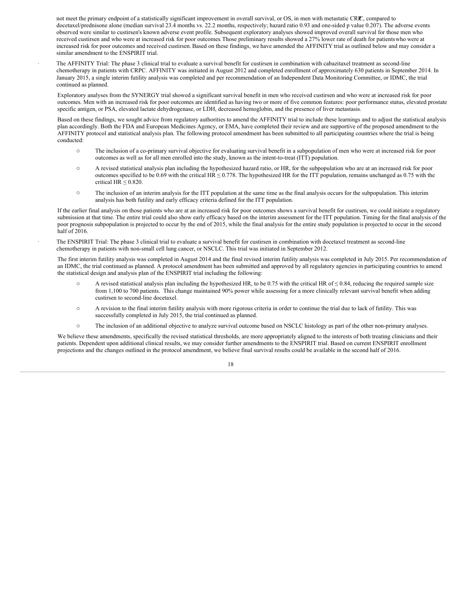not meet the primary endpoint of a statistically significant improvement in overall survival, or OS, in men with metastatic CRPC, compared to docetaxel/prednisone alone (median survival 23.4 months vs. 22.2 months, respectively; hazard ratio 0.93 and one-sided p value 0.207). The adverse events observed were similar to custirsen's known adverse event profile. Subsequent exploratory analyses showed improved overall survival for those men who received custirsen and who were at increased risk for poor outcomes. Those preliminary results showed a 27% lower rate of death for patients who were at increased risk for poor outcomes and received custirsen.Based on these findings, we have amended the AFFINITY trial as outlined below and may consider a similar amendment to the ENSPIRIT trial.

The AFFINITY Trial: The phase 3 clinical trial to evaluate a survival benefit for custirsen in combination with cabazitaxel treatment as second-line chemotherapy in patients with CRPC. AFFINITY was initiated in August 2012 and completed enrollment of approximately 630 patients in September 2014. In January 2015, a single interim futility analysis was completed and per recommendation of an Independent Data Monitoring Committee, or IDMC, the trial continued as planned.

Exploratory analyses from the SYNERGY trial showed a significant survival benefit in men who received custirsen and who were at increased risk for poor outcomes. Men with an increased risk for poor outcomes are identified as having two or more of five common features: poor performance status, elevated prostate specific antigen, or PSA, elevated lactate dehydrogenase, or LDH, decreased hemoglobin, and the presence of liver metastasis.

Based on these findings, we sought advice from regulatory authorities to amend the AFFINITY trial to include these learnings and to adjust the statistical analysis plan accordingly. Both the FDA and European Medicines Agency, or EMA, have completed their review and are supportive of the proposed amendment to the AFFINITY protocol and statistical analysis plan. The following protocol amendment has been submitted to all participating countries where the trial is being conducted:

- o The inclusion of a co-primary survival objective for evaluating survival benefit in a subpopulation of men who were at increased risk for poor outcomes as well as for all men enrolled into the study, known as the intent-to-treat (ITT) population.
- o A revised statistical analysis plan including the hypothesized hazard ratio, or HR, for the subpopulation who are at an increased risk for poor outcomes specified to be 0.69 with the critical HR  $\leq$  0.778. The hypothesized HR for the ITT population, remains unchanged as 0.75 with the critical HR  $\leq$  0.820.
- o The inclusion of an interim analysis for the ITT population at the same time as the final analysis occurs for the subpopulation. This interim analysis has both futility and early efficacy criteria defined for the ITT population.

If the earlier final analysis on those patients who are at an increased risk for poor outcomes shows a survival benefit for custirsen, we could initiate a regulatory submission at that time. The entire trial could also show early efficacy based on the interim assessment for the ITT population. Timing for the final analysis of the poor prognosis subpopulation is projected to occur by the end of 2015, while the final analysis for the entire study population is projected to occur in the second half of 2016.

· The ENSPIRIT Trial: The phase 3 clinical trial to evaluate a survival benefit for custirsen in combination with docetaxel treatment as second-line chemotherapy in patients with non-small cell lung cancer, or NSCLC. This trial was initiated in September 2012.

The first interim futility analysis was completed in August 2014 and the final revised interim futility analysis was completed in July 2015. Per recommendation of an IDMC, the trial continued as planned. A protocol amendment has been submitted and approved by all regulatory agencies in participating countries to amend the statistical design and analysis plan of the ENSPIRIT trial including the following:

- A revised statistical analysis plan including the hypothesized HR, to be 0.75 with the critical HR of ≤ 0.84, reducing the required sample size from 1,100 to 700 patients. This change maintained 90% power while assessing for a more clinically relevant survival benefit when adding custirsen to second-line docetaxel.
- o A revision to the final interim futility analysis with more rigorous criteria in order to continue the trial due to lack of futility. This was successfully completed in July 2015, the trial continued as planned.
- o The inclusion of an additional objective to analyze survival outcome based on NSCLC histology as part of the other non-primary analyses.

We believe these amendments, specifically the revised statistical thresholds, are more appropriately aligned to the interests of both treating clinicians and their patients. Dependent upon additional clinical results, we may consider further amendments to the ENSPIRIT trial. Based on current ENSPIRIT enrollment projections and the changes outlined in the protocol amendment, we believe final survival results could be available in the second half of 2016.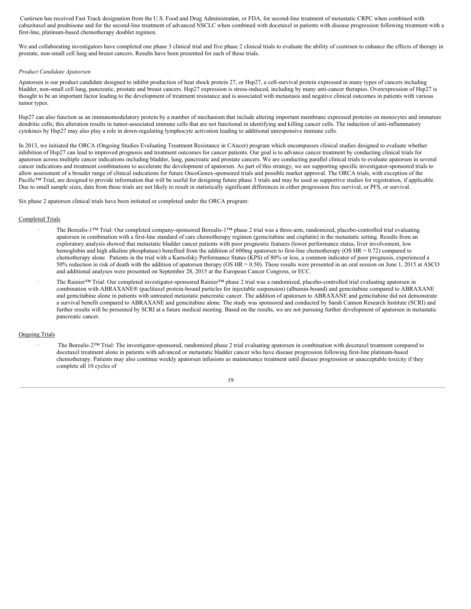Custirsen has received Fast Track designation from the U.S. Food and Drug Administration, or FDA, for second-line treatment of metastatic CRPC when combined with cabazitaxel and prednisone and for the second-line treatment of advanced NSCLC when combined with docetaxel in patients with disease progression following treatment with a first-line, platinum-based chemotherapy doublet regimen.

We and collaborating investigators have completed one phase 3 clinical trial and five phase 2 clinical trials to evaluate the ability of custirsen to enhance the effects of therapy in prostate, non-small cell lung and breast cancers. Results have been presented for each of these trials.

#### *Product Candidate Apatorsen*

Apatorsen is our product candidate designed to inhibit production of heat shock protein 27, or Hsp27, a cell-survival protein expressed in many types of cancers including bladder, non-small cell lung, pancreatic, prostate and breast cancers. Hsp27 expression is stress-induced, including by many anti-cancer therapies. Overexpression of Hsp27 is thought to be an important factor leading to the development of treatment resistance and is associated with metastasis and negative clinical outcomes in patients with various tumor types.

Hsp27 can also function as an immunomodulatory protein by a number of mechanism that include altering important membrane expressed proteins on monocytes and immature dendritic cells; this alteration results in tumor-associated immune cells that are not functional in identifying and killing cancer cells. The induction of anti-inflammatory cytokines by Hsp27 may also play a role in down-regulating lymphocyte activation leading to additional unresponsive immune cells.

In 2013, we initiated the ORCA (Ongoing Studies Evaluating Treatment Resistance in CAncer) program which encompasses clinical studies designed to evaluate whether inhibition of Hsp27 can lead to improved prognosis and treatment outcomes for cancer patients. Our goal is to advance cancer treatment by conducting clinical trials for apatorsen across multiple cancer indications including bladder, lung, pancreatic and prostate cancers. We are conducting parallel clinical trials to evaluate apatorsen in several cancer indications and treatment combinations to accelerate the development of apatorsen. As part of this strategy, we are supporting specific investigator-sponsored trials to allow assessment of a broader range of clinical indications for future OncoGenex-sponsored trials and possible market approval. The ORCA trials, with exception of the Pacific™ Trial, are designed to provide information that will be useful for designing future phase 3 trials and may be used as supportive studies for registration, if applicable. Due to small sample sizes, data from these trials are not likely to result in statistically significant differences in either progression free survival, or PFS, or survival.

Six phase 2 apatorsen clinical trials have been initiated or completed under the ORCA program:

#### Completed Trials

- The Borealis-1™ Trial: Our completed company-sponsored Borealis-1™ phase 2 trial was a three-arm, randomized, placebo-controlled trial evaluating apatorsen in combination with a first-line standard of care chemotherapy regimen (gemcitabine and cisplatin) in the metastatic setting. Results from an exploratory analysis showed that metastatic bladder cancer patients with poor prognostic features (lower performance status, liver involvement, low hemoglobin and high alkaline phosphatase) benefited from the addition of 600mg apatorsen to first-line chemotherapy (OS HR = 0.72) compared to chemotherapy alone. Patients in the trial with a Karnofsky Performance Status (KPS) of 80% or less, a common indicator of poor prognosis, experienced a 50% reduction in risk of death with the addition of apatorsen therapy (OS HR = 0.50). These results were presented in an oral session on June 1, 2015 at ASCO and additional analyses were presented on September 28, 2015 at the European Cancer Congress, or ECC.
- The Rainier™ Trial: Our completed investigator-sponsored Rainier™ phase 2 trial was a randomized, placebo-controlled trial evaluating apatorsen in combination with ABRAXANE® (paclitaxel protein-bound particles for injectable suspension) (albumin-bound) and gemcitabine compared to ABRAXANE and gemcitabine alone in patients with untreated metastatic pancreatic cancer. The addition of apatorsen to ABRAXANE and gemcitabine did not demonstrate a survival benefit compared to ABRAXANE and gemcitabine alone. The study was sponsored and conducted by Sarah Cannon Research Institute (SCRI) and further results will be presented by SCRI at a future medical meeting. Based on the results, we are not pursuing further development of apatorsen in metastatic pancreatic cancer.

#### Ongoing Trials

· The Borealis-2™ Trial: The investigator-sponsored, randomized phase 2 trial evaluating apatorsen in combination with docetaxel treatment compared to docetaxel treatment alone in patients with advanced or metastatic bladder cancer who have disease progression following first-line platinum-based chemotherapy. Patients may also continue weekly apatorsen infusions as maintenance treatment until disease progression or unacceptable toxicity if they complete all 10 cycles of

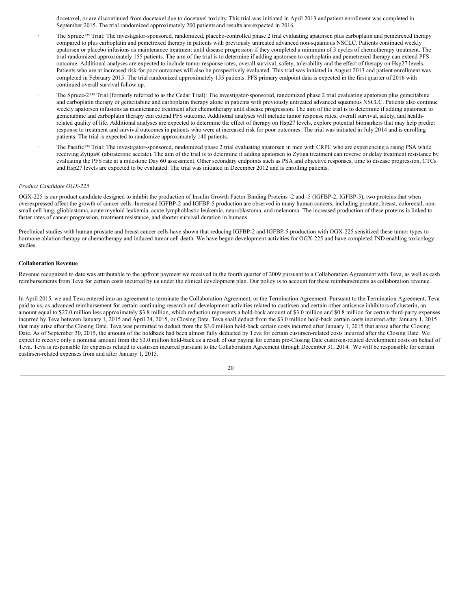docetaxel, or are discontinued from docetaxel due to docetaxel toxicity. This trial was initiated in April 2013 andpatient enrollment was completed in September 2015. The trial randomized approximately 200 patients and results are expected in 2016.

- The Spruce™ Trial: The investigator-sponsored, randomized, placebo-controlled phase 2 trial evaluating apatorsen plus carboplatin and pemetrexed therapy compared to plus carboplatin and pemetrexed therapy in patients with previously untreated advanced non-squamous NSCLC. Patients continued weekly apatorsen or placebo infusions as maintenance treatment until disease progression if they completed a minimum of 3 cycles of chemotherapy treatment. The trial randomized approximately 155 patients. The aim of the trial is to determine if adding apatorsen to carboplatin and pemetrexed therapy can extend PFS outcome. Additional analyses are expected to include tumor response rates, overall survival, safety, tolerability and the effect of therapy on Hsp27 levels. Patients who are at increased risk for poor outcomes will also be prospectively evaluated. This trial was initiated in August 2013 and patient enrollment was completed in February 2015. The trial randomized approximately 155 patients. PFS primary endpoint data is expected in the first quarter of 2016 with continued overall survival follow up.
- The Spruce-2™ Trial (formerly referred to as the Cedar Trial): The investigator-sponsored, randomized phase 2 trial evaluating apatorsen plus gemcitabine and carboplatin therapy or gemcitabine and carboplatin therapy alone in patients with previously untreated advanced squamous NSCLC. Patients also continue weekly apatorsen infusions as maintenance treatment after chemotherapy until disease progression. The aim of the trial is to determine if adding apatorsen to gemcitabine and carboplatin therapy can extend PFS outcome. Additional analyses will include tumor response rates, overall survival, safety, and healthrelated quality of life. Additional analyses are expected to determine the effect of therapy on Hsp27 levels, explore potential biomarkers that may help predict response to treatment and survival outcomes in patients who were at increased risk for poor outcomes. The trial was initiated in July 2014 and is enrolling patients. The trial is expected to randomize approximately 140 patients.
- The Pacific™ Trial: The investigator-sponsored, randomized phase 2 trial evaluating apatorsen in men with CRPC who are experiencing a rising PSA while receiving Zytiga® (abiraterone acetate). The aim of the trial is to determine if adding apatorsen to Zytiga treatment can reverse or delay treatment resistance by evaluating the PFS rate at a milestone Day 60 assessment. Other secondary endpoints such as PSA and objective responses, time to disease progression, CTCs and Hsp27 levels are expected to be evaluated. The trial was initiated in December 2012 and is enrolling patients.

#### *Product Candidate OGX-225*

OGX-225 is our product candidate designed to inhibit the production of Insulin Growth Factor Binding Proteins -2 and -5 (IGFBP-2, IGFBP-5), two proteins that when overexpressed affect the growth of cancer cells. Increased IGFBP-2 and IGFBP-5 production are observed in many human cancers, including prostate, breast, colorectal, nonsmall cell lung, glioblastoma, acute myeloid leukemia, acute lymphoblastic leukemia, neuroblastoma, and melanoma. The increased production of these proteins is linked to faster rates of cancer progression, treatment resistance, and shorter survival duration in humans.

Preclinical studies with human prostate and breast cancer cells have shown that reducing IGFBP-2 and IGFBP-5 production with OGX-225 sensitized these tumor types to hormone ablation therapy or chemotherapy and induced tumor cell death. We have begun development activities for OGX-225 and have completed IND enabling toxicology studies.

#### **Collaboration Revenue**

Revenue recognized to date was attributable to the upfront payment we received in the fourth quarter of 2009 pursuant to a Collaboration Agreement with Teva, as well as cash reimbursements from Teva for certain costs incurred by us under the clinical development plan. Our policy is to account for these reimbursements as collaboration revenue.

In April 2015, we and Teva entered into an agreement to terminate the Collaboration Agreement, or the Termination Agreement. Pursuant to the Termination Agreement, Teva paid to us, as advanced reimbursement for certain continuing research and development activities related to custirsen and certain other antisense inhibitors of clusterin, an amount equal to \$27.0 million less approximately \$3.8 million, which reduction represents a hold-back amount of \$3.0 million and \$0.8 million for certain third-party expenses incurred by Teva between January 1, 2015 and April 24, 2015, or Closing Date. Teva shall deduct from the \$3.0 million hold-back certain costs incurred after January 1, 2015 that may arise after the Closing Date. Teva was permitted to deduct from the \$3.0 million hold-back certain costs incurred after January 1, 2015 that arose after the Closing Date. As of September 30, 2015, the amount of the holdback had been almost fully deducted by Teva for certain custirsen-related costs incurred after the Closing Date. We expect to receive only a nominal amount from the \$3.0 million hold-back as a result of our paying for certain pre-Closing Date custirsen-related development costs on behalf of Teva. Teva is responsible for expenses related to custirsen incurred pursuant to the Collaboration Agreement through December 31, 2014. We will be responsible for certain custirsen-related expenses from and after January 1, 2015.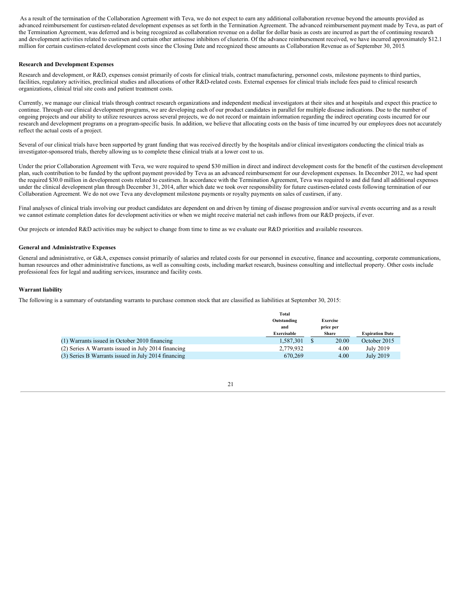As a result of the termination of the Collaboration Agreement with Teva, we do not expect to earn any additional collaboration revenue beyond the amounts provided as advanced reimbursement for custirsen-related development expenses as set forth in the Termination Agreement. The advanced reimbursement payment made by Teva, as part of the Termination Agreement, was deferred and is being recognized as collaboration revenue on a dollar for dollar basis as costs are incurred as part the of continuing research and development activities related to custirsen and certain other antisense inhibitors of clusterin. Of the advance reimbursement received, we have incurred approximately \$12.1 million for certain custirsen-related development costs since the Closing Date and recognized these amounts as Collaboration Revenue as of September 30, 2015.

#### **Research and Development Expenses**

Research and development, or R&D, expenses consist primarily of costs for clinical trials, contract manufacturing, personnel costs, milestone payments to third parties, facilities, regulatory activities, preclinical studies and allocations of other R&D-related costs. External expenses for clinical trials include fees paid to clinical research organizations, clinical trial site costs and patient treatment costs.

Currently, we manage our clinical trials through contract research organizations and independent medical investigators at their sites and at hospitals and expect this practice to continue. Through our clinical development programs, we are developing each of our product candidates in parallel for multiple disease indications. Due to the number of ongoing projects and our ability to utilize resources across several projects, we do not record or maintain information regarding the indirect operating costs incurred for our research and development programs on a program-specific basis. In addition, we believe that allocating costs on the basis of time incurred by our employees does not accurately reflect the actual costs of a project.

Several of our clinical trials have been supported by grant funding that was received directly by the hospitals and/or clinical investigators conducting the clinical trials as investigator-sponsored trials, thereby allowing us to complete these clinical trials at a lower cost to us.

Under the prior Collaboration Agreement with Teva, we were required to spend \$30 million in direct and indirect development costs for the benefit of the custirsen development plan, such contribution to be funded by the upfront payment provided by Teva as an advanced reimbursement for our development expenses. In December 2012, we had spent the required \$30.0 million in development costs related to custirsen. In accordance with the Termination Agreement, Teva was required to and did fund all additional expenses under the clinical development plan through December 31, 2014, after which date we took over responsibility for future custirsen-related costs following termination of our Collaboration Agreement. We do not owe Teva any development milestone payments or royalty payments on sales of custirsen, if any.

Final analyses of clinical trials involving our product candidates are dependent on and driven by timing of disease progression and/or survival events occurring and as a result we cannot estimate completion dates for development activities or when we might receive material net cash inflows from our R&D projects, if ever.

Our projects or intended R&D activities may be subject to change from time to time as we evaluate our R&D priorities and available resources.

#### **General and Administrative Expenses**

General and administrative, or G&A, expenses consist primarily of salaries and related costs for our personnel in executive, finance and accounting, corporate communications, human resources and other administrative functions, as well as consulting costs, including market research, business consulting and intellectual property. Other costs include professional fees for legal and auditing services, insurance and facility costs.

#### **Warrant liability**

The following is a summary of outstanding warrants to purchase common stock that are classified as liabilities at September 30, 2015:

|                                                     | Total       |                 |                        |
|-----------------------------------------------------|-------------|-----------------|------------------------|
|                                                     | Outstanding | <b>Exercise</b> |                        |
|                                                     | and         | price per       |                        |
|                                                     | Exercisable | <b>Share</b>    | <b>Expiration Date</b> |
| (1) Warrants issued in October 2010 financing       | 1.587.301   | 20.00           | October 2015           |
| (2) Series A Warrants issued in July 2014 financing | 2.779.932   | 4.00            | July 2019              |
| (3) Series B Warrants issued in July 2014 financing | 670.269     | 4.00            | July 2019              |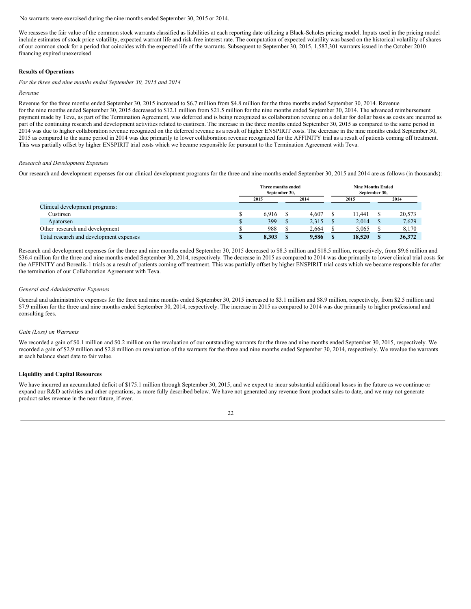No warrants were exercised during the nine months ended September 30, 2015 or 2014.

We reassess the fair value of the common stock warrants classified as liabilities at each reporting date utilizing a Black-Scholes pricing model. Inputs used in the pricing model include estimates of stock price volatility, expected warrant life and risk-free interest rate. The computation of expected volatility was based on the historical volatility of shares of our common stock for a period that coincides with the expected life of the warrants. Subsequent to September 30, 2015, 1,587,301 warrants issued in the October 2010 financing expired unexercised

#### **Results of Operations**

*For the three and nine months ended September 30, 2015 and 2014*

#### *Revenue*

Revenue for the three months ended September 30, 2015 increased to \$6.7 million from \$4.8 million for the three months ended September 30, 2014. Revenue for the nine months ended September 30, 2015 decreased to \$12.1 million from \$21.5 million for the nine months ended September 30, 2014. The advanced reimbursement payment made by Teva, as part of the Termination Agreement, was deferred and is being recognized as collaboration revenue on a dollar for dollar basis as costs are incurred as part of the continuing research and development activities related to custirsen. The increase in the three months ended September 30, 2015 as compared to the same period in 2014 was due to higher collaboration revenue recognized on the deferred revenue as a result of higher ENSPIRIT costs. The decrease in the nine months ended September 30, 2015 as compared to the same period in 2014 was due primarily to lower collaboration revenue recognized for the AFFINITY trial as a result of patients coming off treatment. This was partially offset by higher ENSPIRIT trial costs which we became responsible for pursuant to the Termination Agreement with Teva.

#### *Research and Development Expenses*

Our research and development expenses for our clinical development programs for the three and nine months ended September 30, 2015 and 2014 are as follows (in thousands):

|                                         | Three months ended<br>September 30, |  |       | <b>Nine Months Ended</b><br>September 30, |        |  |        |
|-----------------------------------------|-------------------------------------|--|-------|-------------------------------------------|--------|--|--------|
|                                         | 2014<br>2015                        |  | 2015  |                                           | 2014   |  |        |
| Clinical development programs:          |                                     |  |       |                                           |        |  |        |
| Custirsen                               | 6.916                               |  | 4.607 |                                           | 11.441 |  | 20,573 |
| Apatorsen                               | 399                                 |  | 2,315 |                                           | 2,014  |  | 7,629  |
| Other research and development          | 988                                 |  | 2,664 |                                           | 5,065  |  | 8,170  |
| Total research and development expenses | 8.303                               |  | 9.586 |                                           | 18.520 |  | 36,372 |

Research and development expenses for the three and nine months ended September 30, 2015 decreased to \$8.3 million and \$18.5 million, respectively, from \$9.6 million and \$36.4 million for the three and nine months ended September 30, 2014, respectively. The decrease in 2015 as compared to 2014 was due primarily to lower clinical trial costs for the AFFINITY and Borealis-1 trials as a result of patients coming off treatment. This was partially offset by higher ENSPIRIT trial costs which we became responsible for after the termination of our Collaboration Agreement with Teva.

#### *General and Administrative Expenses*

General and administrative expenses for the three and nine months ended September 30, 2015 increased to \$3.1 million and \$8.9 million, respectively, from \$2.5 million and \$7.9 million for the three and nine months ended September 30, 2014, respectively. The increase in 2015 as compared to 2014 was due primarily to higher professional and consulting fees.

#### *Gain (Loss) on Warrants*

We recorded a gain of \$0.1 million and \$0.2 million on the revaluation of our outstanding warrants for the three and nine months ended September 30, 2015, respectively. We recorded a gain of \$2.9 million and \$2.8 million on revaluation of the warrants for the three and nine months ended September 30, 2014, respectively. We revalue the warrants at each balance sheet date to fair value.

#### **Liquidity and Capital Resources**

We have incurred an accumulated deficit of \$175.1 million through September 30, 2015, and we expect to incur substantial additional losses in the future as we continue or expand our R&D activities and other operations, as more fully described below. We have not generated any revenue from product sales to date, and we may not generate product sales revenue in the near future, if ever.

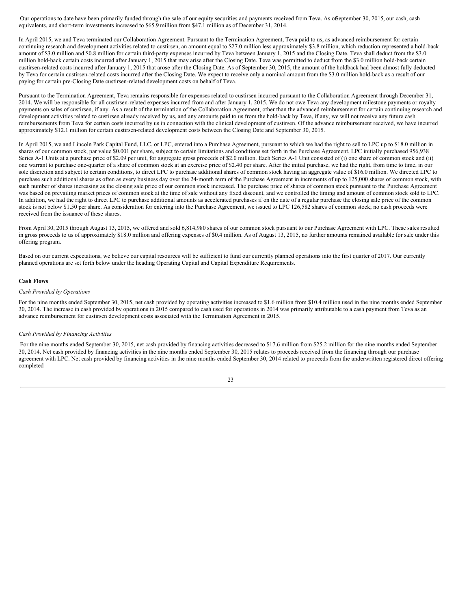Our operations to date have been primarily funded through the sale of our equity securities and payments received from Teva. As of eptember 30, 2015, our cash, cash equivalents, and short-term investments increased to \$65.9 million from \$47.1 million as of December 31, 2014.

In April 2015, we and Teva terminated our Collaboration Agreement. Pursuant to the Termination Agreement, Teva paid to us, as advanced reimbursement for certain continuing research and development activities related to custirsen, an amount equal to \$27.0 million less approximately \$3.8 million, which reduction represented a hold-back amount of \$3.0 million and \$0.8 million for certain third-party expenses incurred by Teva between January 1, 2015 and the Closing Date. Teva shall deduct from the \$3.0 million hold-back certain costs incurred after January 1, 2015 that may arise after the Closing Date. Teva was permitted to deduct from the \$3.0 million hold-back certain custirsen-related costs incurred after January 1, 2015 that arose after the Closing Date. As of September 30, 2015, the amount of the holdback had been almost fully deducted by Teva for certain custirsen-related costs incurred after the Closing Date. We expect to receive only a nominal amount from the \$3.0 million hold-back as a result of our paying for certain pre-Closing Date custirsen-related development costs on behalf of Teva.

Pursuant to the Termination Agreement, Teva remains responsible for expenses related to custirsen incurred pursuant to the Collaboration Agreement through December 31, 2014. We will be responsible for all custirsen-related expenses incurred from and after January 1, 2015. We do not owe Teva any development milestone payments or royalty payments on sales of custirsen, if any. As a result of the termination of the Collaboration Agreement, other than the advanced reimbursement for certain continuing research and development activities related to custirsen already received by us, and any amounts paid to us from the hold-back by Teva, if any, we will not receive any future cash reimbursements from Teva for certain costs incurred by us in connection with the clinical development of custirsen. Of the advance reimbursement received, we have incurred approximately \$12.1 million for certain custirsen-related development costs between the Closing Date and September 30, 2015.

In April 2015, we and Lincoln Park Capital Fund, LLC, or LPC, entered into a Purchase Agreement, pursuant to which we had the right to sell to LPC up to \$18.0 million in shares of our common stock, par value \$0.001 per share, subject to certain limitations and conditions set forth in the Purchase Agreement. LPC initially purchased 956,938 Series A-1 Units at a purchase price of \$2.09 per unit, for aggregate gross proceeds of \$2.0 million. Each Series A-1 Unit consisted of (i) one share of common stock and (ii) one warrant to purchase one-quarter of a share of common stock at an exercise price of \$2.40 per share. After the initial purchase, we had the right, from time to time, in our sole discretion and subject to certain conditions, to direct LPC to purchase additional shares of common stock having an aggregate value of \$16.0 million. We directed LPC to purchase such additional shares as often as every business day over the 24-month term of the Purchase Agreement in increments of up to 125,000 shares of common stock, with such number of shares increasing as the closing sale price of our common stock increased. The purchase price of shares of common stock pursuant to the Purchase Agreement was based on prevailing market prices of common stock at the time of sale without any fixed discount, and we controlled the timing and amount of common stock sold to LPC. In addition, we had the right to direct LPC to purchase additional amounts as accelerated purchases if on the date of a regular purchase the closing sale price of the common stock is not below \$1.50 per share. As consideration for entering into the Purchase Agreement, we issued to LPC 126,582 shares of common stock; no cash proceeds were received from the issuance of these shares.

From April 30, 2015 through August 13, 2015, we offered and sold 6,814,980 shares of our common stock pursuant to our Purchase Agreement with LPC. These sales resulted in gross proceeds to us of approximately \$18.0 million and offering expenses of \$0.4 million. As of August 13, 2015, no further amounts remained available for sale under this offering program.

Based on our current expectations, we believe our capital resources will be sufficient to fund our currently planned operations into the first quarter of 2017. Our currently planned operations are set forth below under the heading Operating Capital and Capital Expenditure Requirements.

#### **Cash Flows**

#### *Cash Provided by Operations*

For the nine months ended September 30, 2015, net cash provided by operating activities increased to \$1.6 million from \$10.4 million used in the nine months ended September 30, 2014. The increase in cash provided by operations in 2015 compared to cash used for operations in 2014 was primarily attributable to a cash payment from Teva as an advance reimbursement for custirsen development costs associated with the Termination Agreement in 2015.

#### *Cash Provided by Financing Activities*

For the nine months ended September 30, 2015, net cash provided by financing activities decreased to \$17.6 million from \$25.2 million for the nine months ended September 30, 2014. Net cash provided by financing activities in the nine months ended September 30, 2015 relates to proceeds received from the financing through our purchase agreement with LPC. Net cash provided by financing activities in the nine months ended September 30, 2014 related to proceeds from the underwritten registered direct offering completed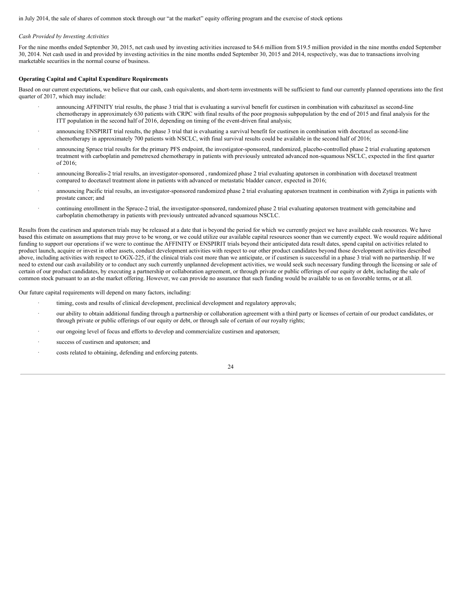in July 2014, the sale of shares of common stock through our "at the market" equity offering program and the exercise of stock options

#### *Cash Provided by Investing Activities*

For the nine months ended September 30, 2015, net cash used by investing activities increased to \$4.6 million from \$19.5 million provided in the nine months ended September 30, 2014. Net cash used in and provided by investing activities in the nine months ended September 30, 2015 and 2014, respectively, was due to transactions involving marketable securities in the normal course of business.

#### **Operating Capital and Capital Expenditure Requirements**

Based on our current expectations, we believe that our cash, cash equivalents, and short-term investments will be sufficient to fund our currently planned operations into the first quarter of 2017, which may include:

- announcing AFFINITY trial results, the phase 3 trial that is evaluating a survival benefit for custirsen in combination with cabazitaxel as second-line chemotherapy in approximately 630 patients with CRPC with final results of the poor prognosis subpopulation by the end of 2015 and final analysis for the ITT population in the second half of 2016, depending on timing of the event-driven final analysis;
- · announcing ENSPIRIT trial results, the phase 3 trial that is evaluating a survival benefit for custirsen in combination with docetaxel as second-line chemotherapy in approximately 700 patients with NSCLC, with final survival results could be available in the second half of 2016;
- announcing Spruce trial results for the primary PFS endpoint, the investigator-sponsored, randomized, placebo-controlled phase 2 trial evaluating apatorsen treatment with carboplatin and pemetrexed chemotherapy in patients with previously untreated advanced non-squamous NSCLC, expected in the first quarter of 2016;
- · announcing Borealis-2 trial results, an investigator-sponsored , randomized phase 2 trial evaluating apatorsen in combination with docetaxel treatment compared to docetaxel treatment alone in patients with advanced or metastatic bladder cancer, expected in 2016;
- announcing Pacific trial results, an investigator-sponsored randomized phase 2 trial evaluating apatorsen treatment in combination with Zytiga in patients with prostate cancer; and
- · continuing enrollment in the Spruce-2 trial, the investigator-sponsored, randomized phase 2 trial evaluating apatorsen treatment with gemcitabine and carboplatin chemotherapy in patients with previously untreated advanced squamous NSCLC.

Results from the custirsen and apatorsen trials may be released at a date that is beyond the period for which we currently project we have available cash resources. We have based this estimate on assumptions that may prove to be wrong, or we could utilize our available capital resources sooner than we currently expect. We would require additional funding to support our operations if we were to continue the AFFINITY or ENSPIRIT trials beyond their anticipated data result dates, spend capital on activities related to product launch, acquire or invest in other assets, conduct development activities with respect to our other product candidates beyond those development activities described above, including activities with respect to OGX-225, if the clinical trials cost more than we anticipate, or if custirsen is successful in a phase 3 trial with no partnership. If we need to extend our cash availability or to conduct any such currently unplanned development activities, we would seek such necessary funding through the licensing or sale of certain of our product candidates, by executing a partnership or collaboration agreement, or through private or public offerings of our equity or debt, including the sale of common stock pursuant to an at-the market offering. However, we can provide no assurance that such funding would be available to us on favorable terms, or at all.

Our future capital requirements will depend on many factors, including:

- timing, costs and results of clinical development, preclinical development and regulatory approvals;
- · our ability to obtain additional funding through a partnership or collaboration agreement with a third party or licenses of certain of our product candidates, or through private or public offerings of our equity or debt, or through sale of certain of our royalty rights;
- our ongoing level of focus and efforts to develop and commercialize custirsen and apatorsen;
- success of custirsen and apatorsen; and
- costs related to obtaining, defending and enforcing patents.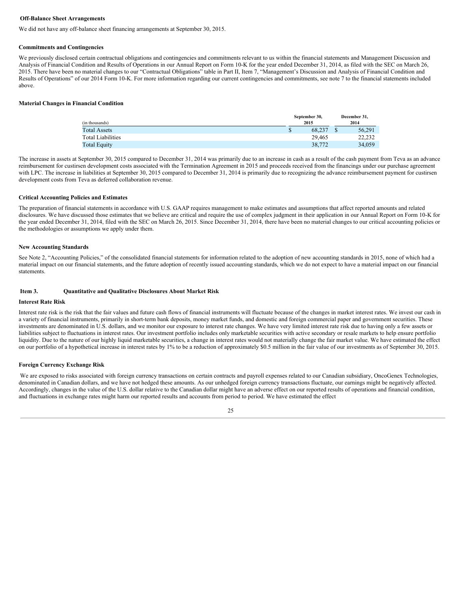#### **Off-Balance Sheet Arrangements**

We did not have any off-balance sheet financing arrangements at September 30, 2015.

#### **Commitments and Contingencies**

We previously disclosed certain contractual obligations and contingencies and commitments relevant to us within the financial statements and Management Discussion and Analysis of Financial Condition and Results of Operations in our Annual Report on Form 10-K for the year ended December 31, 2014, as filed with the SEC on March 26, 2015. There have been no material changes to our "Contractual Obligations" table in Part II, Item 7, "Management's Discussion and Analysis of Financial Condition and Results of Operations" of our 2014 Form 10-K. For more information regarding our current contingencies and commitments, see note 7 to the financial statements included above.

#### **Material Changes in Financial Condition**

| (in thousands)           | September 30.<br>2015 | December 31.<br>2014 |  |  |
|--------------------------|-----------------------|----------------------|--|--|
| <b>Total Assets</b>      | 68.237<br>\$          | 56.291               |  |  |
| <b>Total Liabilities</b> | 29.465                | 22.232               |  |  |
| <b>Total Equity</b>      | 38,772                | 34.059               |  |  |

The increase in assets at September 30, 2015 compared to December 31, 2014 was primarily due to an increase in cash as a result of the cash payment from Teva as an advance reimbursement for custirsen development costs associated with the Termination Agreement in 2015 and proceeds received from the financings under our purchase agreement with LPC. The increase in liabilities at September 30, 2015 compared to December 31, 2014 is primarily due to recognizing the advance reimbursement payment for custirsen development costs from Teva as deferred collaboration revenue.

## **Critical Accounting Policies and Estimates**

The preparation of financial statements in accordance with U.S. GAAP requires management to make estimates and assumptions that affect reported amounts and related disclosures. We have discussed those estimates that we believe are critical and require the use of complex judgment in their application in our Annual Report on Form 10-K for the year ended December 31, 2014, filed with the SEC on March 26, 2015. Since December 31, 2014, there have been no material changes to our critical accounting policies or the methodologies or assumptions we apply under them.

#### **New Accounting Standards**

See Note 2, "Accounting Policies," of the consolidated financial statements for information related to the adoption of new accounting standards in 2015, none of which had a material impact on our financial statements, and the future adoption of recently issued accounting standards, which we do not expect to have a material impact on our financial statements.

#### <span id="page-24-0"></span>**Item 3. Quantitative and Qualitative Disclosures About Market Risk**

#### **Interest Rate Risk**

Interest rate risk is the risk that the fair values and future cash flows of financial instruments will fluctuate because of the changes in market interest rates. We invest our cash in a variety of financial instruments, primarily in short-term bank deposits, money market funds, and domestic and foreign commercial paper and government securities. These investments are denominated in U.S. dollars, and we monitor our exposure to interest rate changes. We have very limited interest rate risk due to having only a few assets or liabilities subject to fluctuations in interest rates. Our investment portfolio includes only marketable securities with active secondary or resale markets to help ensure portfolio liquidity. Due to the nature of our highly liquid marketable securities, a change in interest rates would not materially change the fair market value. We have estimated the effect on our portfolio of a hypothetical increase in interest rates by 1% to be a reduction of approximately \$0.5 million in the fair value of our investments as of September 30, 2015.

#### **Foreign Currency Exchange Risk**

We are exposed to risks associated with foreign currency transactions on certain contracts and payroll expenses related to our Canadian subsidiary, OncoGenex Technologies, denominated in Canadian dollars, and we have not hedged these amounts. As our unhedged foreign currency transactions fluctuate, our earnings might be negatively affected. Accordingly, changes in the value of the U.S. dollar relative to the Canadian dollar might have an adverse effect on our reported results of operations and financial condition, and fluctuations in exchange rates might harm our reported results and accounts from period to period. We have estimated the effect

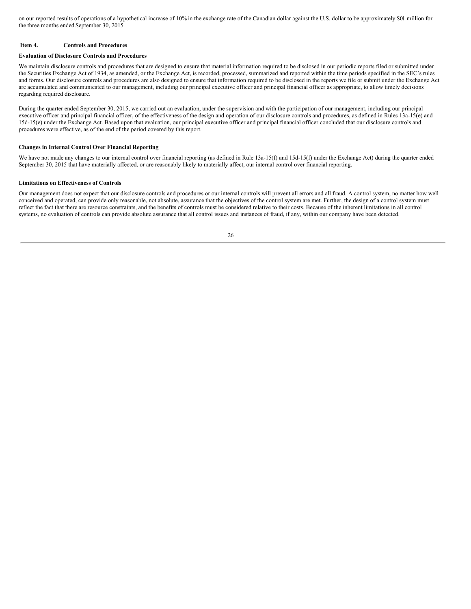on our reported results of operations of a hypothetical increase of 10% in the exchange rate of the Canadian dollar against the U.S. dollar to be approximately \$01. million for the three months ended September 30, 2015.

#### <span id="page-25-0"></span>**Item 4. Controls and Procedures**

#### **Evaluation of Disclosure Controls and Procedures**

We maintain disclosure controls and procedures that are designed to ensure that material information required to be disclosed in our periodic reports filed or submitted under the Securities Exchange Act of 1934, as amended, or the Exchange Act, is recorded, processed, summarized and reported within the time periods specified in the SEC's rules and forms. Our disclosure controls and procedures are also designed to ensure that information required to be disclosed in the reports we file or submit under the Exchange Act are accumulated and communicated to our management, including our principal executive officer and principal financial officer as appropriate, to allow timely decisions regarding required disclosure.

During the quarter ended September 30, 2015, we carried out an evaluation, under the supervision and with the participation of our management, including our principal executive officer and principal financial officer, of the effectiveness of the design and operation of our disclosure controls and procedures, as defined in Rules 13a-15(e) and 15d-15(e) under the Exchange Act. Based upon that evaluation, our principal executive officer and principal financial officer concluded that our disclosure controls and procedures were effective, as of the end of the period covered by this report.

#### **Changes in Internal Control Over Financial Reporting**

We have not made any changes to our internal control over financial reporting (as defined in Rule 13a-15(f) and 15d-15(f) under the Exchange Act) during the quarter ended September 30, 2015 that have materially affected, or are reasonably likely to materially affect, our internal control over financial reporting.

#### **Limitations on Effectiveness of Controls**

Our management does not expect that our disclosure controls and procedures or our internal controls will prevent all errors and all fraud. A control system, no matter how well conceived and operated, can provide only reasonable, not absolute, assurance that the objectives of the control system are met. Further, the design of a control system must reflect the fact that there are resource constraints, and the benefits of controls must be considered relative to their costs. Because of the inherent limitations in all control systems, no evaluation of controls can provide absolute assurance that all control issues and instances of fraud, if any, within our company have been detected.

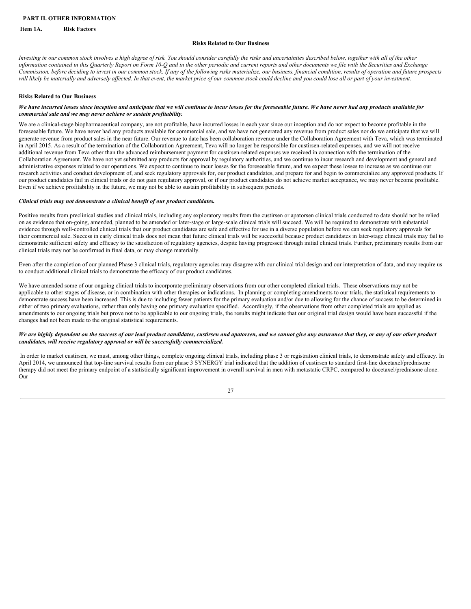<span id="page-26-1"></span><span id="page-26-0"></span>**Item 1A. Risk Factors**

#### **Risks Related to Our Business**

Investing in our common stock involves a high degree of risk. You should consider carefully the risks and uncertainties described below, together with all of the other information contained in this Quarterly Report on Form 10-Q and in the other periodic and current reports and other documents we file with the Securities and Exchange Commission, before deciding to invest in our common stock. If any of the following risks materialize, our business, financial condition, results of operation and future prospects will likely be materially and adversely affected. In that event, the market price of our common stock could decline and you could lose all or part of your investment.

#### **Risks Related to Our Business**

#### We have incurred losses since inception and anticipate that we will continue to incur losses for the foreseeable future. We have never had any products available for *commercial sale and we may never achieve or sustain profitability.*

We are a clinical-stage biopharmaceutical company, are not profitable, have incurred losses in each year since our inception and do not expect to become profitable in the foreseeable future. We have never had any products available for commercial sale, and we have not generated any revenue from product sales nor do we anticipate that we will generate revenue from product sales in the near future. Our revenue to date has been collaboration revenue under the Collaboration Agreement with Teva, which was terminated in April 2015. As a result of the termination of the Collaboration Agreement, Teva will no longer be responsible for custirsen-related expenses, and we will not receive additional revenue from Teva other than the advanced reimbursement payment for custirsen-related expenses we received in connection with the termination of the Collaboration Agreement. We have not yet submitted any products for approval by regulatory authorities, and we continue to incur research and development and general and administrative expenses related to our operations. We expect to continue to incur losses for the foreseeable future, and we expect these losses to increase as we continue our research activities and conduct development of, and seek regulatory approvals for, our product candidates, and prepare for and begin to commercialize any approved products. If our product candidates fail in clinical trials or do not gain regulatory approval, or if our product candidates do not achieve market acceptance, we may never become profitable. Even if we achieve profitability in the future, we may not be able to sustain profitability in subsequent periods.

#### *Clinical trials may not demonstrate a clinical benefit of our product candidates.*

Positive results from preclinical studies and clinical trials, including any exploratory results from the custirsen or apatorsen clinical trials conducted to date should not be relied on as evidence that on-going, amended, planned to be amended or later-stage or large-scale clinical trials will succeed. We will be required to demonstrate with substantial evidence through well-controlled clinical trials that our product candidates are safe and effective for use in a diverse population before we can seek regulatory approvals for their commercial sale. Success in early clinical trials does not mean that future clinical trials will be successful because product candidates in later-stage clinical trials may fail to demonstrate sufficient safety and efficacy to the satisfaction of regulatory agencies, despite having progressed through initial clinical trials. Further, preliminary results from our clinical trials may not be confirmed in final data, or may change materially.

Even after the completion of our planned Phase 3 clinical trials, regulatory agencies may disagree with our clinical trial design and our interpretation of data, and may require us to conduct additional clinical trials to demonstrate the efficacy of our product candidates.

We have amended some of our ongoing clinical trials to incorporate preliminary observations from our other completed clinical trials. These observations may not be applicable to other stages of disease, or in combination with other therapies or indications. In planning or completing amendments to our trials, the statistical requirements to demonstrate success have been increased. This is due to including fewer patients for the primary evaluation and/or due to allowing for the chance of success to be determined in either of two primary evaluations, rather than only having one primary evaluation specified. Accordingly, if the observations from other completed trials are applied as amendments to our ongoing trials but prove not to be applicable to our ongoing trials, the results might indicate that our original trial design would have been successful if the changes had not been made to the original statistical requirements.

#### We are highly dependent on the success of our lead product candidates, custirsen and apatorsen, and we cannot give any assurance that they, or any of our other product *candidates, will receive regulatory approval or will be successfully commercialized.*

In order to market custirsen, we must, among other things, complete ongoing clinical trials, including phase 3 or registration clinical trials, to demonstrate safety and efficacy. In April 2014, we announced that top-line survival results from our phase 3 SYNERGY trial indicated that the addition of custirsen to standard first-line docetaxel/prednisone therapy did not meet the primary endpoint of a statistically significant improvement in overall survival in men with metastatic CRPC, compared to docetaxel/prednisone alone. Our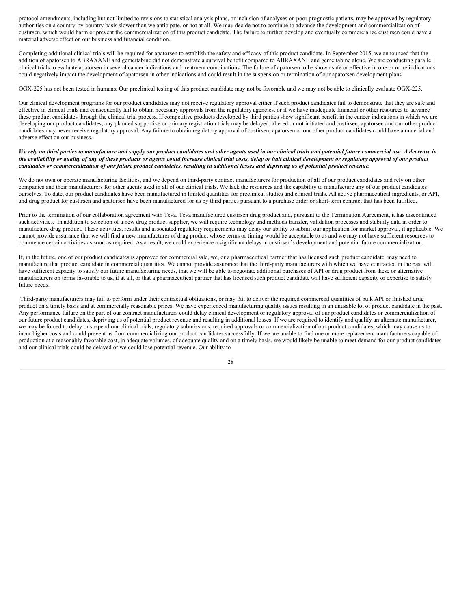protocol amendments, including but not limited to revisions to statistical analysis plans, or inclusion of analyses on poor prognostic patients, may be approved by regulatory authorities on a country-by-country basis slower than we anticipate, or not at all. We may decide not to continue to advance the development and commercialization of custirsen, which would harm or prevent the commercialization of this product candidate. The failure to further develop and eventually commercialize custirsen could have a material adverse effect on our business and financial condition.

Completing additional clinical trials will be required for apatorsen to establish the safety and efficacy of this product candidate. In September 2015, we announced that the addition of apatorsen to ABRAXANE and gemcitabine did not demonstrate a survival benefit compared to ABRAXANE and gemcitabine alone. We are conducting parallel clinical trials to evaluate apatorsen in several cancer indications and treatment combinations. The failure of apatorsen to be shown safe or effective in one or more indications could negatively impact the development of apatorsen in other indications and could result in the suspension or termination of our apatorsen development plans.

OGX-225 has not been tested in humans. Our preclinical testing of this product candidate may not be favorable and we may not be able to clinically evaluate OGX-225.

Our clinical development programs for our product candidates may not receive regulatory approval either if such product candidates fail to demonstrate that they are safe and effective in clinical trials and consequently fail to obtain necessary approvals from the regulatory agencies, or if we have inadequate financial or other resources to advance these product candidates through the clinical trial process**.** If competitive products developed by third parties show significant benefit in the cancer indications in which we are developing our product candidates, any planned supportive or primary registration trials may be delayed, altered or not initiated and custirsen, apatorsen and our other product candidates may never receive regulatory approval. Any failure to obtain regulatory approval of custirsen, apatorsen or our other product candidates could have a material and adverse effect on our business.

#### We rely on third parties to manufacture and supply our product candidates and other agents used in our clinical trials and potential future commercial use. A decrease in the availability or quality of any of these products or agents could increase clinical trial costs, delay or halt clinical development or regulatory approval of our product candidates or commercialization of our future product candidates, resulting in additional losses and depriving us of potential product revenue.

We do not own or operate manufacturing facilities, and we depend on third-party contract manufacturers for production of all of our product candidates and rely on other companies and their manufacturers for other agents used in all of our clinical trials. We lack the resources and the capability to manufacture any of our product candidates ourselves. To date, our product candidates have been manufactured in limited quantities for preclinical studies and clinical trials. All active pharmaceutical ingredients, or API, and drug product for custirsen and apatorsen have been manufactured for us by third parties pursuant to a purchase order or short-term contract that has been fulfilled.

Prior to the termination of our collaboration agreement with Teva, Teva manufactured custirsen drug product and, pursuant to the Termination Agreement, it has discontinued such activities. In addition to selection of a new drug product supplier, we will require technology and methods transfer, validation processes and stability data in order to manufacture drug product. These activities, results and associated regulatory requirements may delay our ability to submit our application for market approval, if applicable. We cannot provide assurance that we will find a new manufacturer of drug product whose terms or timing would be acceptable to us and we may not have sufficient resources to commence certain activities as soon as required. As a result, we could experience a significant delays in custirsen's development and potential future commercialization.

If, in the future, one of our product candidates is approved for commercial sale, we, or a pharmaceutical partner that has licensed such product candidate, may need to manufacture that product candidate in commercial quantities. We cannot provide assurance that the third-party manufacturers with which we have contracted in the past will have sufficient capacity to satisfy our future manufacturing needs, that we will be able to negotiate additional purchases of API or drug product from these or alternative manufacturers on terms favorable to us, if at all, or that a pharmaceutical partner that has licensed such product candidate will have sufficient capacity or expertise to satisfy future needs.

Third-party manufacturers may fail to perform under their contractual obligations, or may fail to deliver the required commercial quantities of bulk API or finished drug product on a timely basis and at commercially reasonable prices. We have experienced manufacturing quality issues resulting in an unusable lot of product candidate in the past. Any performance failure on the part of our contract manufacturers could delay clinical development or regulatory approval of our product candidates or commercialization of our future product candidates, depriving us of potential product revenue and resulting in additional losses. If we are required to identify and qualify an alternate manufacturer, we may be forced to delay or suspend our clinical trials, regulatory submissions, required approvals or commercialization of our product candidates, which may cause us to incur higher costs and could prevent us from commercializing our product candidates successfully. If we are unable to find one or more replacement manufacturers capable of production at a reasonably favorable cost, in adequate volumes, of adequate quality and on a timely basis, we would likely be unable to meet demand for our product candidates and our clinical trials could be delayed or we could lose potential revenue. Our ability to

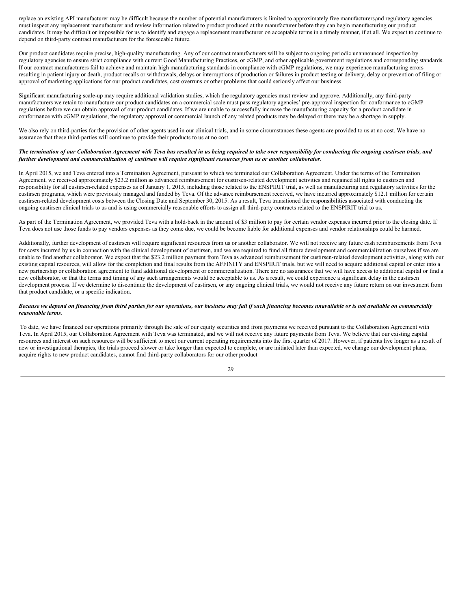replace an existing API manufacturer may be difficult because the number of potential manufacturers is limited to approximately five manufacturers,and regulatory agencies must inspect any replacement manufacturer and review information related to product produced at the manufacturer before they can begin manufacturing our product candidates. It may be difficult or impossible for us to identify and engage a replacement manufacturer on acceptable terms in a timely manner, if at all. We expect to continue to depend on third-party contract manufacturers for the foreseeable future.

Our product candidates require precise, high-quality manufacturing. Any of our contract manufacturers will be subject to ongoing periodic unannounced inspection by regulatory agencies to ensure strict compliance with current Good Manufacturing Practices, or cGMP, and other applicable government regulations and corresponding standards. If our contract manufacturers fail to achieve and maintain high manufacturing standards in compliance with cGMP regulations, we may experience manufacturing errors resulting in patient injury or death, product recalls or withdrawals, delays or interruptions of production or failures in product testing or delivery, delay or prevention of filing or approval of marketing applications for our product candidates, cost overruns or other problems that could seriously affect our business.

Significant manufacturing scale-up may require additional validation studies, which the regulatory agencies must review and approve. Additionally, any third-party manufacturers we retain to manufacture our product candidates on a commercial scale must pass regulatory agencies' pre-approval inspection for conformance to cGMP regulations before we can obtain approval of our product candidates. If we are unable to successfully increase the manufacturing capacity for a product candidate in conformance with cGMP regulations, the regulatory approval or commercial launch of any related products may be delayed or there may be a shortage in supply.

We also rely on third-parties for the provision of other agents used in our clinical trials, and in some circumstances these agents are provided to us at no cost. We have no assurance that these third-parties will continue to provide their products to us at no cost.

#### The termination of our Collaboration Agreement with Teva has resulted in us being required to take over responsibility for conducting the ongoing custirsen trials, and further development and commercialization of custirsen will require significant resources from us or another collaborator.

In April 2015, we and Teva entered into a Termination Agreement, pursuant to which we terminated our Collaboration Agreement. Under the terms of the Termination Agreement, we received approximately \$23.2 million as advanced reimbursement for custirsen-related development activities and regained all rights to custirsen and responsibility for all custirsen-related expenses as of January 1, 2015, including those related to the ENSPIRIT trial, as well as manufacturing and regulatory activities for the custirsen programs, which were previously managed and funded by Teva. Of the advance reimbursement received, we have incurred approximately \$12.1 million for certain custirsen-related development costs between the Closing Date and September 30, 2015. As a result, Teva transitioned the responsibilities associated with conducting the ongoing custirsen clinical trials to us and is using commercially reasonable efforts to assign all third-party contracts related to the ENSPIRIT trial to us.

As part of the Termination Agreement, we provided Teva with a hold-back in the amount of \$3 million to pay for certain vendor expenses incurred prior to the closing date. If Teva does not use those funds to pay vendors expenses as they come due, we could be become liable for additional expenses and vendor relationships could be harmed.

Additionally, further development of custirsen will require significant resources from us or another collaborator. We will not receive any future cash reimbursements from Teva for costs incurred by us in connection with the clinical development of custirsen, and we are required to fund all future development and commercialization ourselves if we are unable to find another collaborator. We expect that the \$23.2 million payment from Teva as advanced reimbursement for custirsen-related development activities, along with our existing capital resources, will allow for the completion and final results from the AFFINITY and ENSPIRIT trials, but we will need to acquire additional capital or enter into a new partnership or collaboration agreement to fund additional development or commercialization. There are no assurances that we will have access to additional capital or find a new collaborator, or that the terms and timing of any such arrangements would be acceptable to us. As a result, we could experience a significant delay in the custirsen development process. If we determine to discontinue the development of custirsen, or any ongoing clinical trials, we would not receive any future return on our investment from that product candidate, or a specific indication.

#### Because we depend on financing from third parties for our operations, our business may fail if such financing becomes unavailable or is not available on commercially *reasonable terms.*

To date, we have financed our operations primarily through the sale of our equity securities and from payments we received pursuant to the Collaboration Agreement with Teva. In April 2015, our Collaboration Agreement with Teva was terminated, and we will not receive any future payments from Teva. We believe that our existing capital resources and interest on such resources will be sufficient to meet our current operating requirements into the first quarter of 2017. However, if patients live longer as a result of new or investigational therapies, the trials proceed slower or take longer than expected to complete, or are initiated later than expected, we change our development plans, acquire rights to new product candidates, cannot find third-party collaborators for our other product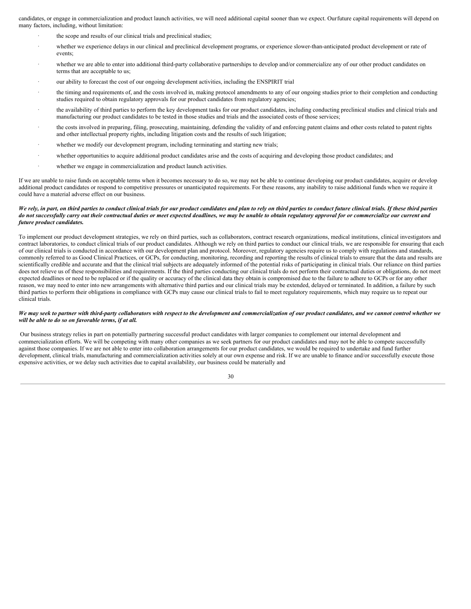candidates, or engage in commercialization and product launch activities, we will need additional capital sooner than we expect. Ourfuture capital requirements will depend on many factors, including, without limitation:

- the scope and results of our clinical trials and preclinical studies;
- whether we experience delays in our clinical and preclinical development programs, or experience slower-than-anticipated product development or rate of events;
- whether we are able to enter into additional third-party collaborative partnerships to develop and/or commercialize any of our other product candidates on terms that are acceptable to us;
- · our ability to forecast the cost of our ongoing development activities, including the ENSPIRIT trial
- the timing and requirements of, and the costs involved in, making protocol amendments to any of our ongoing studies prior to their completion and conducting studies required to obtain regulatory approvals for our product candidates from regulatory agencies;
- the availability of third parties to perform the key development tasks for our product candidates, including conducting preclinical studies and clinical trials and manufacturing our product candidates to be tested in those studies and trials and the associated costs of those services;
- the costs involved in preparing, filing, prosecuting, maintaining, defending the validity of and enforcing patent claims and other costs related to patent rights and other intellectual property rights, including litigation costs and the results of such litigation;
- whether we modify our development program, including terminating and starting new trials;
- whether opportunities to acquire additional product candidates arise and the costs of acquiring and developing those product candidates; and
- · whether we engage in commercialization and product launch activities.

If we are unable to raise funds on acceptable terms when it becomes necessary to do so, we may not be able to continue developing our product candidates, acquire or develop additional product candidates or respond to competitive pressures or unanticipated requirements. For these reasons, any inability to raise additional funds when we require it could have a material adverse effect on our business.

#### We rely, in part, on third parties to conduct clinical trials for our product candidates and plan to rely on third parties to conduct future clinical trials. If these third parties do not successfully carry out their contractual duties or meet expected deadlines, we may be unable to obtain regulatory approval for or commercialize our current and *future product candidates.*

To implement our product development strategies, we rely on third parties, such as collaborators, contract research organizations, medical institutions, clinical investigators and contract laboratories, to conduct clinical trials of our product candidates. Although we rely on third parties to conduct our clinical trials, we are responsible for ensuring that each of our clinical trials is conducted in accordance with our development plan and protocol. Moreover, regulatory agencies require us to comply with regulations and standards, commonly referred to as Good Clinical Practices, or GCPs, for conducting, monitoring, recording and reporting the results of clinical trials to ensure that the data and results are scientifically credible and accurate and that the clinical trial subjects are adequately informed of the potential risks of participating in clinical trials. Our reliance on third parties does not relieve us of these responsibilities and requirements. If the third parties conducting our clinical trials do not perform their contractual duties or obligations, do not meet expected deadlines or need to be replaced or if the quality or accuracy of the clinical data they obtain is compromised due to the failure to adhere to GCPs or for any other reason, we may need to enter into new arrangements with alternative third parties and our clinical trials may be extended, delayed or terminated. In addition, a failure by such third parties to perform their obligations in compliance with GCPs may cause our clinical trials to fail to meet regulatory requirements, which may require us to repeat our clinical trials.

#### We may seek to partner with third-party collaborators with respect to the development and commercialization of our product candidates, and we cannot control whether we *will be able to do so on favorable terms, if at all.*

Our business strategy relies in part on potentially partnering successful product candidates with larger companies to complement our internal development and commercialization efforts. We will be competing with many other companies as we seek partners for our product candidates and may not be able to compete successfully against those companies. If we are not able to enter into collaboration arrangements for our product candidates, we would be required to undertake and fund further development, clinical trials, manufacturing and commercialization activities solely at our own expense and risk. If we are unable to finance and/or successfully execute those expensive activities, or we delay such activities due to capital availability, our business could be materially and

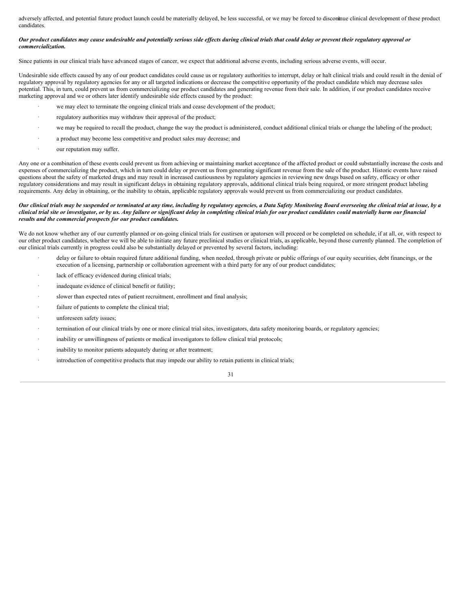adversely affected, and potential future product launch could be materially delayed, be less successful, or we may be forced to disconinue clinical development of these product candidates.

#### Our product candidates may cause undesirable and potentially serious side effects during clinical trials that could delay or prevent their regulatory approval or *commercialization.*

Since patients in our clinical trials have advanced stages of cancer, we expect that additional adverse events, including serious adverse events, will occur.

Undesirable side effects caused by any of our product candidates could cause us or regulatory authorities to interrupt, delay or halt clinical trials and could result in the denial of regulatory approval by regulatory agencies for any or all targeted indications or decrease the competitive opportunity of the product candidate which may decrease sales potential. This, in turn, could prevent us from commercializing our product candidates and generating revenue from their sale. In addition, if our product candidates receive marketing approval and we or others later identify undesirable side effects caused by the product:

- we may elect to terminate the ongoing clinical trials and cease development of the product;
- regulatory authorities may withdraw their approval of the product;
- we may be required to recall the product, change the way the product is administered, conduct additional clinical trials or change the labeling of the product;
- a product may become less competitive and product sales may decrease; and
- our reputation may suffer.

Any one or a combination of these events could prevent us from achieving or maintaining market acceptance of the affected product or could substantially increase the costs and expenses of commercializing the product, which in turn could delay or prevent us from generating significant revenue from the sale of the product. Historic events have raised questions about the safety of marketed drugs and may result in increased cautiousness by regulatory agencies in reviewing new drugs based on safety, efficacy or other regulatory considerations and may result in significant delays in obtaining regulatory approvals, additional clinical trials being required, or more stringent product labeling requirements. Any delay in obtaining, or the inability to obtain, applicable regulatory approvals would prevent us from commercializing our product candidates.

#### Our clinical trials may be suspended or terminated at any time, including by regulatory agencies, a Data Safety Monitoring Board overseeing the clinical trial at issue, by a clinical trial site or investigator, or by us. Any failure or significant delay in completing clinical trials for our product candidates could materially harm our financial *results and the commercial prospects for our product candidates.*

We do not know whether any of our currently planned or on-going clinical trials for custirsen or apatorsen will proceed or be completed on schedule, if at all, or, with respect to our other product candidates, whether we will be able to initiate any future preclinical studies or clinical trials, as applicable, beyond those currently planned. The completion of our clinical trials currently in progress could also be substantially delayed or prevented by several factors, including:

- delay or failure to obtain required future additional funding, when needed, through private or public offerings of our equity securities, debt financings, or the execution of a licensing, partnership or collaboration agreement with a third party for any of our product candidates;
- lack of efficacy evidenced during clinical trials;
- inadequate evidence of clinical benefit or futility;
- slower than expected rates of patient recruitment, enrollment and final analysis;
- failure of patients to complete the clinical trial;
- unforeseen safety issues;
- termination of our clinical trials by one or more clinical trial sites, investigators, data safety monitoring boards, or regulatory agencies;
- inability or unwillingness of patients or medical investigators to follow clinical trial protocols;
- inability to monitor patients adequately during or after treatment;
- introduction of competitive products that may impede our ability to retain patients in clinical trials;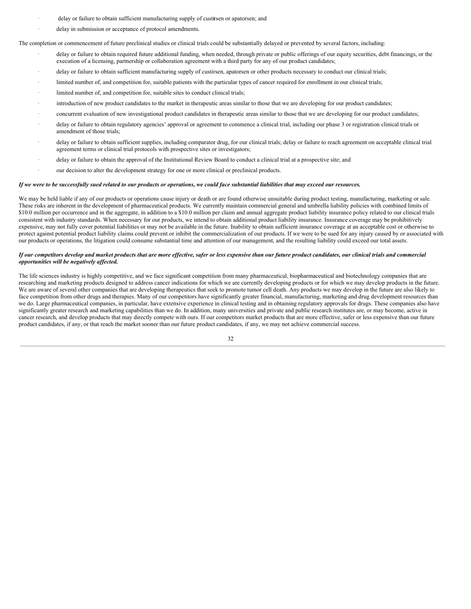- delay or failure to obtain sufficient manufacturing supply of custirsen or apatorsen; and
- delay in submission or acceptance of protocol amendments.

The completion or commencement of future preclinical studies or clinical trials could be substantially delayed or prevented by several factors, including:

- delay or failure to obtain required future additional funding, when needed, through private or public offerings of our equity securities, debt financings, or the execution of a licensing, partnership or collaboration agreement with a third party for any of our product candidates;
- delay or failure to obtain sufficient manufacturing supply of custirsen, apatorsen or other products necessary to conduct our clinical trials;
- limited number of, and competition for, suitable patients with the particular types of cancer required for enrollment in our clinical trials;
- limited number of, and competition for, suitable sites to conduct clinical trials;
- introduction of new product candidates to the market in therapeutic areas similar to those that we are developing for our product candidates;
- · concurrent evaluation of new investigational product candidates in therapeutic areas similar to those that we are developing for our product candidates;
- delay or failure to obtain regulatory agencies' approval or agreement to commence a clinical trial, including our phase 3 or registration clinical trials or amendment of those trials;
- delay or failure to obtain sufficient supplies, including comparator drug, for our clinical trials; delay or failure to reach agreement on acceptable clinical trial agreement terms or clinical trial protocols with prospective sites or investigators;
- delay or failure to obtain the approval of the Institutional Review Board to conduct a clinical trial at a prospective site; and
- our decision to alter the development strategy for one or more clinical or preclinical products.

#### If we were to be successfully sued related to our products or operations, we could face substantial liabilities that may exceed our resources.

We may be held liable if any of our products or operations cause injury or death or are found otherwise unsuitable during product testing, manufacturing, marketing or sale. These risks are inherent in the development of pharmaceutical products. We currently maintain commercial general and umbrella liability policies with combined limits of \$10.0 million per occurrence and in the aggregate, in addition to a \$10.0 million per claim and annual aggregate product liability insurance policy related to our clinical trials consistent with industry standards. When necessary for our products, we intend to obtain additional product liability insurance. Insurance coverage may be prohibitively expensive, may not fully cover potential liabilities or may not be available in the future. Inability to obtain sufficient insurance coverage at an acceptable cost or otherwise to protect against potential product liability claims could prevent or inhibit the commercialization of our products. If we were to be sued for any injury caused by or associated with our products or operations, the litigation could consume substantial time and attention of our management, and the resulting liability could exceed our total assets.

#### If our competitors develop and market products that are more effective, safer or less expensive than our future product candidates, our clinical trials and commercial *opportunities will be negatively af ected.*

The life sciences industry is highly competitive, and we face significant competition from many pharmaceutical, biopharmaceutical and biotechnology companies that are researching and marketing products designed to address cancer indications for which we are currently developing products or for which we may develop products in the future. We are aware of several other companies that are developing therapeutics that seek to promote tumor cell death. Any products we may develop in the future are also likely to face competition from other drugs and therapies. Many of our competitors have significantly greater financial, manufacturing, marketing and drug development resources than we do. Large pharmaceutical companies, in particular, have extensive experience in clinical testing and in obtaining regulatory approvals for drugs. These companies also have significantly greater research and marketing capabilities than we do. In addition, many universities and private and public research institutes are, or may become, active in cancer research, and develop products that may directly compete with ours. If our competitors market products that are more effective, safer or less expensive than our future product candidates, if any, or that reach the market sooner than our future product candidates, if any, we may not achieve commercial success.

<sup>32</sup>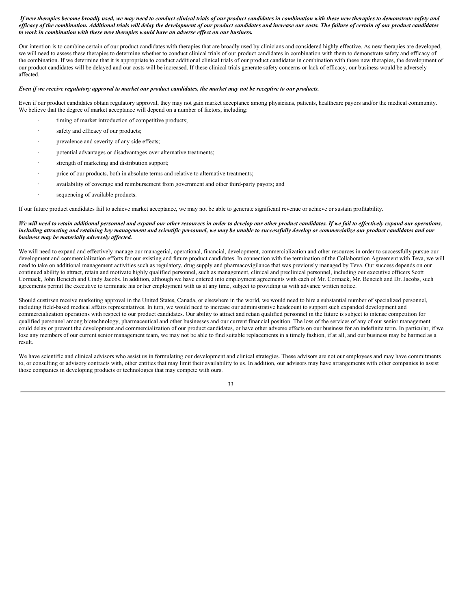#### If new therapies become broadly used, we may need to conduct clinical trials of our product candidates in combination with these new therapies to demonstrate safety and efficacy of the combination. Additional trials will delay the development of our product candidates and increase our costs. The failure of certain of our product candidates *to work in combination with these new therapies would have an adverse ef ect on our business.*

Our intention is to combine certain of our product candidates with therapies that are broadly used by clinicians and considered highly effective. As new therapies are developed, we will need to assess these therapies to determine whether to conduct clinical trials of our product candidates in combination with them to demonstrate safety and efficacy of the combination. If we determine that it is appropriate to conduct additional clinical trials of our product candidates in combination with these new therapies, the development of our product candidates will be delayed and our costs will be increased. If these clinical trials generate safety concerns or lack of efficacy, our business would be adversely affected.

#### Even if we receive regulatory approval to market our product candidates, the market may not be receptive to our products.

Even if our product candidates obtain regulatory approval, they may not gain market acceptance among physicians, patients, healthcare payors and/or the medical community. We believe that the degree of market acceptance will depend on a number of factors, including:

- timing of market introduction of competitive products:
- safety and efficacy of our products;
- prevalence and severity of any side effects;
- potential advantages or disadvantages over alternative treatments;
- strength of marketing and distribution support;
- price of our products, both in absolute terms and relative to alternative treatments;
- availability of coverage and reimbursement from government and other third-party payors; and
- sequencing of available products.

If our future product candidates fail to achieve market acceptance, we may not be able to generate significant revenue or achieve or sustain profitability.

#### We will need to retain additional personnel and expand our other resources in order to develop our other product candidates. If we fail to effectively expand our operations, including attracting and retaining key management and scientific personnel, we may be unable to successfully develop or commercialize our product candidates and our *business may be materially adversely af ected.*

We will need to expand and effectively manage our managerial, operational, financial, development, commercialization and other resources in order to successfully pursue our development and commercialization efforts for our existing and future product candidates. In connection with the termination of the Collaboration Agreement with Teva, we will need to take on additional management activities such as regulatory, drug supply and pharmacovigilance that was previously managed by Teva. Our success depends on our continued ability to attract, retain and motivate highly qualified personnel, such as management, clinical and preclinical personnel, including our executive officers Scott Cormack, John Bencich and Cindy Jacobs. In addition, although we have entered into employment agreements with each of Mr. Cormack, Mr. Bencich and Dr. Jacobs, such agreements permit the executive to terminate his or her employment with us at any time, subject to providing us with advance written notice.

Should custirsen receive marketing approval in the United States, Canada, or elsewhere in the world, we would need to hire a substantial number of specialized personnel, including field-based medical affairs representatives. In turn, we would need to increase our administrative headcount to support such expanded development and commercialization operations with respect to our product candidates. Our ability to attract and retain qualified personnel in the future is subject to intense competition for qualified personnel among biotechnology, pharmaceutical and other businesses and our current financial position. The loss of the services of any of our senior management could delay or prevent the development and commercialization of our product candidates, or have other adverse effects on our business for an indefinite term. In particular, if we lose any members of our current senior management team, we may not be able to find suitable replacements in a timely fashion, if at all, and our business may be harmed as a result.

We have scientific and clinical advisors who assist us in formulating our development and clinical strategies. These advisors are not our employees and may have commitments to, or consulting or advisory contracts with, other entities that may limit their availability to us. In addition, our advisors may have arrangements with other companies to assist those companies in developing products or technologies that may compete with ours.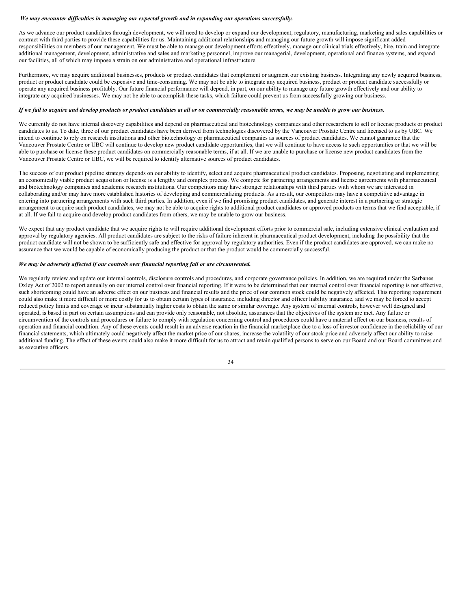#### *We may encounter dif iculties in managing our expected growth and in expanding our operations successfully.*

As we advance our product candidates through development, we will need to develop or expand our development, regulatory, manufacturing, marketing and sales capabilities or contract with third parties to provide these capabilities for us. Maintaining additional relationships and managing our future growth will impose significant added responsibilities on members of our management. We must be able to manage our development efforts effectively, manage our clinical trials effectively, hire, train and integrate additional management, development, administrative and sales and marketing personnel, improve our managerial, development, operational and finance systems, and expand our facilities, all of which may impose a strain on our administrative and operational infrastructure.

Furthermore, we may acquire additional businesses, products or product candidates that complement or augment our existing business. Integrating any newly acquired business, product or product candidate could be expensive and time-consuming. We may not be able to integrate any acquired business, product or product candidate successfully or operate any acquired business profitably. Our future financial performance will depend, in part, on our ability to manage any future growth effectively and our ability to integrate any acquired businesses. We may not be able to accomplish these tasks, which failure could prevent us from successfully growing our business.

#### If we fail to acquire and develop products or product candidates at all or on commercially reasonable terms, we may be unable to grow our business.

We currently do not have internal discovery capabilities and depend on pharmaceutical and biotechnology companies and other researchers to sell or license products or product candidates to us. To date, three of our product candidates have been derived from technologies discovered by the Vancouver Prostate Centre and licensed to us by UBC. We intend to continue to rely on research institutions and other biotechnology or pharmaceutical companies as sources of product candidates. We cannot guarantee that the Vancouver Prostate Centre or UBC will continue to develop new product candidate opportunities, that we will continue to have access to such opportunities or that we will be able to purchase or license these product candidates on commercially reasonable terms, if at all. If we are unable to purchase or license new product candidates from the Vancouver Prostate Centre or UBC, we will be required to identify alternative sources of product candidates.

The success of our product pipeline strategy depends on our ability to identify, select and acquire pharmaceutical product candidates. Proposing, negotiating and implementing an economically viable product acquisition or license is a lengthy and complex process. We compete for partnering arrangements and license agreements with pharmaceutical and biotechnology companies and academic research institutions. Our competitors may have stronger relationships with third parties with whom we are interested in collaborating and/or may have more established histories of developing and commercializing products. As a result, our competitors may have a competitive advantage in entering into partnering arrangements with such third parties. In addition, even if we find promising product candidates, and generate interest in a partnering or strategic arrangement to acquire such product candidates, we may not be able to acquire rights to additional product candidates or approved products on terms that we find acceptable, if at all. If we fail to acquire and develop product candidates from others, we may be unable to grow our business.

We expect that any product candidate that we acquire rights to will require additional development efforts prior to commercial sale, including extensive clinical evaluation and approval by regulatory agencies. All product candidates are subject to the risks of failure inherent in pharmaceutical product development, including the possibility that the product candidate will not be shown to be sufficiently safe and effective for approval by regulatory authorities. Even if the product candidates are approved, we can make no assurance that we would be capable of economically producing the product or that the product would be commercially successful.

#### *We may be adversely af ected if our controls over financial reporting fail or are circumvented.*

We regularly review and update our internal controls, disclosure controls and procedures, and corporate governance policies. In addition, we are required under the Sarbanes Oxley Act of 2002 to report annually on our internal control over financial reporting. If it were to be determined that our internal control over financial reporting is not effective, such shortcoming could have an adverse effect on our business and financial results and the price of our common stock could be negatively affected. This reporting requirement could also make it more difficult or more costly for us to obtain certain types of insurance, including director and officer liability insurance, and we may be forced to accept reduced policy limits and coverage or incur substantially higher costs to obtain the same or similar coverage. Any system of internal controls, however well designed and operated, is based in part on certain assumptions and can provide only reasonable, not absolute, assurances that the objectives of the system are met. Any failure or circumvention of the controls and procedures or failure to comply with regulation concerning control and procedures could have a material effect on our business, results of operation and financial condition. Any of these events could result in an adverse reaction in the financial marketplace due to a loss of investor confidence in the reliability of our financial statements, which ultimately could negatively affect the market price of our shares, increase the volatility of our stock price and adversely affect our ability to raise additional funding. The effect of these events could also make it more difficult for us to attract and retain qualified persons to serve on our Board and our Board committees and as executive officers.

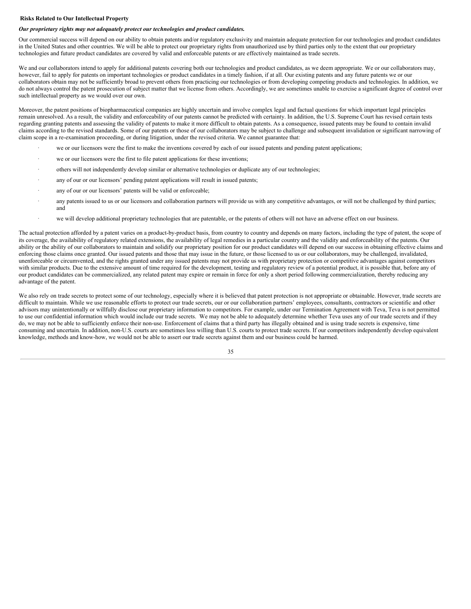#### **Risks Related to Our Intellectual Property**

## *Our proprietary rights may not adequately protect our technologies and product candidates.*

Our commercial success will depend on our ability to obtain patents and/or regulatory exclusivity and maintain adequate protection for our technologies and product candidates in the United States and other countries. We will be able to protect our proprietary rights from unauthorized use by third parties only to the extent that our proprietary technologies and future product candidates are covered by valid and enforceable patents or are effectively maintained as trade secrets.

We and our collaborators intend to apply for additional patents covering both our technologies and product candidates, as we deem appropriate. We or our collaborators may, however, fail to apply for patents on important technologies or product candidates in a timely fashion, if at all. Our existing patents and any future patents we or our collaborators obtain may not be sufficiently broad to prevent others from practicing our technologies or from developing competing products and technologies. In addition, we do not always control the patent prosecution of subject matter that we license from others. Accordingly, we are sometimes unable to exercise a significant degree of control over such intellectual property as we would over our own.

Moreover, the patent positions of biopharmaceutical companies are highly uncertain and involve complex legal and factual questions for which important legal principles remain unresolved. As a result, the validity and enforceability of our patents cannot be predicted with certainty. In addition, the U.S. Supreme Court has revised certain tests regarding granting patents and assessing the validity of patents to make it more difficult to obtain patents. As a consequence, issued patents may be found to contain invalid claims according to the revised standards. Some of our patents or those of our collaborators may be subject to challenge and subsequent invalidation or significant narrowing of claim scope in a re-examination proceeding, or during litigation, under the revised criteria. We cannot guarantee that:

- we or our licensors were the first to make the inventions covered by each of our issued patents and pending patent applications;
- we or our licensors were the first to file patent applications for these inventions;
- others will not independently develop similar or alternative technologies or duplicate any of our technologies;
- any of our or our licensors' pending patent applications will result in issued patents;
- any of our or our licensors' patents will be valid or enforceable;
- any patents issued to us or our licensors and collaboration partners will provide us with any competitive advantages, or will not be challenged by third parties; and
- we will develop additional proprietary technologies that are patentable, or the patents of others will not have an adverse effect on our business.

The actual protection afforded by a patent varies on a product-by-product basis, from country to country and depends on many factors, including the type of patent, the scope of its coverage, the availability of regulatory related extensions, the availability of legal remedies in a particular country and the validity and enforceability of the patents. Our ability or the ability of our collaborators to maintain and solidify our proprietary position for our product candidates will depend on our success in obtaining effective claims and enforcing those claims once granted. Our issued patents and those that may issue in the future, or those licensed to us or our collaborators, may be challenged, invalidated, unenforceable or circumvented, and the rights granted under any issued patents may not provide us with proprietary protection or competitive advantages against competitors with similar products. Due to the extensive amount of time required for the development, testing and regulatory review of a potential product, it is possible that, before any of our product candidates can be commercialized, any related patent may expire or remain in force for only a short period following commercialization, thereby reducing any advantage of the patent.

We also rely on trade secrets to protect some of our technology, especially where it is believed that patent protection is not appropriate or obtainable. However, trade secrets are difficult to maintain. While we use reasonable efforts to protect our trade secrets, our or our collaboration partners' employees, consultants, contractors or scientific and other advisors may unintentionally or willfully disclose our proprietary information to competitors. For example, under our Termination Agreement with Teva, Teva is not permitted to use our confidential information which would include our trade secrets. We may not be able to adequately determine whether Teva uses any of our trade secrets and if they do, we may not be able to sufficiently enforce their non-use. Enforcement of claims that a third party has illegally obtained and is using trade secrets is expensive, time consuming and uncertain. In addition, non-U.S. courts are sometimes less willing than U.S. courts to protect trade secrets. If our competitors independently develop equivalent knowledge, methods and know-how, we would not be able to assert our trade secrets against them and our business could be harmed.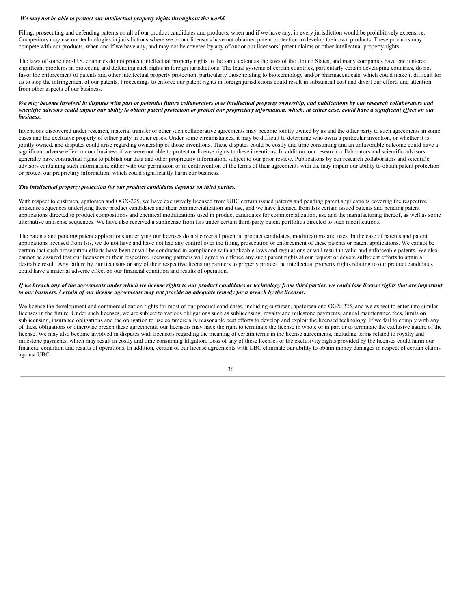#### *We may not be able to protect our intellectual property rights throughout the world.*

Filing, prosecuting and defending patents on all of our product candidates and products, when and if we have any, in every jurisdiction would be prohibitively expensive. Competitors may use our technologies in jurisdictions where we or our licensors have not obtained patent protection to develop their own products. These products may compete with our products, when and if we have any, and may not be covered by any of our or our licensors' patent claims or other intellectual property rights.

The laws of some non-U.S. countries do not protect intellectual property rights to the same extent as the laws of the United States, and many companies have encountered significant problems in protecting and defending such rights in foreign jurisdictions. The legal systems of certain countries, particularly certain developing countries, do not favor the enforcement of patents and other intellectual property protection, particularly those relating to biotechnology and/or pharmaceuticals, which could make it difficult for us to stop the infringement of our patents. Proceedings to enforce our patent rights in foreign jurisdictions could result in substantial cost and divert our efforts and attention from other aspects of our business.

#### We may become involved in disputes with past or potential future collaborators over intellectual property ownership, and publications by our research collaborators and scientific advisors could impair our ability to obtain patent protection or protect our proprietary information, which, in either case, could have a significant effect on our *business.*

Inventions discovered under research, material transfer or other such collaborative agreements may become jointly owned by us and the other party to such agreements in some cases and the exclusive property of either party in other cases. Under some circumstances, it may be difficult to determine who owns a particular invention, or whether it is jointly owned, and disputes could arise regarding ownership of those inventions. These disputes could be costly and time consuming and an unfavorable outcome could have a significant adverse effect on our business if we were not able to protect or license rights to these inventions. In addition, our research collaborators and scientific advisors generally have contractual rights to publish our data and other proprietary information, subject to our prior review. Publications by our research collaborators and scientific advisors containing such information, either with our permission or in contravention of the terms of their agreements with us, may impair our ability to obtain patent protection or protect our proprietary information, which could significantly harm our business.

#### *The intellectual property protection for our product candidates depends on third parties.*

With respect to custirsen, apatorsen and OGX-225, we have exclusively licensed from UBC certain issued patents and pending patent applications covering the respective antisense sequences underlying these product candidates and their commercialization and use, and we have licensed from Isis certain issued patents and pending patent applications directed to product compositions and chemical modifications used in product candidates for commercialization, use and the manufacturing thereof, as well as some alternative antisense sequences. We have also received a sublicense from Isis under certain third-party patent portfolios directed to such modifications.

The patents and pending patent applications underlying our licenses do not cover all potential product candidates, modifications and uses. In the case of patents and patent applications licensed from Isis, we do not have and have not had any control over the filing, prosecution or enforcement of these patents or patent applications. We cannot be certain that such prosecution efforts have been or will be conducted in compliance with applicable laws and regulations or will result in valid and enforceable patents. We also cannot be assured that our licensors or their respective licensing partners will agree to enforce any such patent rights at our request or devote sufficient efforts to attain a desirable result. Any failure by our licensors or any of their respective licensing partners to properly protect the intellectual property rights relating to our product candidates could have a material adverse effect on our financial condition and results of operation.

#### If we breach any of the agreements under which we license rights to our product candidates or technology from third parties, we could lose license rights that are important to our business. Certain of our license agreements may not provide an adequate remedy for a breach by the licensor.

We license the development and commercialization rights for most of our product candidates, including custirsen, apatorsen and OGX-225, and we expect to enter into similar licenses in the future. Under such licenses, we are subject to various obligations such as sublicensing, royalty and milestone payments, annual maintenance fees, limits on sublicensing, insurance obligations and the obligation to use commercially reasonable best efforts to develop and exploit the licensed technology. If we fail to comply with any of these obligations or otherwise breach these agreements, our licensors may have the right to terminate the license in whole or in part or to terminate the exclusive nature of the license. We may also become involved in disputes with licensors regarding the meaning of certain terms in the license agreements, including terms related to royalty and milestone payments, which may result in costly and time consuming litigation. Loss of any of these licenses or the exclusivity rights provided by the licenses could harm our financial condition and results of operations. In addition, certain of our license agreements with UBC eliminate our ability to obtain money damages in respect of certain claims against UBC.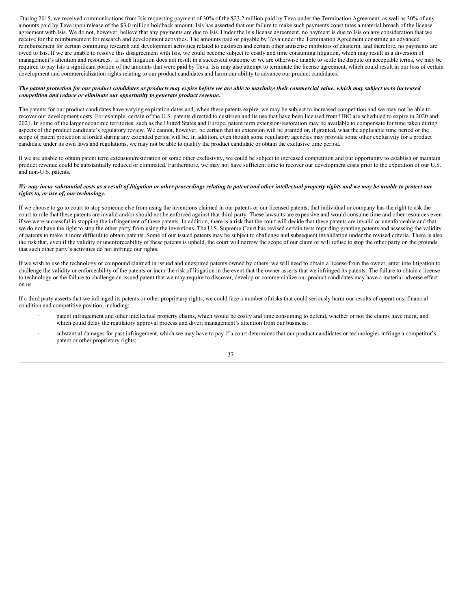During 2015, we received communications from Isis requesting payment of 30% of the \$23.2 million paid by Teva under the Termination Agreement, as well as 30% of any amounts paid by Teva upon release of the \$3.0 million holdback amount. Isis has asserted that our failure to make such payments constitutes a material breach of the license agreement with Isis. We do not, however, believe that any payments are due to Isis. Under the Isis license agreement, no payment is due to Isis on any consideration that we receive for the reimbursement for research and development activities. The amounts paid or payable by Teva under the Termination Agreement constitute an advanced reimbursement for certain continuing research and development activities related to custirsen and certain other antisense inhibitors of clusterin, and therefore, no payments are owed to Isis. If we are unable to resolve this disagreement with Isis, we could become subject to costly and time consuming litigation, which may result in a diversion of management's attention and resources. If such litigation does not result in a successful outcome or we are otherwise unable to settle the dispute on acceptable terms, we may be required to pay Isis a significant portion of the amounts that were paid by Teva. Isis may also attempt to terminate the license agreement, which could result in our loss of certain development and commercialization rights relating to our product candidates and harm our ability to advance our product candidates.

#### The patent protection for our product candidates or products may expire before we are able to maximize their commercial value, which may subject us to increased *competition and reduce or eliminate our opportunity to generate product revenue.*

The patents for our product candidates have varying expiration dates and, when these patents expire, we may be subject to increased competition and we may not be able to recover our development costs. For example, certain of the U.S. patents directed to custirsen and its use that have been licensed from UBC are scheduled to expire in 2020 and 2021. In some of the larger economic territories, such as the United States and Europe, patent term extension/restoration may be available to compensate for time taken during aspects of the product candidate's regulatory review. We cannot, however, be certain that an extension will be granted or, if granted, what the applicable time period or the scope of patent protection afforded during any extended period will be. In addition, even though some regulatory agencies may provide some other exclusivity for a product candidate under its own laws and regulations, we may not be able to qualify the product candidate or obtain the exclusive time period.

If we are unable to obtain patent term extension/restoration or some other exclusivity, we could be subject to increased competition and our opportunity to establish or maintain product revenue could be substantially reduced or eliminated. Furthermore, we may not have sufficient time to recover our development costs prior to the expiration of our U.S. and non-U.S. patents.

#### We may incur substantial costs as a result of litigation or other proceedings relating to patent and other intellectual property rights and we may be unable to protect our *rights to, or use of, our technology.*

If we choose to go to court to stop someone else from using the inventions claimed in our patents or our licensed patents, that individual or company has the right to ask the court to rule that these patents are invalid and/or should not be enforced against that third party. These lawsuits are expensive and would consume time and other resources even if we were successful in stopping the infringement of these patents. In addition, there is a risk that the court will decide that these patents are invalid or unenforceable and that we do not have the right to stop the other party from using the inventions. The U.S. Supreme Court has revised certain tests regarding granting patents and assessing the validity of patents to make it more difficult to obtain patents. Some of our issued patents may be subject to challenge and subsequent invalidation under the revised criteria. There is also the risk that, even if the validity or unenforceability of these patents is upheld, the court will narrow the scope of our claim or will refuse to stop the other party on the grounds that such other party's activities do not infringe our rights.

If we wish to use the technology or compound claimed in issued and unexpired patents owned by others, we will need to obtain a license from the owner, enter into litigation to challenge the validity or enforceability of the patents or incur the risk of litigation in the event that the owner asserts that we infringed its patents. The failure to obtain a license to technology or the failure to challenge an issued patent that we may require to discover, develop or commercialize our product candidates may have a material adverse effect on us.

If a third party asserts that we infringed its patents or other proprietary rights, we could face a number of risks that could seriously harm our results of operations, financial condition and competitive position, including:

- patent infringement and other intellectual property claims, which would be costly and time consuming to defend, whether or not the claims have merit, and which could delay the regulatory approval process and divert management's attention from our business;
- substantial damages for past infringement, which we may have to pay if a court determines that our product candidates or technologies infringe a competitor's patent or other proprietary rights;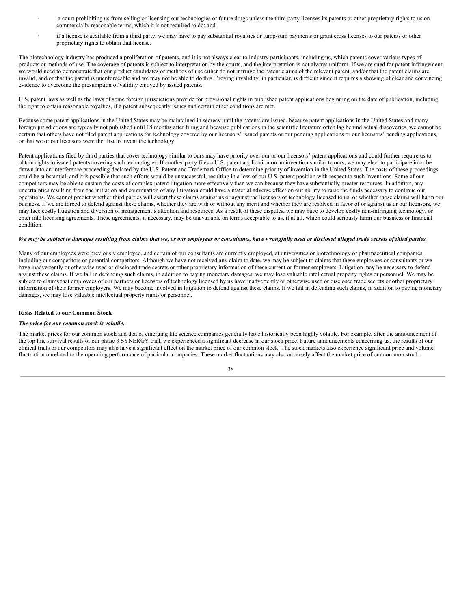- a court prohibiting us from selling or licensing our technologies or future drugs unless the third party licenses its patents or other proprietary rights to us on commercially reasonable terms, which it is not required to do; and
- · if a license is available from a third party, we may have to pay substantial royalties or lump-sum payments or grant cross licenses to our patents or other proprietary rights to obtain that license.

The biotechnology industry has produced a proliferation of patents, and it is not always clear to industry participants, including us, which patents cover various types of products or methods of use. The coverage of patents is subject to interpretation by the courts, and the interpretation is not always uniform. If we are sued for patent infringement, we would need to demonstrate that our product candidates or methods of use either do not infringe the patent claims of the relevant patent, and/or that the patent claims are invalid, and/or that the patent is unenforceable and we may not be able to do this. Proving invalidity, in particular, is difficult since it requires a showing of clear and convincing evidence to overcome the presumption of validity enjoyed by issued patents.

U.S. patent laws as well as the laws of some foreign jurisdictions provide for provisional rights in published patent applications beginning on the date of publication, including the right to obtain reasonable royalties, if a patent subsequently issues and certain other conditions are met.

Because some patent applications in the United States may be maintained in secrecy until the patents are issued, because patent applications in the United States and many foreign jurisdictions are typically not published until 18 months after filing and because publications in the scientific literature often lag behind actual discoveries, we cannot be certain that others have not filed patent applications for technology covered by our licensors' issued patents or our pending applications or our licensors' pending applications, or that we or our licensors were the first to invent the technology.

Patent applications filed by third parties that cover technology similar to ours may have priority over our or our licensors' patent applications and could further require us to obtain rights to issued patents covering such technologies. If another party files a U.S. patent application on an invention similar to ours, we may elect to participate in or be drawn into an interference proceeding declared by the U.S. Patent and Trademark Office to determine priority of invention in the United States. The costs of these proceedings could be substantial, and it is possible that such efforts would be unsuccessful, resulting in a loss of our U.S. patent position with respect to such inventions. Some of our competitors may be able to sustain the costs of complex patent litigation more effectively than we can because they have substantially greater resources. In addition, any uncertainties resulting from the initiation and continuation of any litigation could have a material adverse effect on our ability to raise the funds necessary to continue our operations. We cannot predict whether third parties will assert these claims against us or against the licensors of technology licensed to us, or whether those claims will harm our business. If we are forced to defend against these claims, whether they are with or without any merit and whether they are resolved in favor of or against us or our licensors, we may face costly litigation and diversion of management's attention and resources. As a result of these disputes, we may have to develop costly non-infringing technology, or enter into licensing agreements. These agreements, if necessary, may be unavailable on terms acceptable to us, if at all, which could seriously harm our business or financial condition.

#### We may be subject to damages resulting from claims that we, or our employees or consultants, have wrongfully used or disclosed alleged trade secrets of third parties.

Many of our employees were previously employed, and certain of our consultants are currently employed, at universities or biotechnology or pharmaceutical companies, including our competitors or potential competitors. Although we have not received any claim to date, we may be subject to claims that these employees or consultants or we have inadvertently or otherwise used or disclosed trade secrets or other proprietary information of these current or former employers. Litigation may be necessary to defend against these claims. If we fail in defending such claims, in addition to paying monetary damages, we may lose valuable intellectual property rights or personnel. We may be subject to claims that employees of our partners or licensors of technology licensed by us have inadvertently or otherwise used or disclosed trade secrets or other proprietary information of their former employers. We may become involved in litigation to defend against these claims. If we fail in defending such claims, in addition to paying monetary damages, we may lose valuable intellectual property rights or personnel.

#### **Risks Related to our Common Stock**

#### *The price for our common stock is volatile.*

The market prices for our common stock and that of emerging life science companies generally have historically been highly volatile. For example, after the announcement of the top line survival results of our phase 3 SYNERGY trial, we experienced a significant decrease in our stock price. Future announcements concerning us, the results of our clinical trials or our competitors may also have a significant effect on the market price of our common stock. The stock markets also experience significant price and volume fluctuation unrelated to the operating performance of particular companies. These market fluctuations may also adversely affect the market price of our common stock.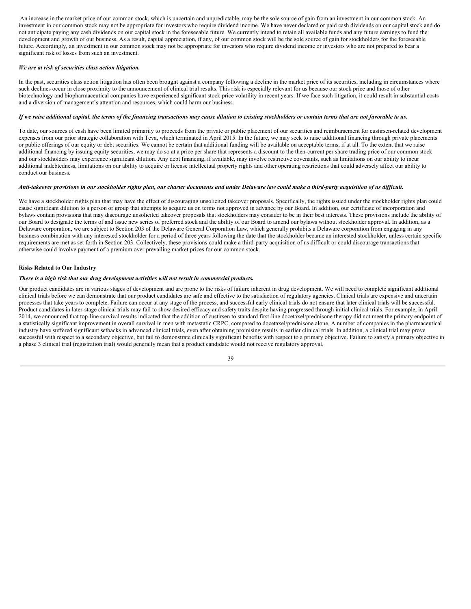An increase in the market price of our common stock, which is uncertain and unpredictable, may be the sole source of gain from an investment in our common stock. An investment in our common stock may not be appropriate for investors who require dividend income. We have never declared or paid cash dividends on our capital stock and do not anticipate paying any cash dividends on our capital stock in the foreseeable future. We currently intend to retain all available funds and any future earnings to fund the development and growth of our business. As a result, capital appreciation, if any, of our common stock will be the sole source of gain for stockholders for the foreseeable future. Accordingly, an investment in our common stock may not be appropriate for investors who require dividend income or investors who are not prepared to bear a significant risk of losses from such an investment.

#### *We are at risk of securities class action litigation.*

In the past, securities class action litigation has often been brought against a company following a decline in the market price of its securities, including in circumstances where such declines occur in close proximity to the announcement of clinical trial results. This risk is especially relevant for us because our stock price and those of other biotechnology and biopharmaceutical companies have experienced significant stock price volatility in recent years. If we face such litigation, it could result in substantial costs and a diversion of management's attention and resources, which could harm our business.

#### If we raise additional capital, the terms of the financing transactions may cause dilution to existing stockholders or contain terms that are not favorable to us.

To date, our sources of cash have been limited primarily to proceeds from the private or public placement of our securities and reimbursement for custirsen-related development expenses from our prior strategic collaboration with Teva, which terminated in April 2015. In the future, we may seek to raise additional financing through private placements or public offerings of our equity or debt securities. We cannot be certain that additional funding will be available on acceptable terms, if at all. To the extent that we raise additional financing by issuing equity securities, we may do so at a price per share that represents a discount to the then-current per share trading price of our common stock and our stockholders may experience significant dilution. Any debt financing, if available, may involve restrictive covenants, such as limitations on our ability to incur additional indebtedness, limitations on our ability to acquire or license intellectual property rights and other operating restrictions that could adversely affect our ability to conduct our business.

#### Anti-takeover provisions in our stockholder rights plan, our charter documents and under Delaware law could make a third-party acquisition of us difficult.

We have a stockholder rights plan that may have the effect of discouraging unsolicited takeover proposals. Specifically, the rights issued under the stockholder rights plan could cause significant dilution to a person or group that attempts to acquire us on terms not approved in advance by our Board. In addition, our certificate of incorporation and bylaws contain provisions that may discourage unsolicited takeover proposals that stockholders may consider to be in their best interests. These provisions include the ability of our Board to designate the terms of and issue new series of preferred stock and the ability of our Board to amend our bylaws without stockholder approval. In addition, as a Delaware corporation, we are subject to Section 203 of the Delaware General Corporation Law, which generally prohibits a Delaware corporation from engaging in any business combination with any interested stockholder for a period of three years following the date that the stockholder became an interested stockholder, unless certain specific requirements are met as set forth in Section 203. Collectively, these provisions could make a third-party acquisition of us difficult or could discourage transactions that otherwise could involve payment of a premium over prevailing market prices for our common stock.

#### **Risks Related to Our Industry**

#### *There is a high risk that our drug development activities will not result in commercial products.*

Our product candidates are in various stages of development and are prone to the risks of failure inherent in drug development. We will need to complete significant additional clinical trials before we can demonstrate that our product candidates are safe and effective to the satisfaction of regulatory agencies. Clinical trials are expensive and uncertain processes that take years to complete. Failure can occur at any stage of the process, and successful early clinical trials do not ensure that later clinical trials will be successful. Product candidates in later-stage clinical trials may fail to show desired efficacy and safety traits despite having progressed through initial clinical trials. For example, in April 2014, we announced that top-line survival results indicated that the addition of custirsen to standard first-line docetaxel/prednisone therapy did not meet the primary endpoint of a statistically significant improvement in overall survival in men with metastatic CRPC, compared to docetaxel/prednisone alone. A number of companies in the pharmaceutical industry have suffered significant setbacks in advanced clinical trials, even after obtaining promising results in earlier clinical trials. In addition, a clinical trial may prove successful with respect to a secondary objective, but fail to demonstrate clinically significant benefits with respect to a primary objective. Failure to satisfy a primary objective in a phase 3 clinical trial (registration trial) would generally mean that a product candidate would not receive regulatory approval.

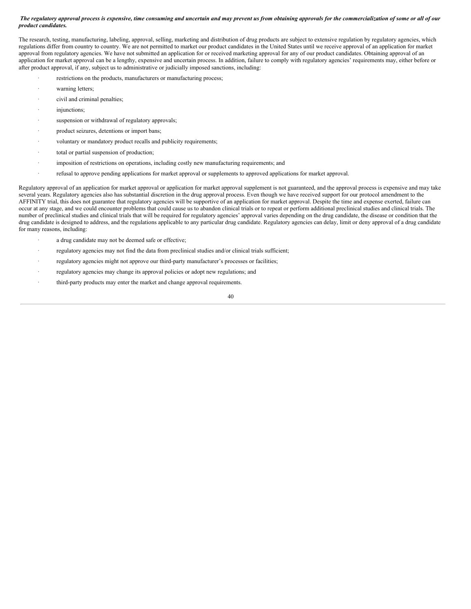#### The regulatory approval process is expensive, time consuming and uncertain and may prevent us from obtaining approvals for the commercialization of some or all of our *product candidates.*

The research, testing, manufacturing, labeling, approval, selling, marketing and distribution of drug products are subject to extensive regulation by regulatory agencies, which regulations differ from country to country. We are not permitted to market our product candidates in the United States until we receive approval of an application for market approval from regulatory agencies. We have not submitted an application for or received marketing approval for any of our product candidates. Obtaining approval of an application for market approval can be a lengthy, expensive and uncertain process. In addition, failure to comply with regulatory agencies' requirements may, either before or after product approval, if any, subject us to administrative or judicially imposed sanctions, including:

- restrictions on the products, manufacturers or manufacturing process;
- warning letters;
- civil and criminal penalties;
- injunctions;
- suspension or withdrawal of regulatory approvals;
- product seizures, detentions or import bans;
- · voluntary or mandatory product recalls and publicity requirements;
- total or partial suspension of production;
- imposition of restrictions on operations, including costly new manufacturing requirements; and
- · refusal to approve pending applications for market approval or supplements to approved applications for market approval.

Regulatory approval of an application for market approval or application for market approval supplement is not guaranteed, and the approval process is expensive and may take several years. Regulatory agencies also has substantial discretion in the drug approval process. Even though we have received support for our protocol amendment to the AFFINITY trial, this does not guarantee that regulatory agencies will be supportive of an application for market approval. Despite the time and expense exerted, failure can occur at any stage, and we could encounter problems that could cause us to abandon clinical trials or to repeat or perform additional preclinical studies and clinical trials. The number of preclinical studies and clinical trials that will be required for regulatory agencies' approval varies depending on the drug candidate, the disease or condition that the drug candidate is designed to address, and the regulations applicable to any particular drug candidate. Regulatory agencies can delay, limit or deny approval of a drug candidate for many reasons, including:

- a drug candidate may not be deemed safe or effective;
- regulatory agencies may not find the data from preclinical studies and/or clinical trials sufficient;
- regulatory agencies might not approve our third-party manufacturer's processes or facilities;
- · regulatory agencies may change its approval policies or adopt new regulations; and
- third-party products may enter the market and change approval requirements.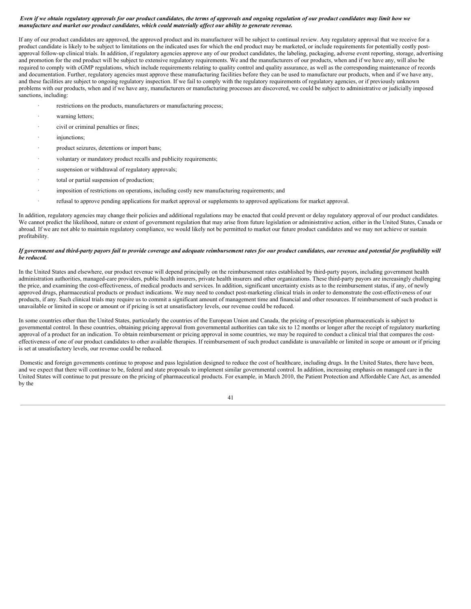#### Even if we obtain regulatory approvals for our product candidates, the terms of approvals and ongoing regulation of our product candidates may limit how we *manufacture and market our product candidates, which could materially af ect our ability to generate revenue.*

If any of our product candidates are approved, the approved product and its manufacturer will be subject to continual review. Any regulatory approval that we receive for a product candidate is likely to be subject to limitations on the indicated uses for which the end product may be marketed, or include requirements for potentially costly postapproval follow-up clinical trials. In addition, if regulatory agencies approve any of our product candidates, the labeling, packaging, adverse event reporting, storage, advertising and promotion for the end product will be subject to extensive regulatory requirements. We and the manufacturers of our products, when and if we have any, will also be required to comply with cGMP regulations, which include requirements relating to quality control and quality assurance, as well as the corresponding maintenance of records and documentation. Further, regulatory agencies must approve these manufacturing facilities before they can be used to manufacture our products, when and if we have any, and these facilities are subject to ongoing regulatory inspection. If we fail to comply with the regulatory requirements of regulatory agencies, or if previously unknown problems with our products, when and if we have any, manufacturers or manufacturing processes are discovered, we could be subject to administrative or judicially imposed sanctions, including:

- restrictions on the products, manufacturers or manufacturing process;
- warning letters:
- civil or criminal penalties or fines;
- injunctions;
- product seizures, detentions or import bans;
- voluntary or mandatory product recalls and publicity requirements;
- suspension or withdrawal of regulatory approvals;
- total or partial suspension of production;
- imposition of restrictions on operations, including costly new manufacturing requirements; and
- · refusal to approve pending applications for market approval or supplements to approved applications for market approval.

In addition, regulatory agencies may change their policies and additional regulations may be enacted that could prevent or delay regulatory approval of our product candidates. We cannot predict the likelihood, nature or extent of government regulation that may arise from future legislation or administrative action, either in the United States, Canada or abroad. If we are not able to maintain regulatory compliance, we would likely not be permitted to market our future product candidates and we may not achieve or sustain profitability.

#### If government and third-party payors fail to provide coverage and adequate reimbursement rates for our product candidates, our revenue and potential for profitability will *be reduced.*

In the United States and elsewhere, our product revenue will depend principally on the reimbursement rates established by third-party payors, including government health administration authorities, managed-care providers, public health insurers, private health insurers and other organizations. These third-party payors are increasingly challenging the price, and examining the cost-effectiveness, of medical products and services. In addition, significant uncertainty exists as to the reimbursement status, if any, of newly approved drugs, pharmaceutical products or product indications. We may need to conduct post-marketing clinical trials in order to demonstrate the cost-effectiveness of our products, if any. Such clinical trials may require us to commit a significant amount of management time and financial and other resources. If reimbursement of such product is unavailable or limited in scope or amount or if pricing is set at unsatisfactory levels, our revenue could be reduced.

In some countries other than the United States, particularly the countries of the European Union and Canada, the pricing of prescription pharmaceuticals is subject to governmental control. In these countries, obtaining pricing approval from governmental authorities can take six to 12 months or longer after the receipt of regulatory marketing approval of a product for an indication. To obtain reimbursement or pricing approval in some countries, we may be required to conduct a clinical trial that compares the costeffectiveness of one of our product candidates to other available therapies. If reimbursement of such product candidate is unavailable or limited in scope or amount or if pricing is set at unsatisfactory levels, our revenue could be reduced.

Domestic and foreign governments continue to propose and pass legislation designed to reduce the cost of healthcare, including drugs. In the United States, there have been, and we expect that there will continue to be, federal and state proposals to implement similar governmental control. In addition, increasing emphasis on managed care in the United States will continue to put pressure on the pricing of pharmaceutical products. For example, in March 2010, the Patient Protection and Affordable Care Act, as amended by the

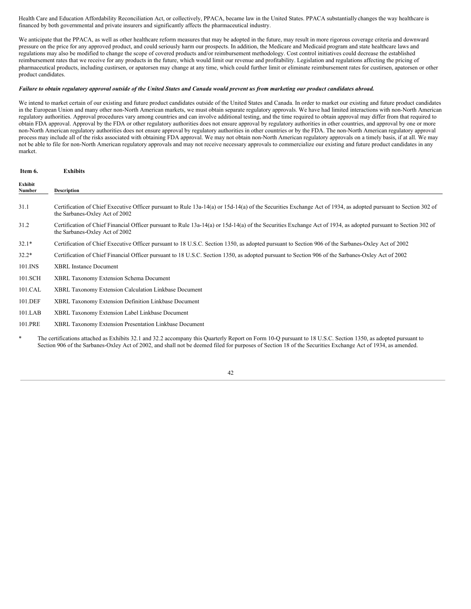Health Care and Education Affordability Reconciliation Act, or collectively, PPACA, became law in the United States. PPACA substantiallychanges the way healthcare is financed by both governmental and private insurers and significantly affects the pharmaceutical industry.

We anticipate that the PPACA, as well as other healthcare reform measures that may be adopted in the future, may result in more rigorous coverage criteria and downward pressure on the price for any approved product, and could seriously harm our prospects. In addition, the Medicare and Medicaid program and state healthcare laws and regulations may also be modified to change the scope of covered products and/or reimbursement methodology. Cost control initiatives could decrease the established reimbursement rates that we receive for any products in the future, which would limit our revenue and profitability. Legislation and regulations affecting the pricing of pharmaceutical products, including custirsen, or apatorsen may change at any time, which could further limit or eliminate reimbursement rates for custirsen, apatorsen or other product candidates.

#### Failure to obtain regulatory approval outside of the United States and Canada would prevent us from marketing our product candidates abroad.

We intend to market certain of our existing and future product candidates outside of the United States and Canada. In order to market our existing and future product candidates in the European Union and many other non-North American markets, we must obtain separate regulatory approvals. We have had limited interactions with non-North American regulatory authorities. Approval procedures vary among countries and can involve additional testing, and the time required to obtain approval may differ from that required to obtain FDA approval. Approval by the FDA or other regulatory authorities does not ensure approval by regulatory authorities in other countries, and approval by one or more non-North American regulatory authorities does not ensure approval by regulatory authorities in other countries or by the FDA. The non-North American regulatory approval process may include all of the risks associated with obtaining FDA approval. We may not obtain non-North American regulatory approvals on a timely basis, if at all. We may not be able to file for non-North American regulatory approvals and may not receive necessary approvals to commercialize our existing and future product candidates in any market.

<span id="page-41-0"></span>

| Item 6.           | <b>Exhibits</b>                                                                                                                                                                                                                                                                                                              |
|-------------------|------------------------------------------------------------------------------------------------------------------------------------------------------------------------------------------------------------------------------------------------------------------------------------------------------------------------------|
| Exhibit<br>Number | <b>Description</b>                                                                                                                                                                                                                                                                                                           |
| 31.1              | Certification of Chief Executive Officer pursuant to Rule 13a-14(a) or 15d-14(a) of the Securities Exchange Act of 1934, as adopted pursuant to Section 302 of<br>the Sarbanes-Oxley Act of 2002                                                                                                                             |
| 31.2              | Certification of Chief Financial Officer pursuant to Rule 13a-14(a) or 15d-14(a) of the Securities Exchange Act of 1934, as adopted pursuant to Section 302 of<br>the Sarbanes-Oxley Act of 2002                                                                                                                             |
| $32.1*$           | Certification of Chief Executive Officer pursuant to 18 U.S.C. Section 1350, as adopted pursuant to Section 906 of the Sarbanes-Oxley Act of 2002                                                                                                                                                                            |
| $32.2*$           | Certification of Chief Financial Officer pursuant to 18 U.S.C. Section 1350, as adopted pursuant to Section 906 of the Sarbanes-Oxley Act of 2002                                                                                                                                                                            |
| 101.INS           | <b>XBRL Instance Document</b>                                                                                                                                                                                                                                                                                                |
| 101.SCH           | XBRL Taxonomy Extension Schema Document                                                                                                                                                                                                                                                                                      |
| 101.CAL           | XBRL Taxonomy Extension Calculation Linkbase Document                                                                                                                                                                                                                                                                        |
| 101.DEF           | XBRL Taxonomy Extension Definition Linkbase Document                                                                                                                                                                                                                                                                         |
| $101$ .LAB        | XBRL Taxonomy Extension Label Linkbase Document                                                                                                                                                                                                                                                                              |
| 101.PRE           | XBRL Taxonomy Extension Presentation Linkbase Document                                                                                                                                                                                                                                                                       |
| $\ast$            | The certifications attached as Exhibits 32.1 and 32.2 accompany this Quarterly Report on Form 10-Q pursuant to 18 U.S.C. Section 1350, as adopted pursuant to<br>Section 906 of the Sarbanes-Oxley Act of 2002, and shall not be deemed filed for purposes of Section 18 of the Securities Exchange Act of 1934, as amended. |

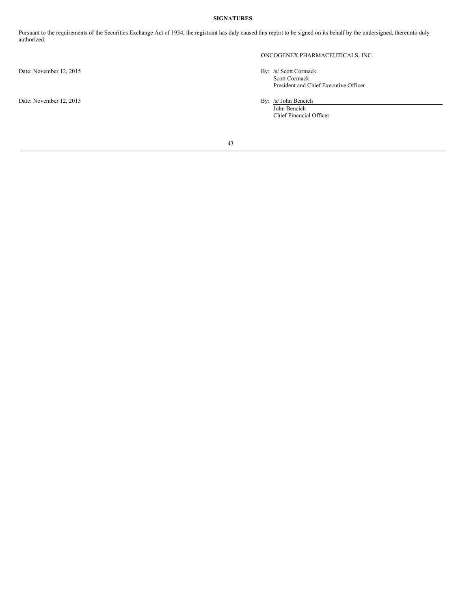## <span id="page-42-0"></span>**SIGNATURES**

Pursuant to the requirements of the Securities Exchange Act of 1934, the registrant has duly caused this report to be signed on its behalf by the undersigned, thereunto duly authorized.

Date: November 12, 2015 By: /s/ Scott Cormack

Date: November 12, 2015

## ONCOGENEX PHARMACEUTICALS, INC.

- Scott Cormack President and Chief Executive Officer
- By:  $\frac{S}{John}$  Bencich

Chief Financial Officer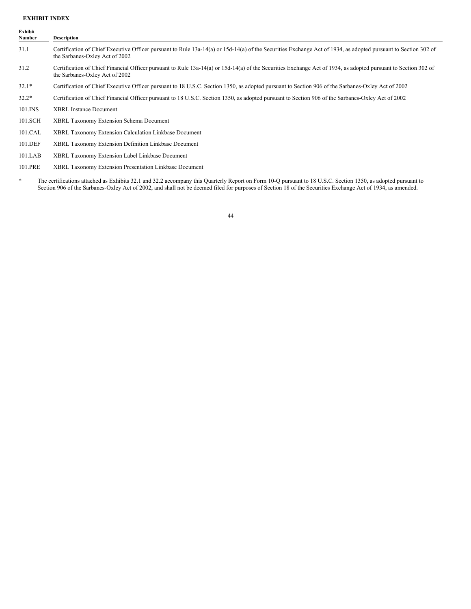## <span id="page-43-0"></span>**EXHIBIT INDEX**

| Exhibit<br>Number | <b>Description</b>                                                                                                                                                                                                                                                                                                           |
|-------------------|------------------------------------------------------------------------------------------------------------------------------------------------------------------------------------------------------------------------------------------------------------------------------------------------------------------------------|
| 31.1              | Certification of Chief Executive Officer pursuant to Rule 13a-14(a) or 15d-14(a) of the Securities Exchange Act of 1934, as adopted pursuant to Section 302 of<br>the Sarbanes-Oxley Act of 2002                                                                                                                             |
| 31.2              | Certification of Chief Financial Officer pursuant to Rule 13a-14(a) or 15d-14(a) of the Securities Exchange Act of 1934, as adopted pursuant to Section 302 of<br>the Sarbanes-Oxley Act of 2002                                                                                                                             |
| $32.1*$           | Certification of Chief Executive Officer pursuant to 18 U.S.C. Section 1350, as adopted pursuant to Section 906 of the Sarbanes-Oxley Act of 2002                                                                                                                                                                            |
| $32.2*$           | Certification of Chief Financial Officer pursuant to 18 U.S.C. Section 1350, as adopted pursuant to Section 906 of the Sarbanes-Oxley Act of 2002                                                                                                                                                                            |
| 101.INS           | <b>XBRL Instance Document</b>                                                                                                                                                                                                                                                                                                |
| 101.SCH           | <b>XBRL Taxonomy Extension Schema Document</b>                                                                                                                                                                                                                                                                               |
| 101.CAL           | XBRL Taxonomy Extension Calculation Linkbase Document                                                                                                                                                                                                                                                                        |
| 101.DEF           | XBRL Taxonomy Extension Definition Linkbase Document                                                                                                                                                                                                                                                                         |
| $101$ .LAB        | XBRL Taxonomy Extension Label Linkbase Document                                                                                                                                                                                                                                                                              |
| 101.PRE           | XBRL Taxonomy Extension Presentation Linkbase Document                                                                                                                                                                                                                                                                       |
| *                 | The certifications attached as Exhibits 32.1 and 32.2 accompany this Quarterly Report on Form 10-Q pursuant to 18 U.S.C. Section 1350, as adopted pursuant to<br>Section 906 of the Sarbanes-Oxley Act of 2002, and shall not be deemed filed for purposes of Section 18 of the Securities Exchange Act of 1934, as amended. |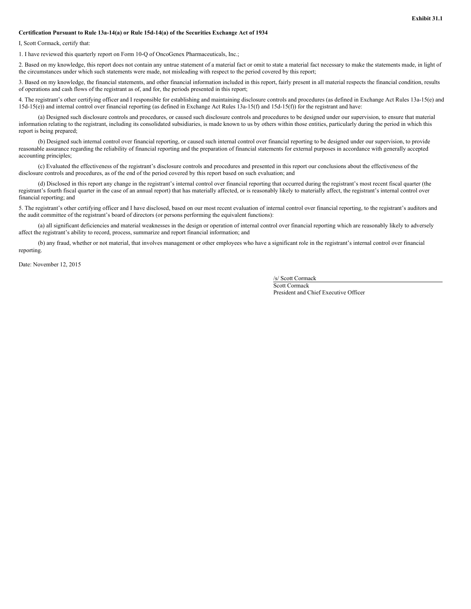#### **Certification Pursuant to Rule 13a-14(a) or Rule 15d-14(a) of the Securities Exchange Act of 1934**

I, Scott Cormack, certify that:

1. I have reviewed this quarterly report on Form 10-Q of OncoGenex Pharmaceuticals, Inc.;

2. Based on my knowledge, this report does not contain any untrue statement of a material fact or omit to state a material fact necessary to make the statements made, in light of the circumstances under which such statements were made, not misleading with respect to the period covered by this report;

3. Based on my knowledge, the financial statements, and other financial information included in this report, fairly present in all material respects the financial condition, results of operations and cash flows of the registrant as of, and for, the periods presented in this report;

4. The registrant's other certifying officer and I responsible for establishing and maintaining disclosure controls and procedures (as defined in Exchange Act Rules 13a-15(e) and 15d-15(e)) and internal control over financial reporting (as defined in Exchange Act Rules 13a-15(f) and 15d-15(f)) for the registrant and have:

(a) Designed such disclosure controls and procedures, or caused such disclosure controls and procedures to be designed under our supervision, to ensure that material information relating to the registrant, including its consolidated subsidiaries, is made known to us by others within those entities, particularly during the period in which this report is being prepared;

(b) Designed such internal control over financial reporting, or caused such internal control over financial reporting to be designed under our supervision, to provide reasonable assurance regarding the reliability of financial reporting and the preparation of financial statements for external purposes in accordance with generally accepted accounting principles;

(c) Evaluated the effectiveness of the registrant's disclosure controls and procedures and presented in this report our conclusions about the effectiveness of the disclosure controls and procedures, as of the end of the period covered by this report based on such evaluation; and

(d) Disclosed in this report any change in the registrant's internal control over financial reporting that occurred during the registrant's most recent fiscal quarter (the registrant's fourth fiscal quarter in the case of an annual report) that has materially affected, or is reasonably likely to materially affect, the registrant's internal control over financial reporting; and

5. The registrant's other certifying officer and I have disclosed, based on our most recent evaluation of internal control over financial reporting, to the registrant's auditors and the audit committee of the registrant's board of directors (or persons performing the equivalent functions):

(a) all significant deficiencies and material weaknesses in the design or operation of internal control over financial reporting which are reasonably likely to adversely affect the registrant's ability to record, process, summarize and report financial information; and

(b) any fraud, whether or not material, that involves management or other employees who have a significant role in the registrant's internal control over financial reporting.

Date: November 12, 2015

/s/ Scott Cormack

Scott Cormack President and Chief Executive Officer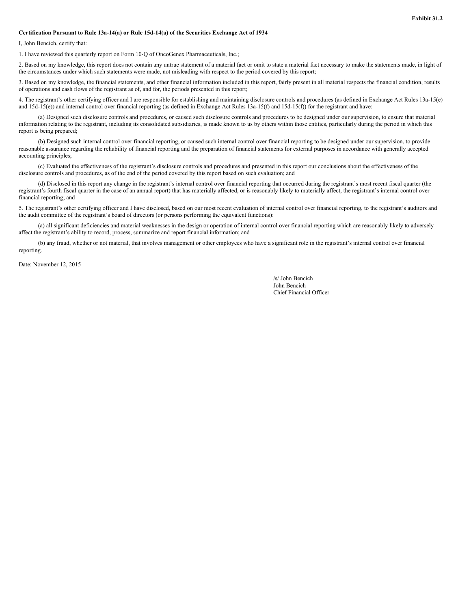#### **Certification Pursuant to Rule 13a-14(a) or Rule 15d-14(a) of the Securities Exchange Act of 1934**

I, John Bencich, certify that:

1. I have reviewed this quarterly report on Form 10-Q of OncoGenex Pharmaceuticals, Inc.;

2. Based on my knowledge, this report does not contain any untrue statement of a material fact or omit to state a material fact necessary to make the statements made, in light of the circumstances under which such statements were made, not misleading with respect to the period covered by this report;

3. Based on my knowledge, the financial statements, and other financial information included in this report, fairly present in all material respects the financial condition, results of operations and cash flows of the registrant as of, and for, the periods presented in this report;

4. The registrant's other certifying officer and I are responsible for establishing and maintaining disclosure controls and procedures (as defined in Exchange Act Rules 13a-15(e) and  $15d-15(e)$ ) and internal control over financial reporting (as defined in Exchange Act Rules  $13a-15(f)$  and  $15d-15(f)$ ) for the registrant and have:

(a) Designed such disclosure controls and procedures, or caused such disclosure controls and procedures to be designed under our supervision, to ensure that material information relating to the registrant, including its consolidated subsidiaries, is made known to us by others within those entities, particularly during the period in which this report is being prepared;

(b) Designed such internal control over financial reporting, or caused such internal control over financial reporting to be designed under our supervision, to provide reasonable assurance regarding the reliability of financial reporting and the preparation of financial statements for external purposes in accordance with generally accepted accounting principles;

(c) Evaluated the effectiveness of the registrant's disclosure controls and procedures and presented in this report our conclusions about the effectiveness of the disclosure controls and procedures, as of the end of the period covered by this report based on such evaluation; and

(d) Disclosed in this report any change in the registrant's internal control over financial reporting that occurred during the registrant's most recent fiscal quarter (the registrant's fourth fiscal quarter in the case of an annual report) that has materially affected, or is reasonably likely to materially affect, the registrant's internal control over financial reporting; and

5. The registrant's other certifying officer and I have disclosed, based on our most recent evaluation of internal control over financial reporting, to the registrant's auditors and the audit committee of the registrant's board of directors (or persons performing the equivalent functions):

(a) all significant deficiencies and material weaknesses in the design or operation of internal control over financial reporting which are reasonably likely to adversely affect the registrant's ability to record, process, summarize and report financial information; and

(b) any fraud, whether or not material, that involves management or other employees who have a significant role in the registrant's internal control over financial reporting.

Date: November 12, 2015

/s/ John Bencich

John Bencich Chief Financial Officer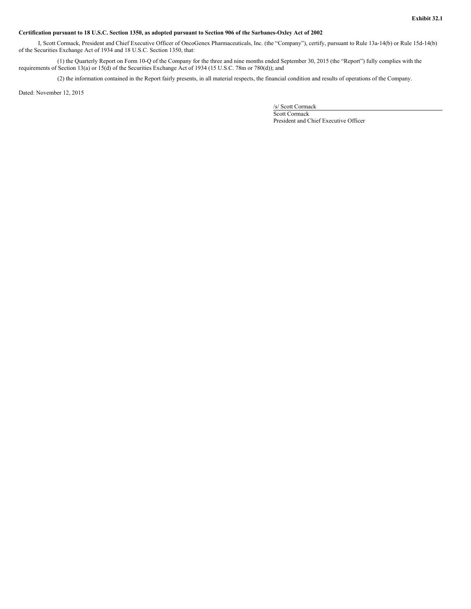### Certification pursuant to 18 U.S.C. Section 1350, as adopted pursuant to Section 906 of the Sarbanes-Oxley Act of 2002

I, Scott Cormack, President and Chief Executive Officer of OncoGenex Pharmaceuticals, Inc. (the "Company"), certify, pursuant to Rule 13a-14(b) or Rule 15d-14(b) of the Securities Exchange Act of 1934 and 18 U.S.C. Section 1350, that:

(1) the Quarterly Report on Form 10-Q of the Company for the three and nine months ended September 30, 2015 (the "Report") fully complies with the requirements of Section 13(a) or 15(d) of the Securities Exchange Act of 1934 (15 U.S.C. 78m or 780(d)); and

(2) the information contained in the Report fairly presents, in all material respects, the financial condition and results of operations of the Company.

Dated: November 12, 2015

/s/ Scott Cormack

Scott Cormack President and Chief Executive Officer